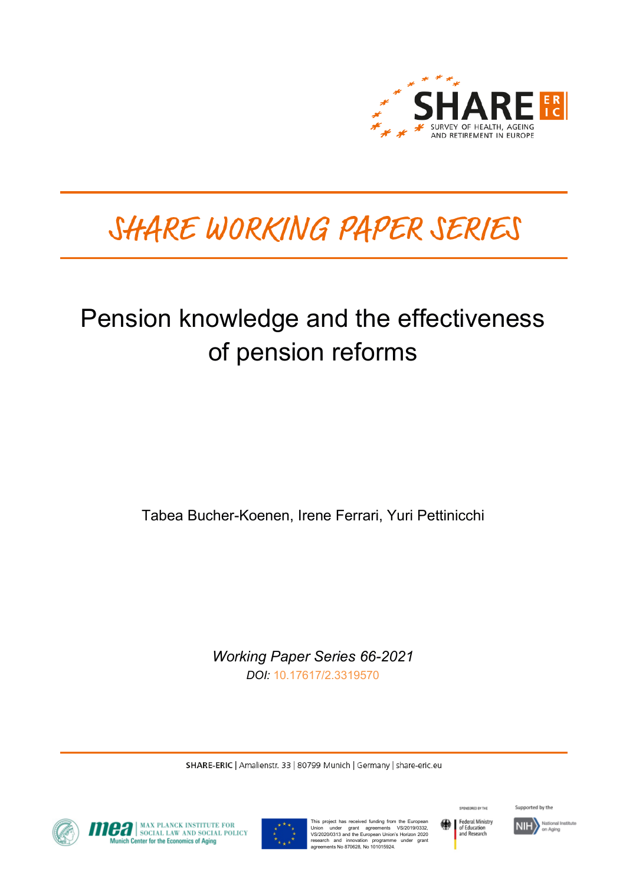

# SHARE WORKING PAPER SERIES

# Pension knowledge and the effectiveness of pension reforms

Tabea Bucher-Koenen, Irene Ferrari, Yuri Pettinicchi

*Working Paper Series 66-2021 DOI:* [10.17617/2.3319570](https://doi.org/10.17617/2.3319570)

SHARE-ERIC | Amalienstr. 33 | 80799 Munich | Germany | share-eric.eu



**OFFICIAL MAX PLANCK INSTITUTE FOR SOCIAL POLICY**<br>Munich Center for the Economics of Aging



This project has received funding from the European<br>Union under grant agreements VS/2019/0332,<br>VS/2020/0313 and the European Union's Horizon 2020<br>research and innovation programme under grant<br>agreements No 870628, No 10101



SPONSORED BY THE

Supported by the

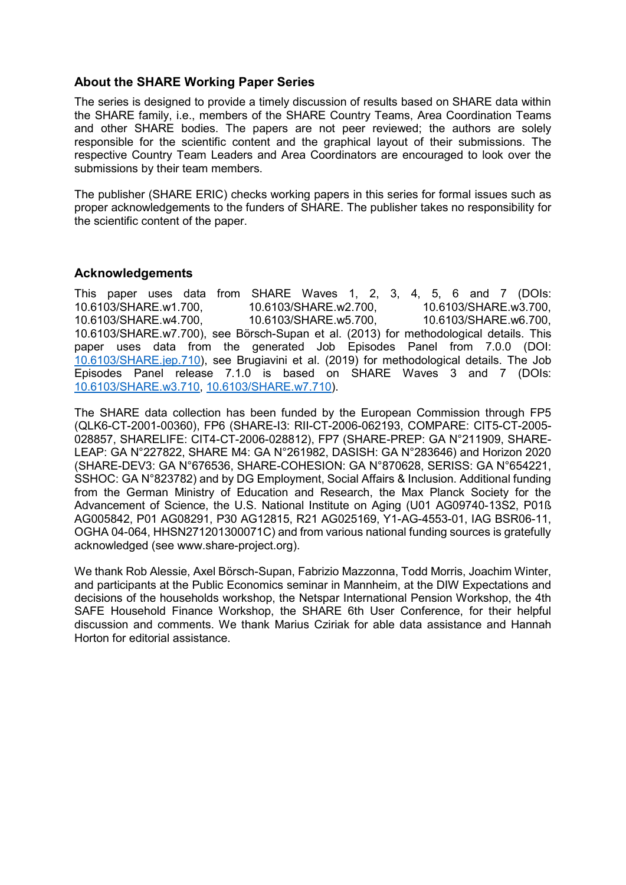## **About the SHARE Working Paper Series**

The series is designed to provide a timely discussion of results based on SHARE data within the SHARE family, i.e., members of the SHARE Country Teams, Area Coordination Teams and other SHARE bodies. The papers are not peer reviewed; the authors are solely responsible for the scientific content and the graphical layout of their submissions. The respective Country Team Leaders and Area Coordinators are encouraged to look over the submissions by their team members.

The publisher (SHARE ERIC) checks working papers in this series for formal issues such as proper acknowledgements to the funders of SHARE. The publisher takes no responsibility for the scientific content of the paper.

## **Acknowledgements**

This paper uses data from SHARE Waves 1, 2, 3, 4, 5, 6 and 7 (DOIs: 10.6103/SHARE.w1.700, 10.6103/SHARE.w2.700, 10.6103/SHARE.w3.700, 10.6103/SHARE.w4.700, 10.6103/SHARE.w5.700, 10.6103/SHARE.w6.700, 10.6103/SHARE.w7.700), see Börsch-Supan et al. (2013) for methodological details. This paper uses data from the generated Job Episodes Panel from 7.0.0 (DOI: [10.6103/SHARE.jep.710\)](http://dx.doi.org/10.6103/SHARE.jep.710), see Brugiavini et al. (2019) for methodological details. The Job Episodes Panel release 7.1.0 is based on SHARE Waves 3 and 7 (DOIs: [10.6103/SHARE.w3.710,](http://dx.doi.org/10.6103/SHARE.w3.710) [10.6103/SHARE.w7.710\)](http://dx.doi.org/10.6103/SHARE.w7.710).

The SHARE data collection has been funded by the European Commission through FP5 (QLK6-CT-2001-00360), FP6 (SHARE-I3: RII-CT-2006-062193, COMPARE: CIT5-CT-2005- 028857, SHARELIFE: CIT4-CT-2006-028812), FP7 (SHARE-PREP: GA N°211909, SHARE-LEAP: GA N°227822, SHARE M4: GA N°261982, DASISH: GA N°283646) and Horizon 2020 (SHARE-DEV3: GA N°676536, SHARE-COHESION: GA N°870628, SERISS: GA N°654221, SSHOC: GA N°823782) and by DG Employment, Social Affairs & Inclusion. Additional funding from the German Ministry of Education and Research, the Max Planck Society for the Advancement of Science, the U.S. National Institute on Aging (U01 AG09740-13S2, P01ß AG005842, P01 AG08291, P30 AG12815, R21 AG025169, Y1-AG-4553-01, IAG BSR06-11, OGHA 04-064, HHSN271201300071C) and from various national funding sources is gratefully acknowledged (see www.share-project.org).

We thank Rob Alessie, Axel Börsch-Supan, Fabrizio Mazzonna, Todd Morris, Joachim Winter, and participants at the Public Economics seminar in Mannheim, at the DIW Expectations and decisions of the households workshop, the Netspar International Pension Workshop, the 4th SAFE Household Finance Workshop, the SHARE 6th User Conference, for their helpful discussion and comments. We thank Marius Cziriak for able data assistance and Hannah Horton for editorial assistance.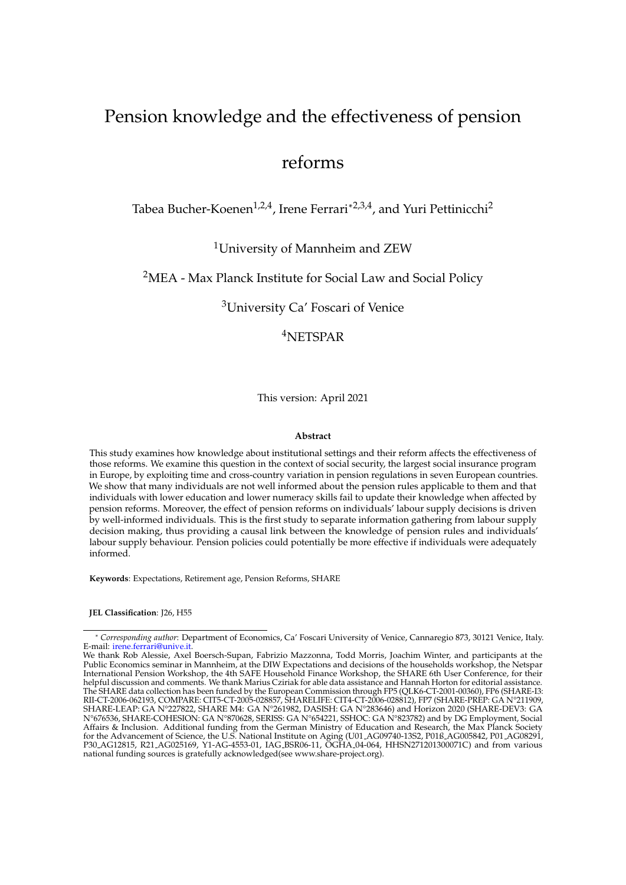## Pension knowledge and the effectiveness of pension

## reforms

Tabea Bucher-Koenen<sup>1,2,4</sup>, Irene Ferrari\*<sup>2,3,4</sup>, and Yuri Pettinicchi<sup>2</sup>

<sup>1</sup>University of Mannheim and ZEW

<sup>2</sup>MEA - Max Planck Institute for Social Law and Social Policy

<sup>3</sup>University Ca' Foscari of Venice

<sup>4</sup>NETSPAR

This version: April 2021

#### **Abstract**

This study examines how knowledge about institutional settings and their reform affects the effectiveness of those reforms. We examine this question in the context of social security, the largest social insurance program in Europe, by exploiting time and cross-country variation in pension regulations in seven European countries. We show that many individuals are not well informed about the pension rules applicable to them and that individuals with lower education and lower numeracy skills fail to update their knowledge when affected by pension reforms. Moreover, the effect of pension reforms on individuals' labour supply decisions is driven by well-informed individuals. This is the first study to separate information gathering from labour supply decision making, thus providing a causal link between the knowledge of pension rules and individuals' labour supply behaviour. Pension policies could potentially be more effective if individuals were adequately informed.

**Keywords**: Expectations, Retirement age, Pension Reforms, SHARE

**JEL Classification**: J26, H55

<sup>\*</sup> *Corresponding author*: Department of Economics, Ca' Foscari University of Venice, Cannaregio 873, 30121 Venice, Italy. E-mail: *irene.ferrari@unive.it* 

We thank Rob Alessie, Axel Boersch-Supan, Fabrizio Mazzonna, Todd Morris, Joachim Winter, and participants at the Public Economics seminar in Mannheim, at the DIW Expectations and decisions of the households workshop, the Netspar International Pension Workshop, the 4th SAFE Household Finance Workshop, the SHARE 6th User Conference, for their helpful discussion and comments. We thank Marius Cziriak for able data assistance and Hannah Horton for editorial assistance. The SHARE data collection has been funded by the European Commission through FP5 (QLK6-CT-2001-00360), FP6 (SHARE-I3: RII-CT-2006-062193, COMPARE: CIT5-CT-2005-028857, SHARELIFE: CIT4-CT-2006-028812), FP7 (SHARE-PREP: GA N°211909, SHARE-LEAP: GA N°227822, SHARE M4: GA N°261982, DASISH: GA N°283646) and Horizon 2020 (SHARE-DEV3: GA N°676536, SHARE-COHESION: GA N°870628, SERISS: GA N°654221, SSHOC: GA N°823782) and by DG Employment, Social Affairs & Inclusion. Additional funding from the German Ministry of Education and Research, the Max Planck Society for the Advancement of Science, the U.S. National Institute on Aging (U01 AG09740-13S2, P01ß AG005842, P01 AG08291, P30 AG12815, R21 AG025169, Y1-AG-4553-01, IAG BSR06-11, OGHA 04-064, HHSN271201300071C) and from various national funding sources is gratefully acknowledged(see www.share-project.org).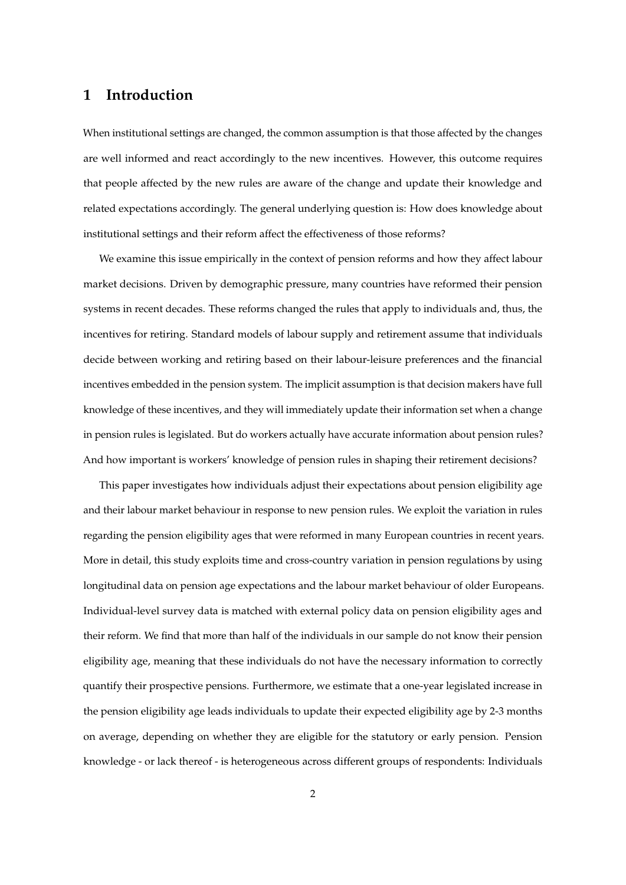## **1 Introduction**

When institutional settings are changed, the common assumption is that those affected by the changes are well informed and react accordingly to the new incentives. However, this outcome requires that people affected by the new rules are aware of the change and update their knowledge and related expectations accordingly. The general underlying question is: How does knowledge about institutional settings and their reform affect the effectiveness of those reforms?

We examine this issue empirically in the context of pension reforms and how they affect labour market decisions. Driven by demographic pressure, many countries have reformed their pension systems in recent decades. These reforms changed the rules that apply to individuals and, thus, the incentives for retiring. Standard models of labour supply and retirement assume that individuals decide between working and retiring based on their labour-leisure preferences and the financial incentives embedded in the pension system. The implicit assumption is that decision makers have full knowledge of these incentives, and they will immediately update their information set when a change in pension rules is legislated. But do workers actually have accurate information about pension rules? And how important is workers' knowledge of pension rules in shaping their retirement decisions?

This paper investigates how individuals adjust their expectations about pension eligibility age and their labour market behaviour in response to new pension rules. We exploit the variation in rules regarding the pension eligibility ages that were reformed in many European countries in recent years. More in detail, this study exploits time and cross-country variation in pension regulations by using longitudinal data on pension age expectations and the labour market behaviour of older Europeans. Individual-level survey data is matched with external policy data on pension eligibility ages and their reform. We find that more than half of the individuals in our sample do not know their pension eligibility age, meaning that these individuals do not have the necessary information to correctly quantify their prospective pensions. Furthermore, we estimate that a one-year legislated increase in the pension eligibility age leads individuals to update their expected eligibility age by 2-3 months on average, depending on whether they are eligible for the statutory or early pension. Pension knowledge - or lack thereof - is heterogeneous across different groups of respondents: Individuals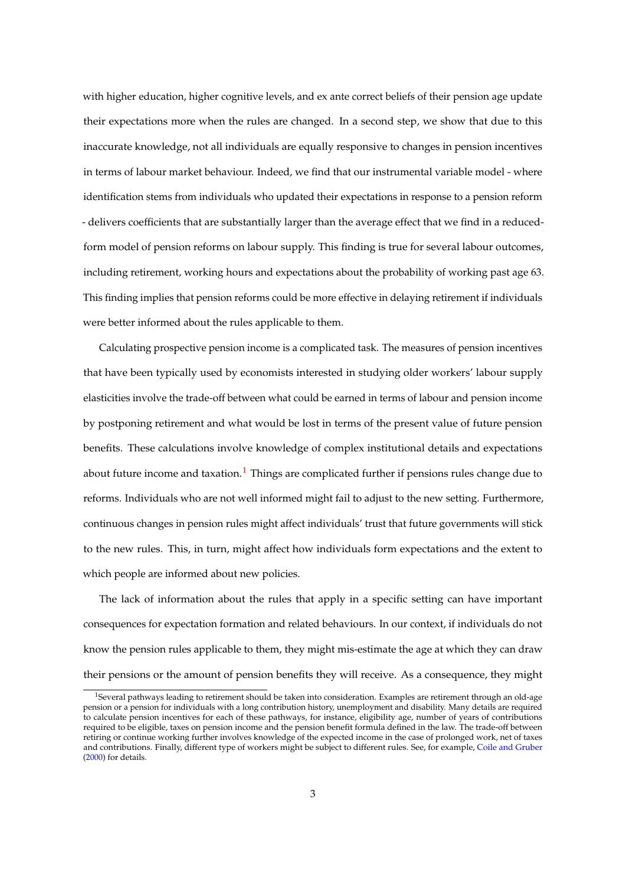with higher education, higher cognitive levels, and ex ante correct beliefs of their pension age update their expectations more when the rules are changed. In a second step, we show that due to this inaccurate knowledge, not all individuals are equally responsive to changes in pension incentives in terms of labour market behaviour. Indeed, we find that our instrumental variable model - where identification stems from individuals who updated their expectations in response to a pension reform - delivers coefficients that are substantially larger than the average effect that we find in a reducedform model of pension reforms on labour supply. This finding is true for several labour outcomes, including retirement, working hours and expectations about the probability of working past age 63. This finding implies that pension reforms could be more effective in delaying retirement if individuals were better informed about the rules applicable to them.

Calculating prospective pension income is a complicated task. The measures of pension incentives that have been typically used by economists interested in studying older workers' labour supply elasticities involve the trade-off between what could be earned in terms of labour and pension income by postponing retirement and what would be lost in terms of the present value of future pension benefits. These calculations involve knowledge of complex institutional details and expectations about future income and taxation.<sup>[1](#page-4-0)</sup> Things are complicated further if pensions rules change due to reforms. Individuals who are not well informed might fail to adjust to the new setting. Furthermore, continuous changes in pension rules might affect individuals' trust that future governments will stick to the new rules. This, in turn, might affect how individuals form expectations and the extent to which people are informed about new policies.

The lack of information about the rules that apply in a specific setting can have important consequences for expectation formation and related behaviours. In our context, if individuals do not know the pension rules applicable to them, they might mis-estimate the age at which they can draw their pensions or the amount of pension benefits they will receive. As a consequence, they might

<span id="page-4-0"></span><sup>&</sup>lt;sup>1</sup>Several pathways leading to retirement should be taken into consideration. Examples are retirement through an old-age pension or a pension for individuals with a long contribution history, unemployment and disability. Many details are required to calculate pension incentives for each of these pathways, for instance, eligibility age, number of years of contributions required to be eligible, taxes on pension income and the pension benefit formula defined in the law. The trade-off between retiring or continue working further involves knowledge of the expected income in the case of prolonged work, net of taxes and contributions. Finally, different type of workers might be subject to different rules. See, for example, [Coile and Gruber](#page-58-0) [\(2000\)](#page-58-0) for details.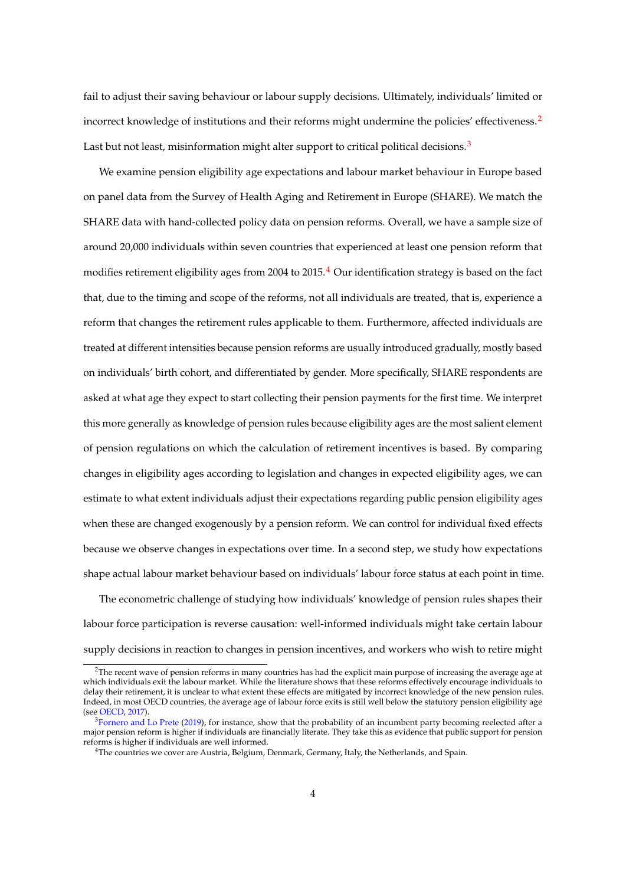fail to adjust their saving behaviour or labour supply decisions. Ultimately, individuals' limited or incorrect knowledge of institutions and their reforms might undermine the policies' effectiveness.<sup>[2](#page-5-0)</sup> Last but not least, misinformation might alter support to critical political decisions.<sup>[3](#page-5-1)</sup>

We examine pension eligibility age expectations and labour market behaviour in Europe based on panel data from the Survey of Health Aging and Retirement in Europe (SHARE). We match the SHARE data with hand-collected policy data on pension reforms. Overall, we have a sample size of around 20,000 individuals within seven countries that experienced at least one pension reform that modifies retirement eligibility ages from 200[4](#page-5-2) to 2015. $4$  Our identification strategy is based on the fact that, due to the timing and scope of the reforms, not all individuals are treated, that is, experience a reform that changes the retirement rules applicable to them. Furthermore, affected individuals are treated at different intensities because pension reforms are usually introduced gradually, mostly based on individuals' birth cohort, and differentiated by gender. More specifically, SHARE respondents are asked at what age they expect to start collecting their pension payments for the first time. We interpret this more generally as knowledge of pension rules because eligibility ages are the most salient element of pension regulations on which the calculation of retirement incentives is based. By comparing changes in eligibility ages according to legislation and changes in expected eligibility ages, we can estimate to what extent individuals adjust their expectations regarding public pension eligibility ages when these are changed exogenously by a pension reform. We can control for individual fixed effects because we observe changes in expectations over time. In a second step, we study how expectations shape actual labour market behaviour based on individuals' labour force status at each point in time.

The econometric challenge of studying how individuals' knowledge of pension rules shapes their labour force participation is reverse causation: well-informed individuals might take certain labour supply decisions in reaction to changes in pension incentives, and workers who wish to retire might

<span id="page-5-0"></span> $2$ The recent wave of pension reforms in many countries has had the explicit main purpose of increasing the average age at which individuals exit the labour market. While the literature shows that these reforms effectively encourage individuals to delay their retirement, it is unclear to what extent these effects are mitigated by incorrect knowledge of the new pension rules. Indeed, in most OECD countries, the average age of labour force exits is still well below the statutory pension eligibility age (see [OECD,](#page-60-0) [2017\)](#page-60-0).

<span id="page-5-1"></span> $3$ [Fornero and Lo Prete](#page-59-0) [\(2019\)](#page-59-0), for instance, show that the probability of an incumbent party becoming reelected after a major pension reform is higher if individuals are financially literate. They take this as evidence that public support for pension reforms is higher if individuals are well informed.

<span id="page-5-2"></span><sup>4</sup>The countries we cover are Austria, Belgium, Denmark, Germany, Italy, the Netherlands, and Spain.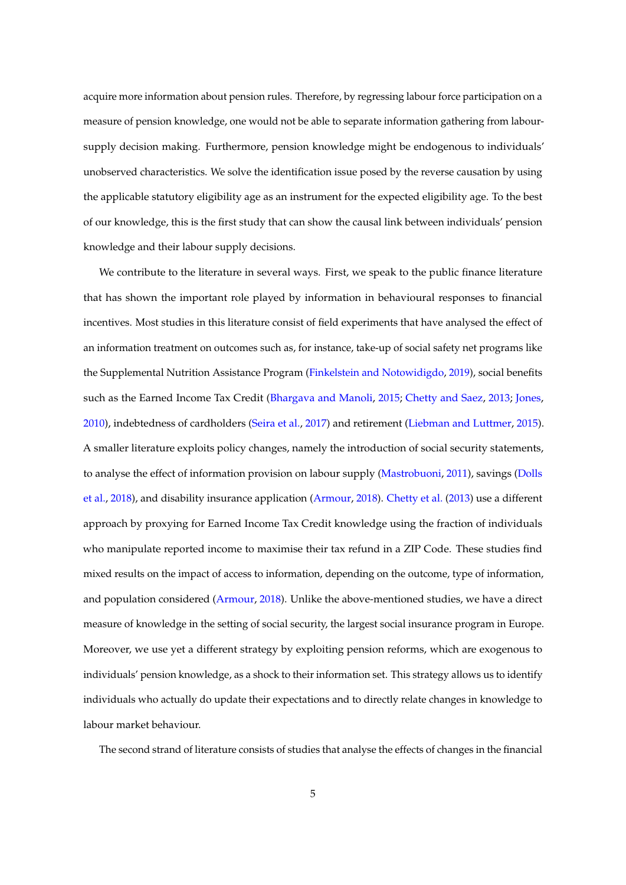acquire more information about pension rules. Therefore, by regressing labour force participation on a measure of pension knowledge, one would not be able to separate information gathering from laboursupply decision making. Furthermore, pension knowledge might be endogenous to individuals' unobserved characteristics. We solve the identification issue posed by the reverse causation by using the applicable statutory eligibility age as an instrument for the expected eligibility age. To the best of our knowledge, this is the first study that can show the causal link between individuals' pension knowledge and their labour supply decisions.

We contribute to the literature in several ways. First, we speak to the public finance literature that has shown the important role played by information in behavioural responses to financial incentives. Most studies in this literature consist of field experiments that have analysed the effect of an information treatment on outcomes such as, for instance, take-up of social safety net programs like the Supplemental Nutrition Assistance Program [\(Finkelstein and Notowidigdo,](#page-59-1) [2019\)](#page-59-1), social benefits such as the Earned Income Tax Credit [\(Bhargava and Manoli,](#page-57-0) [2015;](#page-57-0) [Chetty and Saez,](#page-58-1) [2013;](#page-58-1) [Jones,](#page-59-2) [2010\)](#page-59-2), indebtedness of cardholders [\(Seira et al.,](#page-60-1) [2017\)](#page-60-1) and retirement [\(Liebman and Luttmer,](#page-60-2) [2015\)](#page-60-2). A smaller literature exploits policy changes, namely the introduction of social security statements, to analyse the effect of information provision on labour supply [\(Mastrobuoni,](#page-60-3) [2011\)](#page-60-3), savings [\(Dolls](#page-59-3) [et al.,](#page-59-3) [2018\)](#page-59-3), and disability insurance application [\(Armour,](#page-57-1) [2018\)](#page-57-1). [Chetty et al.](#page-58-2) [\(2013\)](#page-58-2) use a different approach by proxying for Earned Income Tax Credit knowledge using the fraction of individuals who manipulate reported income to maximise their tax refund in a ZIP Code. These studies find mixed results on the impact of access to information, depending on the outcome, type of information, and population considered [\(Armour,](#page-57-1) [2018\)](#page-57-1). Unlike the above-mentioned studies, we have a direct measure of knowledge in the setting of social security, the largest social insurance program in Europe. Moreover, we use yet a different strategy by exploiting pension reforms, which are exogenous to individuals' pension knowledge, as a shock to their information set. This strategy allows us to identify individuals who actually do update their expectations and to directly relate changes in knowledge to labour market behaviour.

The second strand of literature consists of studies that analyse the effects of changes in the financial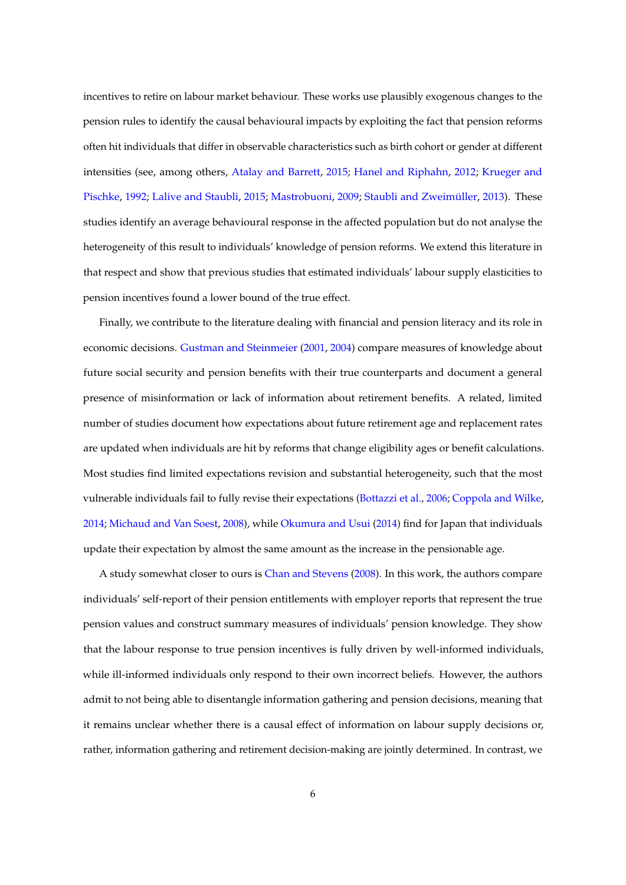incentives to retire on labour market behaviour. These works use plausibly exogenous changes to the pension rules to identify the causal behavioural impacts by exploiting the fact that pension reforms often hit individuals that differ in observable characteristics such as birth cohort or gender at different intensities (see, among others, [Atalay and Barrett,](#page-57-2) [2015;](#page-57-2) [Hanel and Riphahn,](#page-59-4) [2012;](#page-59-4) [Krueger and](#page-60-4) [Pischke,](#page-60-4) [1992;](#page-60-4) [Lalive and Staubli,](#page-60-5) [2015;](#page-60-5) [Mastrobuoni,](#page-60-6) [2009;](#page-60-6) Staubli and Zweimüller, [2013\)](#page-61-0). These studies identify an average behavioural response in the affected population but do not analyse the heterogeneity of this result to individuals' knowledge of pension reforms. We extend this literature in that respect and show that previous studies that estimated individuals' labour supply elasticities to pension incentives found a lower bound of the true effect.

Finally, we contribute to the literature dealing with financial and pension literacy and its role in economic decisions. [Gustman and Steinmeier](#page-59-5) [\(2001,](#page-59-5) [2004\)](#page-59-6) compare measures of knowledge about future social security and pension benefits with their true counterparts and document a general presence of misinformation or lack of information about retirement benefits. A related, limited number of studies document how expectations about future retirement age and replacement rates are updated when individuals are hit by reforms that change eligibility ages or benefit calculations. Most studies find limited expectations revision and substantial heterogeneity, such that the most vulnerable individuals fail to fully revise their expectations [\(Bottazzi et al.,](#page-58-3) [2006;](#page-58-3) [Coppola and Wilke,](#page-59-7) [2014;](#page-59-7) [Michaud and Van Soest,](#page-60-7) [2008\)](#page-60-7), while [Okumura and Usui](#page-60-8) [\(2014\)](#page-60-8) find for Japan that individuals update their expectation by almost the same amount as the increase in the pensionable age.

A study somewhat closer to ours is [Chan and Stevens](#page-58-4) [\(2008\)](#page-58-4). In this work, the authors compare individuals' self-report of their pension entitlements with employer reports that represent the true pension values and construct summary measures of individuals' pension knowledge. They show that the labour response to true pension incentives is fully driven by well-informed individuals, while ill-informed individuals only respond to their own incorrect beliefs. However, the authors admit to not being able to disentangle information gathering and pension decisions, meaning that it remains unclear whether there is a causal effect of information on labour supply decisions or, rather, information gathering and retirement decision-making are jointly determined. In contrast, we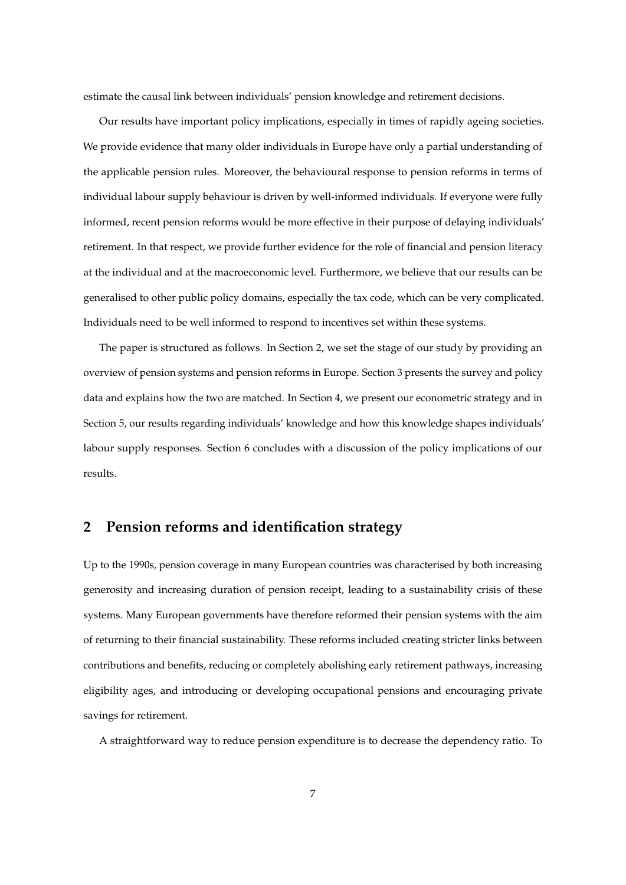estimate the causal link between individuals' pension knowledge and retirement decisions.

Our results have important policy implications, especially in times of rapidly ageing societies. We provide evidence that many older individuals in Europe have only a partial understanding of the applicable pension rules. Moreover, the behavioural response to pension reforms in terms of individual labour supply behaviour is driven by well-informed individuals. If everyone were fully informed, recent pension reforms would be more effective in their purpose of delaying individuals' retirement. In that respect, we provide further evidence for the role of financial and pension literacy at the individual and at the macroeconomic level. Furthermore, we believe that our results can be generalised to other public policy domains, especially the tax code, which can be very complicated. Individuals need to be well informed to respond to incentives set within these systems.

The paper is structured as follows. In Section 2, we set the stage of our study by providing an overview of pension systems and pension reforms in Europe. Section 3 presents the survey and policy data and explains how the two are matched. In Section 4, we present our econometric strategy and in Section 5, our results regarding individuals' knowledge and how this knowledge shapes individuals' labour supply responses. Section 6 concludes with a discussion of the policy implications of our results.

## **2 Pension reforms and identification strategy**

Up to the 1990s, pension coverage in many European countries was characterised by both increasing generosity and increasing duration of pension receipt, leading to a sustainability crisis of these systems. Many European governments have therefore reformed their pension systems with the aim of returning to their financial sustainability. These reforms included creating stricter links between contributions and benefits, reducing or completely abolishing early retirement pathways, increasing eligibility ages, and introducing or developing occupational pensions and encouraging private savings for retirement.

A straightforward way to reduce pension expenditure is to decrease the dependency ratio. To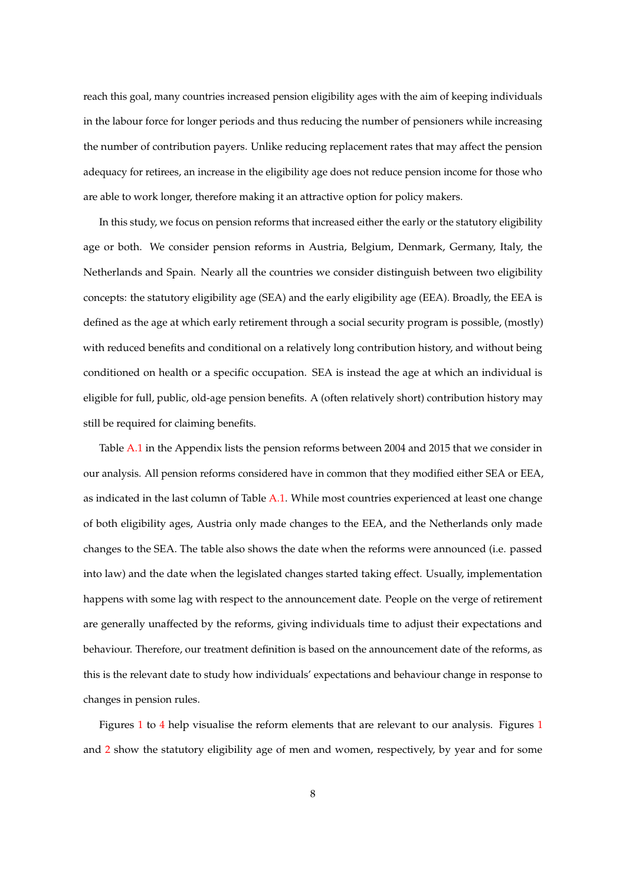reach this goal, many countries increased pension eligibility ages with the aim of keeping individuals in the labour force for longer periods and thus reducing the number of pensioners while increasing the number of contribution payers. Unlike reducing replacement rates that may affect the pension adequacy for retirees, an increase in the eligibility age does not reduce pension income for those who are able to work longer, therefore making it an attractive option for policy makers.

In this study, we focus on pension reforms that increased either the early or the statutory eligibility age or both. We consider pension reforms in Austria, Belgium, Denmark, Germany, Italy, the Netherlands and Spain. Nearly all the countries we consider distinguish between two eligibility concepts: the statutory eligibility age (SEA) and the early eligibility age (EEA). Broadly, the EEA is defined as the age at which early retirement through a social security program is possible, (mostly) with reduced benefits and conditional on a relatively long contribution history, and without being conditioned on health or a specific occupation. SEA is instead the age at which an individual is eligible for full, public, old-age pension benefits. A (often relatively short) contribution history may still be required for claiming benefits.

Table [A.1](#page-46-0) in the Appendix lists the pension reforms between 2004 and 2015 that we consider in our analysis. All pension reforms considered have in common that they modified either SEA or EEA, as indicated in the last column of Table [A.1.](#page-46-0) While most countries experienced at least one change of both eligibility ages, Austria only made changes to the EEA, and the Netherlands only made changes to the SEA. The table also shows the date when the reforms were announced (i.e. passed into law) and the date when the legislated changes started taking effect. Usually, implementation happens with some lag with respect to the announcement date. People on the verge of retirement are generally unaffected by the reforms, giving individuals time to adjust their expectations and behaviour. Therefore, our treatment definition is based on the announcement date of the reforms, as this is the relevant date to study how individuals' expectations and behaviour change in response to changes in pension rules.

Figures [1](#page-39-0) to [4](#page-42-0) help visualise the reform elements that are relevant to our analysis. Figures [1](#page-39-0) and [2](#page-40-0) show the statutory eligibility age of men and women, respectively, by year and for some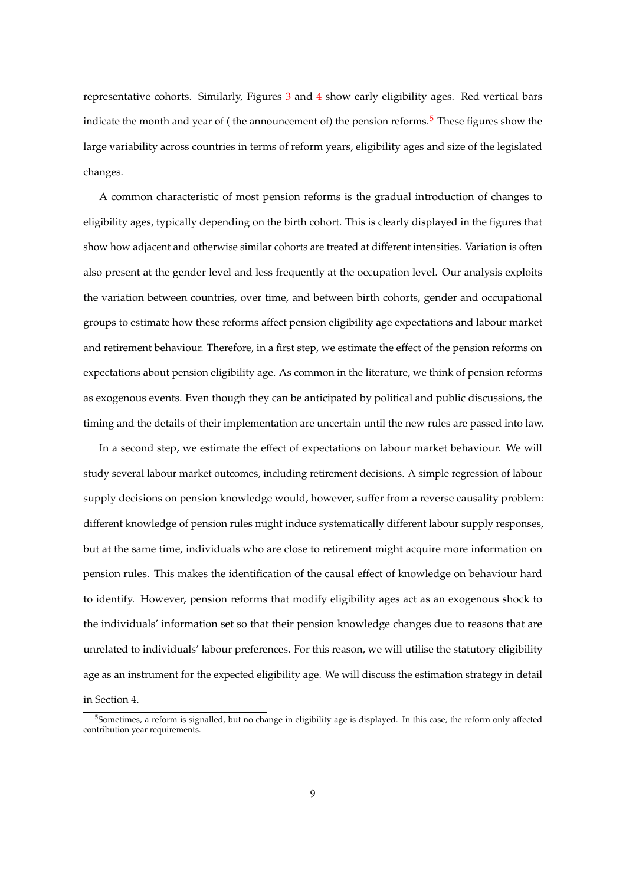representative cohorts. Similarly, Figures [3](#page-41-0) and [4](#page-42-0) show early eligibility ages. Red vertical bars indicate the month and year of (the announcement of) the pension reforms.<sup>[5](#page-10-0)</sup> These figures show the large variability across countries in terms of reform years, eligibility ages and size of the legislated changes.

A common characteristic of most pension reforms is the gradual introduction of changes to eligibility ages, typically depending on the birth cohort. This is clearly displayed in the figures that show how adjacent and otherwise similar cohorts are treated at different intensities. Variation is often also present at the gender level and less frequently at the occupation level. Our analysis exploits the variation between countries, over time, and between birth cohorts, gender and occupational groups to estimate how these reforms affect pension eligibility age expectations and labour market and retirement behaviour. Therefore, in a first step, we estimate the effect of the pension reforms on expectations about pension eligibility age. As common in the literature, we think of pension reforms as exogenous events. Even though they can be anticipated by political and public discussions, the timing and the details of their implementation are uncertain until the new rules are passed into law.

In a second step, we estimate the effect of expectations on labour market behaviour. We will study several labour market outcomes, including retirement decisions. A simple regression of labour supply decisions on pension knowledge would, however, suffer from a reverse causality problem: different knowledge of pension rules might induce systematically different labour supply responses, but at the same time, individuals who are close to retirement might acquire more information on pension rules. This makes the identification of the causal effect of knowledge on behaviour hard to identify. However, pension reforms that modify eligibility ages act as an exogenous shock to the individuals' information set so that their pension knowledge changes due to reasons that are unrelated to individuals' labour preferences. For this reason, we will utilise the statutory eligibility age as an instrument for the expected eligibility age. We will discuss the estimation strategy in detail

in Section 4.

<span id="page-10-0"></span> $5$ Sometimes, a reform is signalled, but no change in eligibility age is displayed. In this case, the reform only affected contribution year requirements.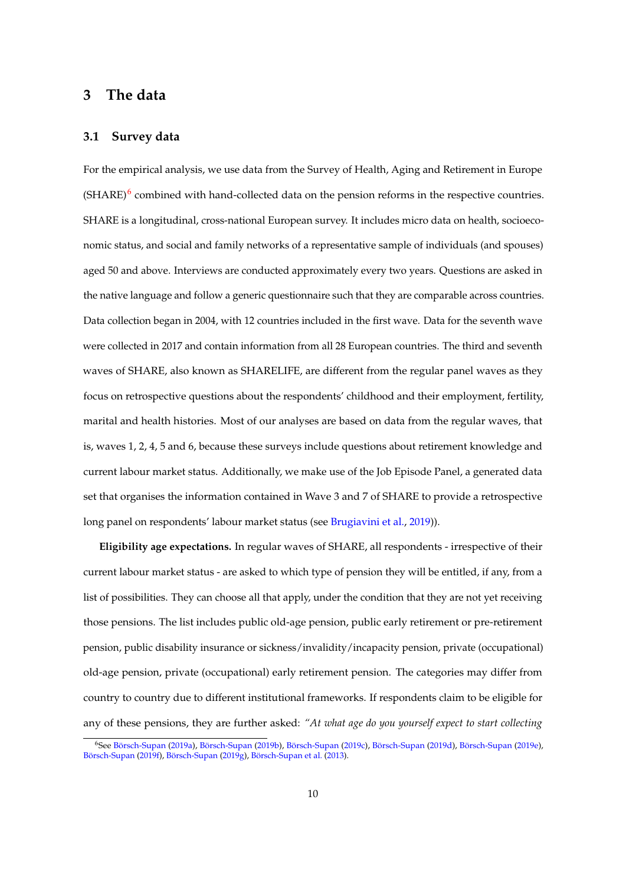## **3 The data**

### **3.1 Survey data**

For the empirical analysis, we use data from the Survey of Health, Aging and Retirement in Europe  $(SHARE)^6$  $(SHARE)^6$  combined with hand-collected data on the pension reforms in the respective countries. SHARE is a longitudinal, cross-national European survey. It includes micro data on health, socioeconomic status, and social and family networks of a representative sample of individuals (and spouses) aged 50 and above. Interviews are conducted approximately every two years. Questions are asked in the native language and follow a generic questionnaire such that they are comparable across countries. Data collection began in 2004, with 12 countries included in the first wave. Data for the seventh wave were collected in 2017 and contain information from all 28 European countries. The third and seventh waves of SHARE, also known as SHARELIFE, are different from the regular panel waves as they focus on retrospective questions about the respondents' childhood and their employment, fertility, marital and health histories. Most of our analyses are based on data from the regular waves, that is, waves 1, 2, 4, 5 and 6, because these surveys include questions about retirement knowledge and current labour market status. Additionally, we make use of the Job Episode Panel, a generated data set that organises the information contained in Wave 3 and 7 of SHARE to provide a retrospective long panel on respondents' labour market status (see [Brugiavini et al.,](#page-58-5) [2019\)](#page-58-5)).

**Eligibility age expectations.** In regular waves of SHARE, all respondents - irrespective of their current labour market status - are asked to which type of pension they will be entitled, if any, from a list of possibilities. They can choose all that apply, under the condition that they are not yet receiving those pensions. The list includes public old-age pension, public early retirement or pre-retirement pension, public disability insurance or sickness/invalidity/incapacity pension, private (occupational) old-age pension, private (occupational) early retirement pension. The categories may differ from country to country due to different institutional frameworks. If respondents claim to be eligible for any of these pensions, they are further asked: *"At what age do you yourself expect to start collecting*

<span id="page-11-0"></span><sup>&</sup>lt;sup>6</sup>See Börsch-Supan [\(2019a\)](#page-57-3), Börsch-Supan [\(2019b\)](#page-57-4), Börsch-Supan [\(2019c\)](#page-57-5), Börsch-Supan [\(2019d\)](#page-57-6), Börsch-Supan [\(2019e\)](#page-58-6), Börsch-Supan [\(2019f\)](#page-58-7), Börsch-Supan [\(2019g\)](#page-58-8), Börsch-Supan et al.  $(2013)$ .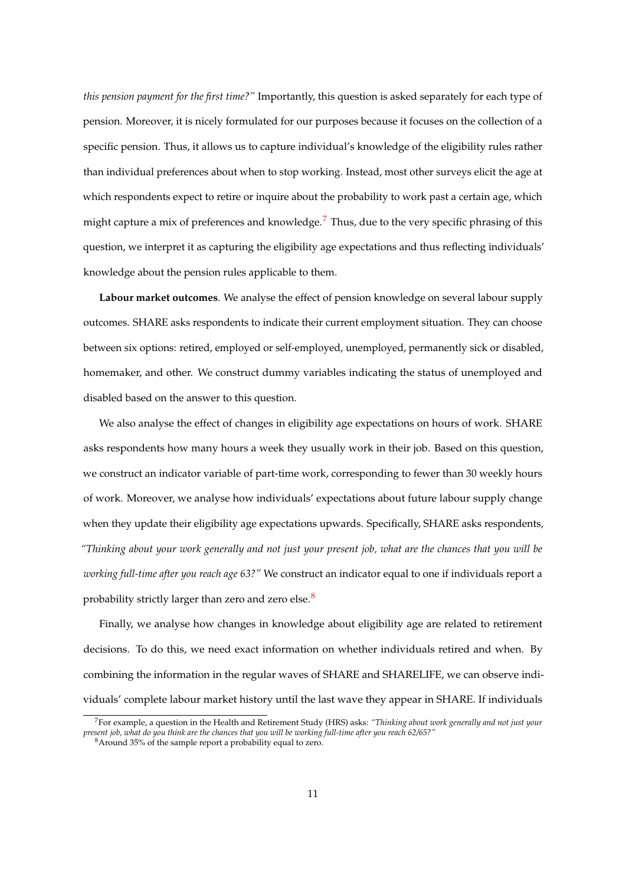*this pension payment for the first time?"* Importantly, this question is asked separately for each type of pension. Moreover, it is nicely formulated for our purposes because it focuses on the collection of a specific pension. Thus, it allows us to capture individual's knowledge of the eligibility rules rather than individual preferences about when to stop working. Instead, most other surveys elicit the age at which respondents expect to retire or inquire about the probability to work past a certain age, which might capture a mix of preferences and knowledge.<sup>[7](#page-12-0)</sup> Thus, due to the very specific phrasing of this question, we interpret it as capturing the eligibility age expectations and thus reflecting individuals' knowledge about the pension rules applicable to them.

**Labour market outcomes**. We analyse the effect of pension knowledge on several labour supply outcomes. SHARE asks respondents to indicate their current employment situation. They can choose between six options: retired, employed or self-employed, unemployed, permanently sick or disabled, homemaker, and other. We construct dummy variables indicating the status of unemployed and disabled based on the answer to this question.

We also analyse the effect of changes in eligibility age expectations on hours of work. SHARE asks respondents how many hours a week they usually work in their job. Based on this question, we construct an indicator variable of part-time work, corresponding to fewer than 30 weekly hours of work. Moreover, we analyse how individuals' expectations about future labour supply change when they update their eligibility age expectations upwards. Specifically, SHARE asks respondents, *"Thinking about your work generally and not just your present job, what are the chances that you will be working full-time after you reach age 63?"* We construct an indicator equal to one if individuals report a probability strictly larger than zero and zero else.<sup>[8](#page-12-1)</sup>

Finally, we analyse how changes in knowledge about eligibility age are related to retirement decisions. To do this, we need exact information on whether individuals retired and when. By combining the information in the regular waves of SHARE and SHARELIFE, we can observe individuals' complete labour market history until the last wave they appear in SHARE. If individuals

<span id="page-12-0"></span><sup>7</sup>For example, a question in the Health and Retirement Study (HRS) asks: *"Thinking about work generally and not just your present job, what do you think are the chances that you will be working full-time after you reach 62/65?"*

<span id="page-12-1"></span><sup>8</sup>Around 35% of the sample report a probability equal to zero.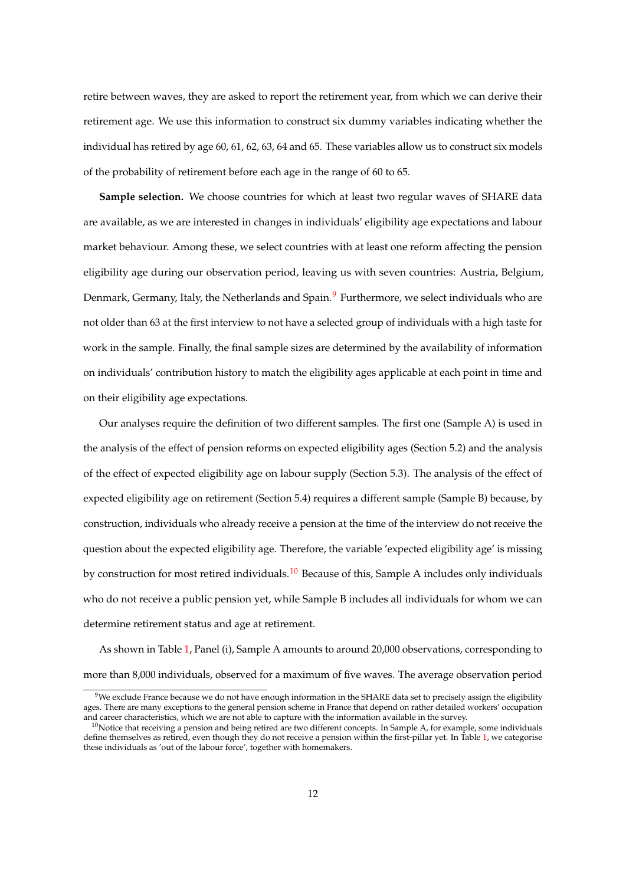retire between waves, they are asked to report the retirement year, from which we can derive their retirement age. We use this information to construct six dummy variables indicating whether the individual has retired by age 60, 61, 62, 63, 64 and 65. These variables allow us to construct six models of the probability of retirement before each age in the range of 60 to 65.

**Sample selection.** We choose countries for which at least two regular waves of SHARE data are available, as we are interested in changes in individuals' eligibility age expectations and labour market behaviour. Among these, we select countries with at least one reform affecting the pension eligibility age during our observation period, leaving us with seven countries: Austria, Belgium, Denmark, Germany, Italy, the Netherlands and Spain.<sup>[9](#page-13-0)</sup> Furthermore, we select individuals who are not older than 63 at the first interview to not have a selected group of individuals with a high taste for work in the sample. Finally, the final sample sizes are determined by the availability of information on individuals' contribution history to match the eligibility ages applicable at each point in time and on their eligibility age expectations.

Our analyses require the definition of two different samples. The first one (Sample A) is used in the analysis of the effect of pension reforms on expected eligibility ages (Section 5.2) and the analysis of the effect of expected eligibility age on labour supply (Section 5.3). The analysis of the effect of expected eligibility age on retirement (Section 5.4) requires a different sample (Sample B) because, by construction, individuals who already receive a pension at the time of the interview do not receive the question about the expected eligibility age. Therefore, the variable 'expected eligibility age' is missing by construction for most retired individuals.<sup>[10](#page-13-1)</sup> Because of this, Sample A includes only individuals who do not receive a public pension yet, while Sample B includes all individuals for whom we can determine retirement status and age at retirement.

As shown in Table [1,](#page-31-0) Panel (i), Sample A amounts to around 20,000 observations, corresponding to more than 8,000 individuals, observed for a maximum of five waves. The average observation period

<span id="page-13-0"></span> $9$ We exclude France because we do not have enough information in the SHARE data set to precisely assign the eligibility ages. There are many exceptions to the general pension scheme in France that depend on rather detailed workers' occupation and career characteristics, which we are not able to capture with the information available in the survey.

<span id="page-13-1"></span> $10$ Notice that receiving a pension and being retired are two different concepts. In Sample A, for example, some individuals define themselves as retired, even though they do not receive a pension within the first-pillar yet. In Table [1,](#page-31-0) we categorise these individuals as 'out of the labour force', together with homemakers.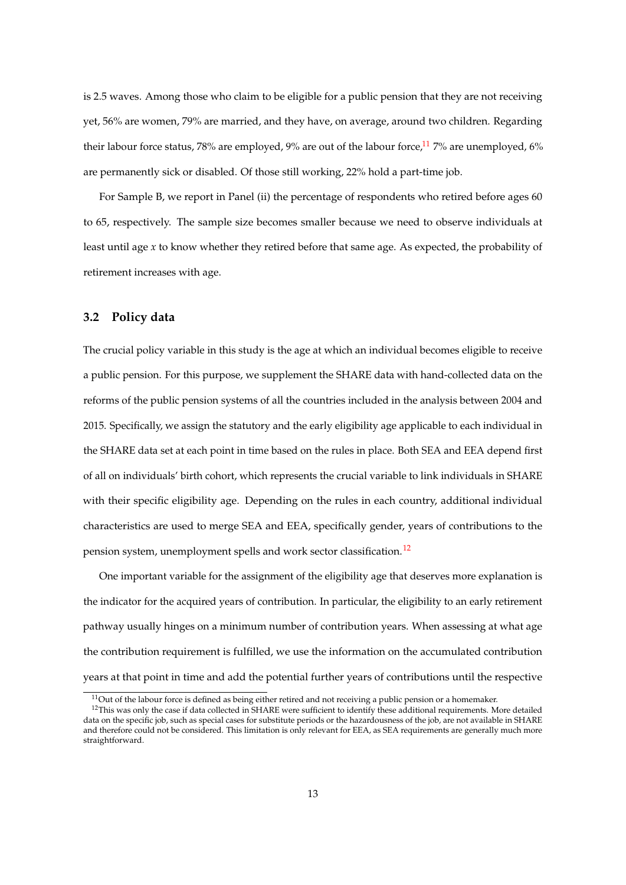is 2.5 waves. Among those who claim to be eligible for a public pension that they are not receiving yet, 56% are women, 79% are married, and they have, on average, around two children. Regarding their labour force status, 78% are employed, 9% are out of the labour force, $^{11}$  $^{11}$  $^{11}$  7% are unemployed, 6% are permanently sick or disabled. Of those still working, 22% hold a part-time job.

For Sample B, we report in Panel (ii) the percentage of respondents who retired before ages 60 to 65, respectively. The sample size becomes smaller because we need to observe individuals at least until age *x* to know whether they retired before that same age. As expected, the probability of retirement increases with age.

### **3.2 Policy data**

The crucial policy variable in this study is the age at which an individual becomes eligible to receive a public pension. For this purpose, we supplement the SHARE data with hand-collected data on the reforms of the public pension systems of all the countries included in the analysis between 2004 and 2015. Specifically, we assign the statutory and the early eligibility age applicable to each individual in the SHARE data set at each point in time based on the rules in place. Both SEA and EEA depend first of all on individuals' birth cohort, which represents the crucial variable to link individuals in SHARE with their specific eligibility age. Depending on the rules in each country, additional individual characteristics are used to merge SEA and EEA, specifically gender, years of contributions to the pension system, unemployment spells and work sector classification.<sup>[12](#page-14-1)</sup>

One important variable for the assignment of the eligibility age that deserves more explanation is the indicator for the acquired years of contribution. In particular, the eligibility to an early retirement pathway usually hinges on a minimum number of contribution years. When assessing at what age the contribution requirement is fulfilled, we use the information on the accumulated contribution years at that point in time and add the potential further years of contributions until the respective

<span id="page-14-1"></span><span id="page-14-0"></span> $11$ Out of the labour force is defined as being either retired and not receiving a public pension or a homemaker.

<sup>&</sup>lt;sup>12</sup>This was only the case if data collected in SHARE were sufficient to identify these additional requirements. More detailed data on the specific job, such as special cases for substitute periods or the hazardousness of the job, are not available in SHARE and therefore could not be considered. This limitation is only relevant for EEA, as SEA requirements are generally much more straightforward.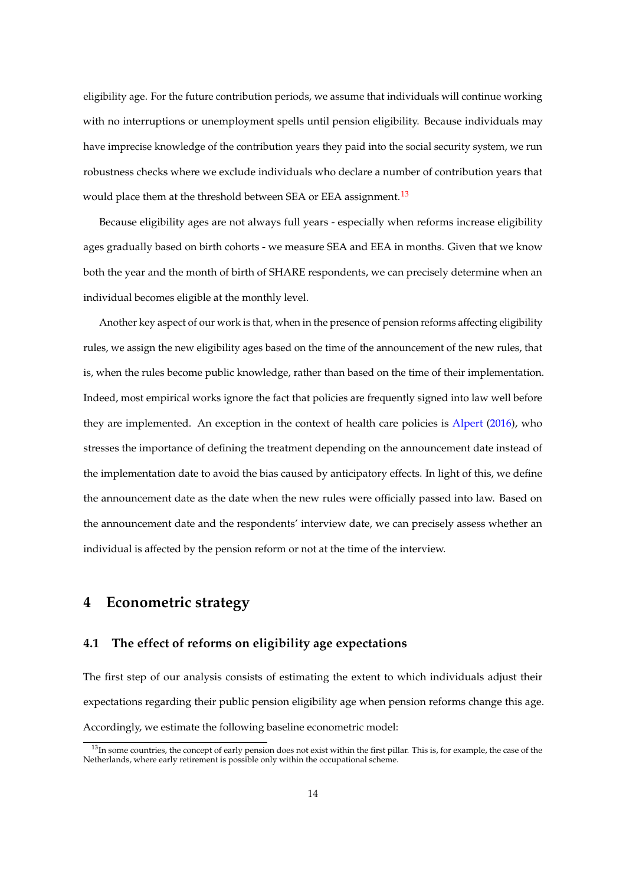eligibility age. For the future contribution periods, we assume that individuals will continue working with no interruptions or unemployment spells until pension eligibility. Because individuals may have imprecise knowledge of the contribution years they paid into the social security system, we run robustness checks where we exclude individuals who declare a number of contribution years that would place them at the threshold between SEA or EEA assignment.<sup>[13](#page-15-0)</sup>

Because eligibility ages are not always full years - especially when reforms increase eligibility ages gradually based on birth cohorts - we measure SEA and EEA in months. Given that we know both the year and the month of birth of SHARE respondents, we can precisely determine when an individual becomes eligible at the monthly level.

Another key aspect of our work is that, when in the presence of pension reforms affecting eligibility rules, we assign the new eligibility ages based on the time of the announcement of the new rules, that is, when the rules become public knowledge, rather than based on the time of their implementation. Indeed, most empirical works ignore the fact that policies are frequently signed into law well before they are implemented. An exception in the context of health care policies is [Alpert](#page-57-7) [\(2016\)](#page-57-7), who stresses the importance of defining the treatment depending on the announcement date instead of the implementation date to avoid the bias caused by anticipatory effects. In light of this, we define the announcement date as the date when the new rules were officially passed into law. Based on the announcement date and the respondents' interview date, we can precisely assess whether an individual is affected by the pension reform or not at the time of the interview.

## **4 Econometric strategy**

### **4.1 The effect of reforms on eligibility age expectations**

The first step of our analysis consists of estimating the extent to which individuals adjust their expectations regarding their public pension eligibility age when pension reforms change this age. Accordingly, we estimate the following baseline econometric model:

<span id="page-15-0"></span><sup>&</sup>lt;sup>13</sup>In some countries, the concept of early pension does not exist within the first pillar. This is, for example, the case of the Netherlands, where early retirement is possible only within the occupational scheme.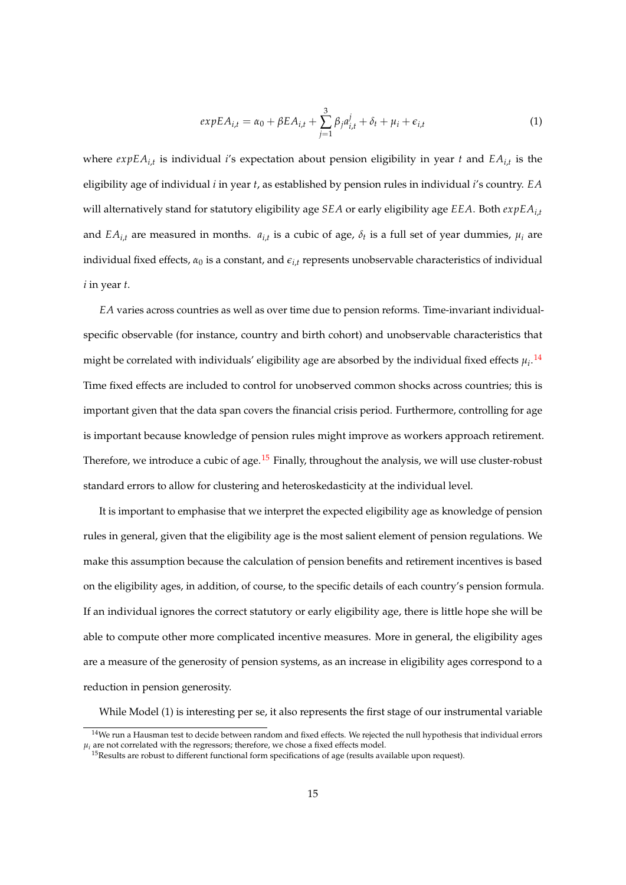$$
expEA_{i,t} = \alpha_0 + \beta EA_{i,t} + \sum_{j=1}^{3} \beta_j a_{i,t}^j + \delta_t + \mu_i + \epsilon_{i,t}
$$
\n(1)

where *expEAi*,*<sup>t</sup>* is individual *i*'s expectation about pension eligibility in year *t* and *EAi*,*<sup>t</sup>* is the eligibility age of individual *i* in year *t*, as established by pension rules in individual *i*'s country. *EA* will alternatively stand for statutory eligibility age *SEA* or early eligibility age *EEA*. Both *expEAi*,*<sup>t</sup>* and  $EA_{i,t}$  are measured in months.  $a_{i,t}$  is a cubic of age,  $\delta_t$  is a full set of year dummies,  $\mu_i$  are individual fixed effects,  $\alpha_0$  is a constant, and  $\epsilon_{i,t}$  represents unobservable characteristics of individual *i* in year *t*.

*EA* varies across countries as well as over time due to pension reforms. Time-invariant individualspecific observable (for instance, country and birth cohort) and unobservable characteristics that might be correlated with individuals' eligibility age are absorbed by the individual fixed effects  $\mu_i$ . <sup>[14](#page-16-0)</sup> Time fixed effects are included to control for unobserved common shocks across countries; this is important given that the data span covers the financial crisis period. Furthermore, controlling for age is important because knowledge of pension rules might improve as workers approach retirement. Therefore, we introduce a cubic of age.<sup>[15](#page-16-1)</sup> Finally, throughout the analysis, we will use cluster-robust standard errors to allow for clustering and heteroskedasticity at the individual level.

It is important to emphasise that we interpret the expected eligibility age as knowledge of pension rules in general, given that the eligibility age is the most salient element of pension regulations. We make this assumption because the calculation of pension benefits and retirement incentives is based on the eligibility ages, in addition, of course, to the specific details of each country's pension formula. If an individual ignores the correct statutory or early eligibility age, there is little hope she will be able to compute other more complicated incentive measures. More in general, the eligibility ages are a measure of the generosity of pension systems, as an increase in eligibility ages correspond to a reduction in pension generosity.

While Model (1) is interesting per se, it also represents the first stage of our instrumental variable

<span id="page-16-0"></span><sup>&</sup>lt;sup>14</sup>We run a Hausman test to decide between random and fixed effects. We rejected the null hypothesis that individual errors  $\mu_i$  are not correlated with the regressors; therefore, we chose a fixed effects model.

<span id="page-16-1"></span> $15$ Results are robust to different functional form specifications of age (results available upon request).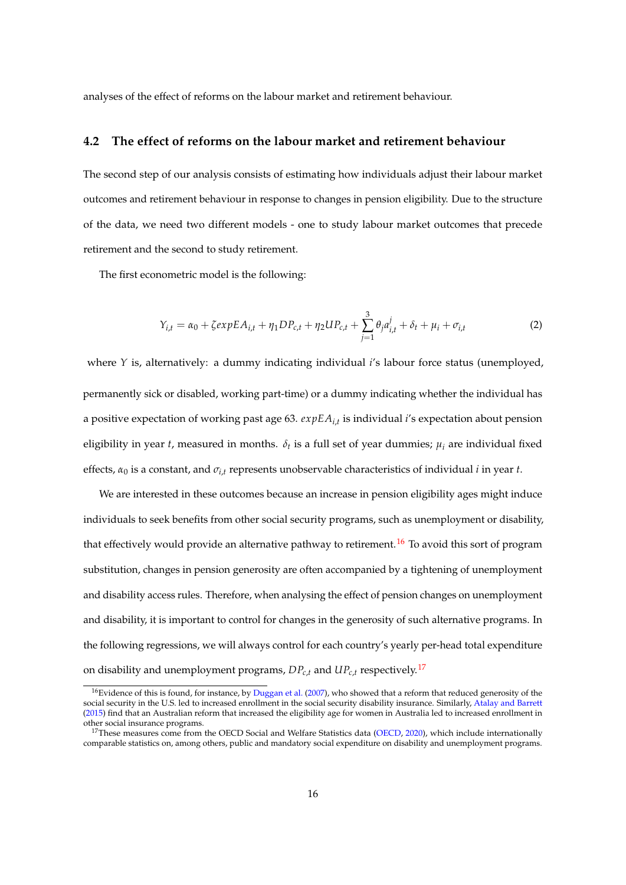analyses of the effect of reforms on the labour market and retirement behaviour.

### **4.2 The effect of reforms on the labour market and retirement behaviour**

The second step of our analysis consists of estimating how individuals adjust their labour market outcomes and retirement behaviour in response to changes in pension eligibility. Due to the structure of the data, we need two different models - one to study labour market outcomes that precede retirement and the second to study retirement.

The first econometric model is the following:

$$
Y_{i,t} = \alpha_0 + \zeta expEA_{i,t} + \eta_1 DP_{c,t} + \eta_2 UP_{c,t} + \sum_{j=1}^3 \theta_j a_{i,t}^j + \delta_t + \mu_i + \sigma_{i,t}
$$
 (2)

where *Y* is, alternatively: a dummy indicating individual *i*'s labour force status (unemployed, permanently sick or disabled, working part-time) or a dummy indicating whether the individual has a positive expectation of working past age 63. *expEAi*,*<sup>t</sup>* is individual *i*'s expectation about pension eligibility in year *t*, measured in months. *δ<sup>t</sup>* is a full set of year dummies; *µ<sup>i</sup>* are individual fixed effects,  $\alpha_0$  is a constant, and  $\sigma_i$ , represents unobservable characteristics of individual *i* in year *t*.

We are interested in these outcomes because an increase in pension eligibility ages might induce individuals to seek benefits from other social security programs, such as unemployment or disability, that effectively would provide an alternative pathway to retirement.<sup>[16](#page-17-0)</sup> To avoid this sort of program substitution, changes in pension generosity are often accompanied by a tightening of unemployment and disability access rules. Therefore, when analysing the effect of pension changes on unemployment and disability, it is important to control for changes in the generosity of such alternative programs. In the following regressions, we will always control for each country's yearly per-head total expenditure on disability and unemployment programs,  $DP_{c,t}$  and  $UP_{c,t}$  respectively.<sup>[17](#page-17-1)</sup>

<span id="page-17-0"></span><sup>&</sup>lt;sup>16</sup>Evidence of this is found, for instance, by [Duggan et al.](#page-59-8) [\(2007\)](#page-59-8), who showed that a reform that reduced generosity of the social security in the U.S. led to increased enrollment in the social security disability insurance. Similarly, [Atalay and Barrett](#page-57-2) [\(2015\)](#page-57-2) find that an Australian reform that increased the eligibility age for women in Australia led to increased enrollment in other social insurance programs.

<span id="page-17-1"></span><sup>&</sup>lt;sup>17</sup>These measures come from the OECD Social and Welfare Statistics data [\(OECD,](#page-60-9) [2020\)](#page-60-9), which include internationally comparable statistics on, among others, public and mandatory social expenditure on disability and unemployment programs.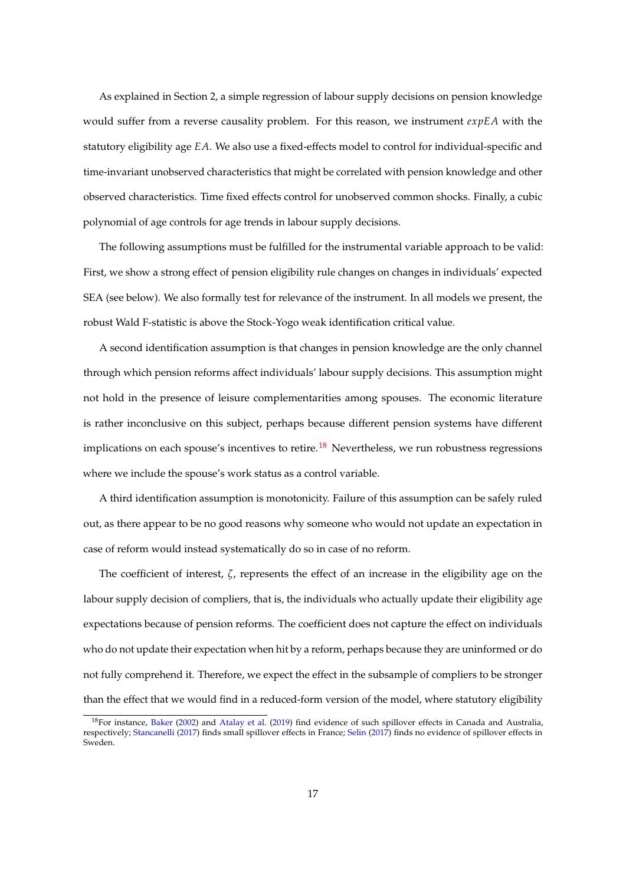As explained in Section 2, a simple regression of labour supply decisions on pension knowledge would suffer from a reverse causality problem. For this reason, we instrument *expEA* with the statutory eligibility age *EA*. We also use a fixed-effects model to control for individual-specific and time-invariant unobserved characteristics that might be correlated with pension knowledge and other observed characteristics. Time fixed effects control for unobserved common shocks. Finally, a cubic polynomial of age controls for age trends in labour supply decisions.

The following assumptions must be fulfilled for the instrumental variable approach to be valid: First, we show a strong effect of pension eligibility rule changes on changes in individuals' expected SEA (see below). We also formally test for relevance of the instrument. In all models we present, the robust Wald F-statistic is above the Stock-Yogo weak identification critical value.

A second identification assumption is that changes in pension knowledge are the only channel through which pension reforms affect individuals' labour supply decisions. This assumption might not hold in the presence of leisure complementarities among spouses. The economic literature is rather inconclusive on this subject, perhaps because different pension systems have different implications on each spouse's incentives to retire.<sup>[18](#page-18-0)</sup> Nevertheless, we run robustness regressions where we include the spouse's work status as a control variable.

A third identification assumption is monotonicity. Failure of this assumption can be safely ruled out, as there appear to be no good reasons why someone who would not update an expectation in case of reform would instead systematically do so in case of no reform.

The coefficient of interest, *ζ*, represents the effect of an increase in the eligibility age on the labour supply decision of compliers, that is, the individuals who actually update their eligibility age expectations because of pension reforms. The coefficient does not capture the effect on individuals who do not update their expectation when hit by a reform, perhaps because they are uninformed or do not fully comprehend it. Therefore, we expect the effect in the subsample of compliers to be stronger than the effect that we would find in a reduced-form version of the model, where statutory eligibility

<span id="page-18-0"></span><sup>18</sup>For instance, [Baker](#page-57-8) [\(2002\)](#page-57-8) and [Atalay et al.](#page-57-9) [\(2019\)](#page-57-9) find evidence of such spillover effects in Canada and Australia, respectively; [Stancanelli](#page-60-10) [\(2017\)](#page-60-10) finds small spillover effects in France; [Selin](#page-60-11) [\(2017\)](#page-60-11) finds no evidence of spillover effects in Sweden.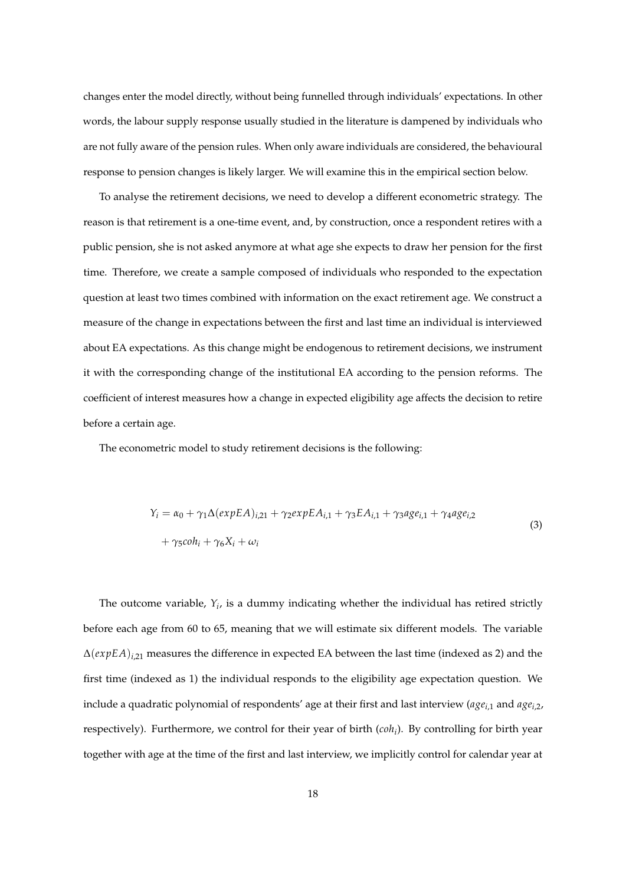changes enter the model directly, without being funnelled through individuals' expectations. In other words, the labour supply response usually studied in the literature is dampened by individuals who are not fully aware of the pension rules. When only aware individuals are considered, the behavioural response to pension changes is likely larger. We will examine this in the empirical section below.

To analyse the retirement decisions, we need to develop a different econometric strategy. The reason is that retirement is a one-time event, and, by construction, once a respondent retires with a public pension, she is not asked anymore at what age she expects to draw her pension for the first time. Therefore, we create a sample composed of individuals who responded to the expectation question at least two times combined with information on the exact retirement age. We construct a measure of the change in expectations between the first and last time an individual is interviewed about EA expectations. As this change might be endogenous to retirement decisions, we instrument it with the corresponding change of the institutional EA according to the pension reforms. The coefficient of interest measures how a change in expected eligibility age affects the decision to retire before a certain age.

The econometric model to study retirement decisions is the following:

$$
Y_i = \alpha_0 + \gamma_1 \Delta(expEA)_{i,21} + \gamma_2 expEA_{i,1} + \gamma_3 EA_{i,1} + \gamma_3 age_{i,1} + \gamma_4 age_{i,2}
$$
  
+ 
$$
\gamma_5 coh_i + \gamma_6 X_i + \omega_i
$$
 (3)

The outcome variable, *Y<sup>i</sup>* , is a dummy indicating whether the individual has retired strictly before each age from 60 to 65, meaning that we will estimate six different models. The variable ∆(*expEA*)*i*,21 measures the difference in expected EA between the last time (indexed as 2) and the first time (indexed as 1) the individual responds to the eligibility age expectation question. We include a quadratic polynomial of respondents' age at their first and last interview (*agei*,1 and *agei*,2, respectively). Furthermore, we control for their year of birth (*coh<sup>i</sup>* ). By controlling for birth year together with age at the time of the first and last interview, we implicitly control for calendar year at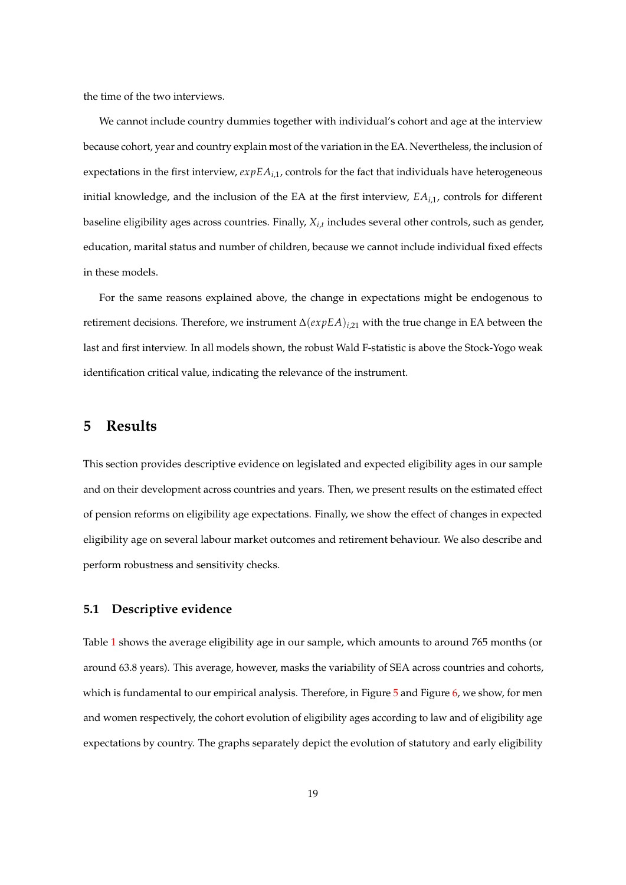the time of the two interviews.

We cannot include country dummies together with individual's cohort and age at the interview because cohort, year and country explain most of the variation in the EA. Nevertheless, the inclusion of expectations in the first interview, *expEAi*,1, controls for the fact that individuals have heterogeneous initial knowledge, and the inclusion of the EA at the first interview, *EAi*,1, controls for different baseline eligibility ages across countries. Finally, *Xi*,*<sup>t</sup>* includes several other controls, such as gender, education, marital status and number of children, because we cannot include individual fixed effects in these models.

For the same reasons explained above, the change in expectations might be endogenous to retirement decisions. Therefore, we instrument ∆(*expEA*)*i*,21 with the true change in EA between the last and first interview. In all models shown, the robust Wald F-statistic is above the Stock-Yogo weak identification critical value, indicating the relevance of the instrument.

## **5 Results**

This section provides descriptive evidence on legislated and expected eligibility ages in our sample and on their development across countries and years. Then, we present results on the estimated effect of pension reforms on eligibility age expectations. Finally, we show the effect of changes in expected eligibility age on several labour market outcomes and retirement behaviour. We also describe and perform robustness and sensitivity checks.

### **5.1 Descriptive evidence**

Table [1](#page-31-0) shows the average eligibility age in our sample, which amounts to around 765 months (or around 63.8 years). This average, however, masks the variability of SEA across countries and cohorts, which is fundamental to our empirical analysis. Therefore, in Figure  $5$  and Figure  $6$ , we show, for men and women respectively, the cohort evolution of eligibility ages according to law and of eligibility age expectations by country. The graphs separately depict the evolution of statutory and early eligibility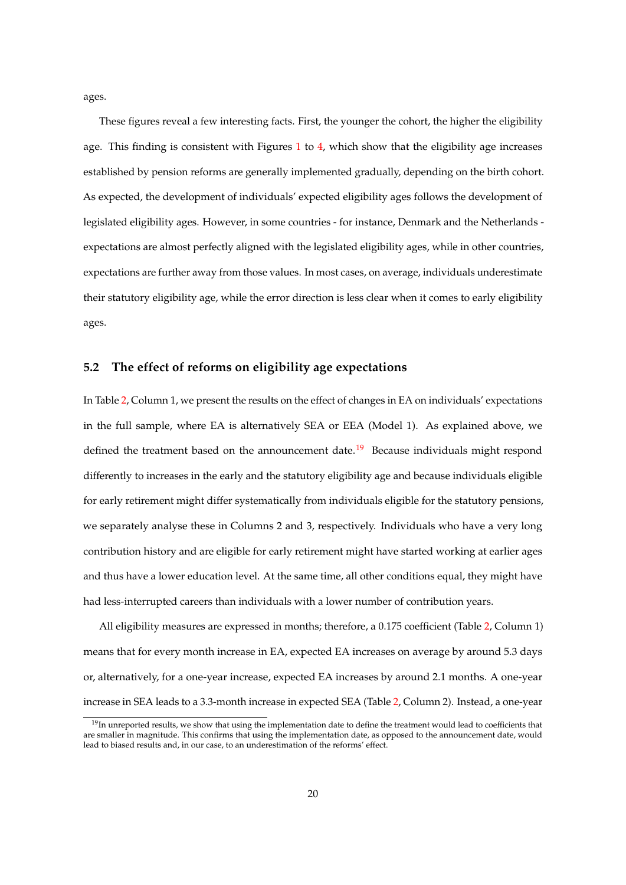ages.

These figures reveal a few interesting facts. First, the younger the cohort, the higher the eligibility age. This finding is consistent with Figures  $1$  to  $4$ , which show that the eligibility age increases established by pension reforms are generally implemented gradually, depending on the birth cohort. As expected, the development of individuals' expected eligibility ages follows the development of legislated eligibility ages. However, in some countries - for instance, Denmark and the Netherlands expectations are almost perfectly aligned with the legislated eligibility ages, while in other countries, expectations are further away from those values. In most cases, on average, individuals underestimate their statutory eligibility age, while the error direction is less clear when it comes to early eligibility ages.

### **5.2 The effect of reforms on eligibility age expectations**

In Table [2,](#page-31-1) Column 1, we present the results on the effect of changes in EA on individuals' expectations in the full sample, where EA is alternatively SEA or EEA (Model 1). As explained above, we defined the treatment based on the announcement date.<sup>[19](#page-21-0)</sup> Because individuals might respond differently to increases in the early and the statutory eligibility age and because individuals eligible for early retirement might differ systematically from individuals eligible for the statutory pensions, we separately analyse these in Columns 2 and 3, respectively. Individuals who have a very long contribution history and are eligible for early retirement might have started working at earlier ages and thus have a lower education level. At the same time, all other conditions equal, they might have had less-interrupted careers than individuals with a lower number of contribution years.

All eligibility measures are expressed in months; therefore, a 0.175 coefficient (Table [2,](#page-31-1) Column 1) means that for every month increase in EA, expected EA increases on average by around 5.3 days or, alternatively, for a one-year increase, expected EA increases by around 2.1 months. A one-year increase in SEA leads to a 3.3-month increase in expected SEA (Table [2,](#page-31-1) Column 2). Instead, a one-year

<span id="page-21-0"></span> $19$ In unreported results, we show that using the implementation date to define the treatment would lead to coefficients that are smaller in magnitude. This confirms that using the implementation date, as opposed to the announcement date, would lead to biased results and, in our case, to an underestimation of the reforms' effect.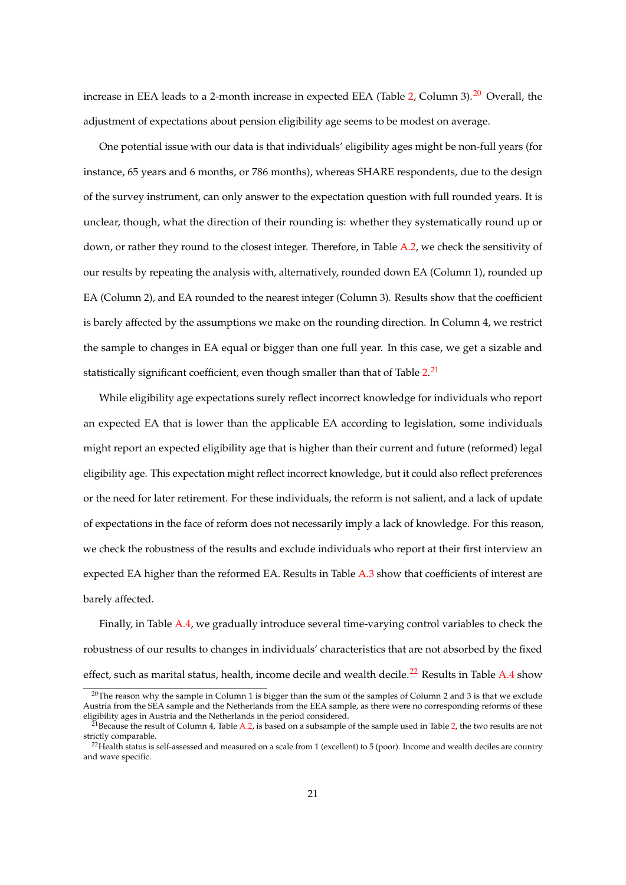increase in EEA leads to a 2-month increase in expected EEA (Table [2,](#page-31-1) Column 3).<sup>[20](#page-22-0)</sup> Overall, the adjustment of expectations about pension eligibility age seems to be modest on average.

One potential issue with our data is that individuals' eligibility ages might be non-full years (for instance, 65 years and 6 months, or 786 months), whereas SHARE respondents, due to the design of the survey instrument, can only answer to the expectation question with full rounded years. It is unclear, though, what the direction of their rounding is: whether they systematically round up or down, or rather they round to the closest integer. Therefore, in Table [A.2,](#page-48-0) we check the sensitivity of our results by repeating the analysis with, alternatively, rounded down EA (Column 1), rounded up EA (Column 2), and EA rounded to the nearest integer (Column 3). Results show that the coefficient is barely affected by the assumptions we make on the rounding direction. In Column 4, we restrict the sample to changes in EA equal or bigger than one full year. In this case, we get a sizable and statistically significant coefficient, even though smaller than that of Table [2.](#page-31-1)<sup>[21](#page-22-1)</sup>

While eligibility age expectations surely reflect incorrect knowledge for individuals who report an expected EA that is lower than the applicable EA according to legislation, some individuals might report an expected eligibility age that is higher than their current and future (reformed) legal eligibility age. This expectation might reflect incorrect knowledge, but it could also reflect preferences or the need for later retirement. For these individuals, the reform is not salient, and a lack of update of expectations in the face of reform does not necessarily imply a lack of knowledge. For this reason, we check the robustness of the results and exclude individuals who report at their first interview an expected EA higher than the reformed EA. Results in Table  $A.3$  show that coefficients of interest are barely affected.

Finally, in Table [A.4,](#page-50-0) we gradually introduce several time-varying control variables to check the robustness of our results to changes in individuals' characteristics that are not absorbed by the fixed effect, such as marital status, health, income decile and wealth decile.<sup>[22](#page-22-2)</sup> Results in Table [A.4](#page-50-0) show

<span id="page-22-0"></span><sup>&</sup>lt;sup>20</sup>The reason why the sample in Column 1 is bigger than the sum of the samples of Column 2 and 3 is that we exclude Austria from the SEA sample and the Netherlands from the EEA sample, as there were no corresponding reforms of these eligibility ages in Austria and the Netherlands in the period considered.

<span id="page-22-1"></span>Because the result of Column 4, Table [A.2,](#page-48-0) is based on a subsample of the sample used in Table [2,](#page-31-1) the two results are not strictly comparable.

<span id="page-22-2"></span> $^{22}$ Health status is self-assessed and measured on a scale from 1 (excellent) to 5 (poor). Income and wealth deciles are country and wave specific.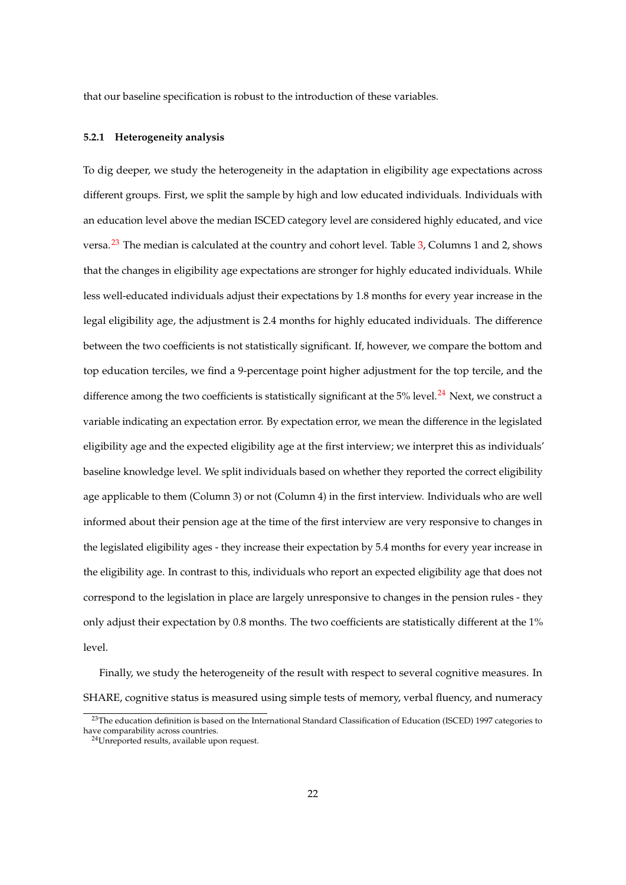that our baseline specification is robust to the introduction of these variables.

#### **5.2.1 Heterogeneity analysis**

To dig deeper, we study the heterogeneity in the adaptation in eligibility age expectations across different groups. First, we split the sample by high and low educated individuals. Individuals with an education level above the median ISCED category level are considered highly educated, and vice versa.<sup>[23](#page-23-0)</sup> The median is calculated at the country and cohort level. Table [3,](#page-32-0) Columns 1 and 2, shows that the changes in eligibility age expectations are stronger for highly educated individuals. While less well-educated individuals adjust their expectations by 1.8 months for every year increase in the legal eligibility age, the adjustment is 2.4 months for highly educated individuals. The difference between the two coefficients is not statistically significant. If, however, we compare the bottom and top education terciles, we find a 9-percentage point higher adjustment for the top tercile, and the difference among the two coefficients is statistically significant at the 5% level.<sup>[24](#page-23-1)</sup> Next, we construct a variable indicating an expectation error. By expectation error, we mean the difference in the legislated eligibility age and the expected eligibility age at the first interview; we interpret this as individuals' baseline knowledge level. We split individuals based on whether they reported the correct eligibility age applicable to them (Column 3) or not (Column 4) in the first interview. Individuals who are well informed about their pension age at the time of the first interview are very responsive to changes in the legislated eligibility ages - they increase their expectation by 5.4 months for every year increase in the eligibility age. In contrast to this, individuals who report an expected eligibility age that does not correspond to the legislation in place are largely unresponsive to changes in the pension rules - they only adjust their expectation by 0.8 months. The two coefficients are statistically different at the 1% level.

Finally, we study the heterogeneity of the result with respect to several cognitive measures. In SHARE, cognitive status is measured using simple tests of memory, verbal fluency, and numeracy

<span id="page-23-0"></span><sup>&</sup>lt;sup>23</sup>The education definition is based on the International Standard Classification of Education (ISCED) 1997 categories to have comparability across countries.

<span id="page-23-1"></span><sup>24</sup>Unreported results, available upon request.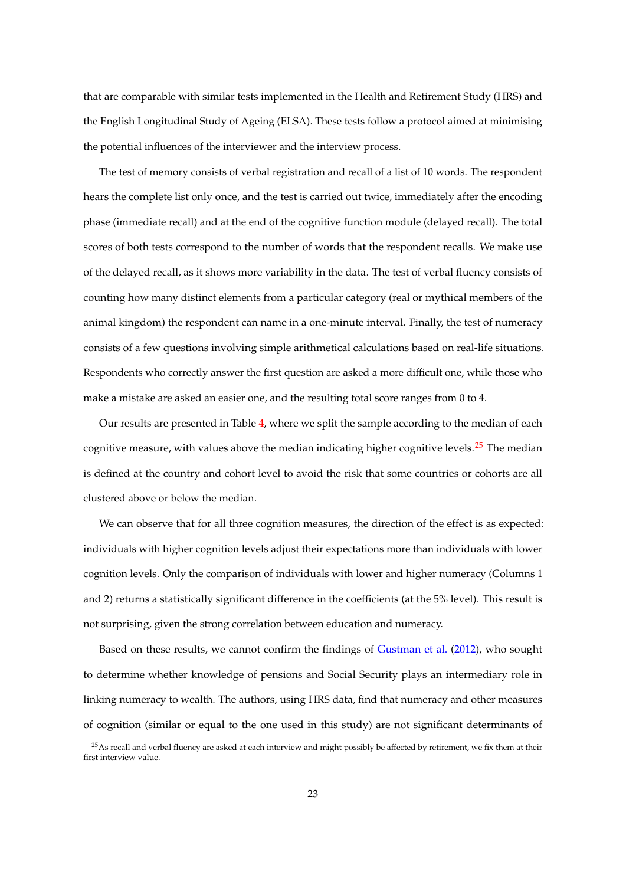that are comparable with similar tests implemented in the Health and Retirement Study (HRS) and the English Longitudinal Study of Ageing (ELSA). These tests follow a protocol aimed at minimising the potential influences of the interviewer and the interview process.

The test of memory consists of verbal registration and recall of a list of 10 words. The respondent hears the complete list only once, and the test is carried out twice, immediately after the encoding phase (immediate recall) and at the end of the cognitive function module (delayed recall). The total scores of both tests correspond to the number of words that the respondent recalls. We make use of the delayed recall, as it shows more variability in the data. The test of verbal fluency consists of counting how many distinct elements from a particular category (real or mythical members of the animal kingdom) the respondent can name in a one-minute interval. Finally, the test of numeracy consists of a few questions involving simple arithmetical calculations based on real-life situations. Respondents who correctly answer the first question are asked a more difficult one, while those who make a mistake are asked an easier one, and the resulting total score ranges from 0 to 4.

Our results are presented in Table [4,](#page-33-0) where we split the sample according to the median of each cognitive measure, with values above the median indicating higher cognitive levels.<sup>[25](#page-24-0)</sup> The median is defined at the country and cohort level to avoid the risk that some countries or cohorts are all clustered above or below the median.

We can observe that for all three cognition measures, the direction of the effect is as expected: individuals with higher cognition levels adjust their expectations more than individuals with lower cognition levels. Only the comparison of individuals with lower and higher numeracy (Columns 1 and 2) returns a statistically significant difference in the coefficients (at the 5% level). This result is not surprising, given the strong correlation between education and numeracy.

Based on these results, we cannot confirm the findings of [Gustman et al.](#page-59-9) [\(2012\)](#page-59-9), who sought to determine whether knowledge of pensions and Social Security plays an intermediary role in linking numeracy to wealth. The authors, using HRS data, find that numeracy and other measures of cognition (similar or equal to the one used in this study) are not significant determinants of

<span id="page-24-0"></span><sup>&</sup>lt;sup>25</sup>As recall and verbal fluency are asked at each interview and might possibly be affected by retirement, we fix them at their first interview value.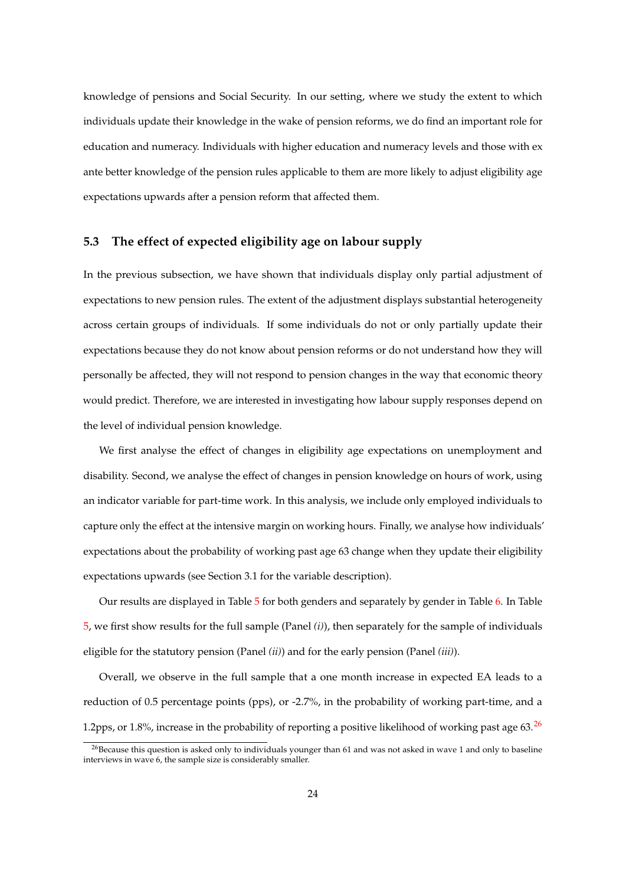knowledge of pensions and Social Security. In our setting, where we study the extent to which individuals update their knowledge in the wake of pension reforms, we do find an important role for education and numeracy. Individuals with higher education and numeracy levels and those with ex ante better knowledge of the pension rules applicable to them are more likely to adjust eligibility age expectations upwards after a pension reform that affected them.

### **5.3 The effect of expected eligibility age on labour supply**

In the previous subsection, we have shown that individuals display only partial adjustment of expectations to new pension rules. The extent of the adjustment displays substantial heterogeneity across certain groups of individuals. If some individuals do not or only partially update their expectations because they do not know about pension reforms or do not understand how they will personally be affected, they will not respond to pension changes in the way that economic theory would predict. Therefore, we are interested in investigating how labour supply responses depend on the level of individual pension knowledge.

We first analyse the effect of changes in eligibility age expectations on unemployment and disability. Second, we analyse the effect of changes in pension knowledge on hours of work, using an indicator variable for part-time work. In this analysis, we include only employed individuals to capture only the effect at the intensive margin on working hours. Finally, we analyse how individuals' expectations about the probability of working past age 63 change when they update their eligibility expectations upwards (see Section 3.1 for the variable description).

Our results are displayed in Table [5](#page-34-0) for both genders and separately by gender in Table [6.](#page-35-0) In Table [5,](#page-34-0) we first show results for the full sample (Panel *(i)*), then separately for the sample of individuals eligible for the statutory pension (Panel *(ii)*) and for the early pension (Panel *(iii)*).

Overall, we observe in the full sample that a one month increase in expected EA leads to a reduction of 0.5 percentage points (pps), or -2.7%, in the probability of working part-time, and a 1.2pps, or 1.8%, increase in the probability of reporting a positive likelihood of working past age  $63.26$  $63.26$ 

<span id="page-25-0"></span> $^{26}$ Because this question is asked only to individuals younger than 61 and was not asked in wave 1 and only to baseline interviews in wave 6, the sample size is considerably smaller.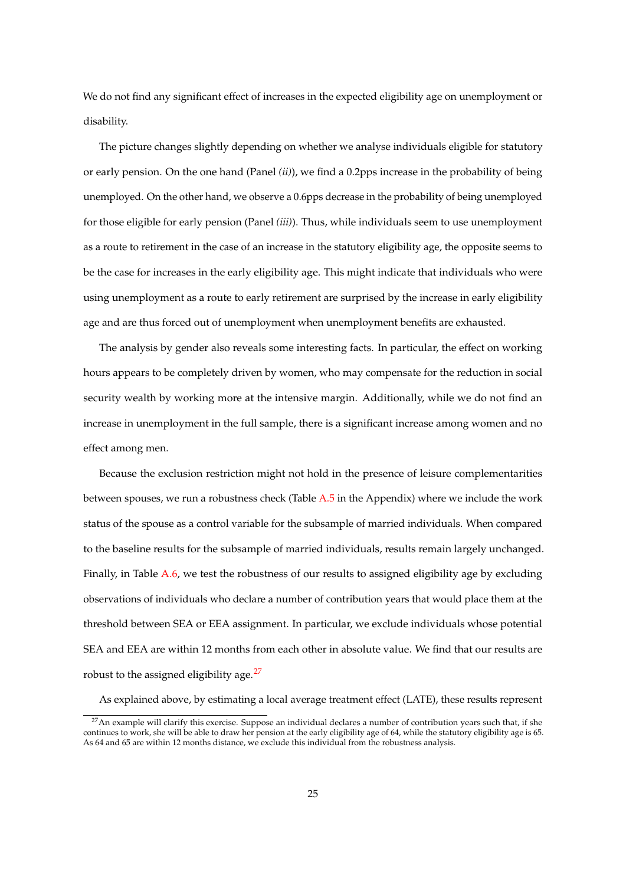We do not find any significant effect of increases in the expected eligibility age on unemployment or disability.

The picture changes slightly depending on whether we analyse individuals eligible for statutory or early pension. On the one hand (Panel *(ii)*), we find a 0.2pps increase in the probability of being unemployed. On the other hand, we observe a 0.6pps decrease in the probability of being unemployed for those eligible for early pension (Panel *(iii)*). Thus, while individuals seem to use unemployment as a route to retirement in the case of an increase in the statutory eligibility age, the opposite seems to be the case for increases in the early eligibility age. This might indicate that individuals who were using unemployment as a route to early retirement are surprised by the increase in early eligibility age and are thus forced out of unemployment when unemployment benefits are exhausted.

The analysis by gender also reveals some interesting facts. In particular, the effect on working hours appears to be completely driven by women, who may compensate for the reduction in social security wealth by working more at the intensive margin. Additionally, while we do not find an increase in unemployment in the full sample, there is a significant increase among women and no effect among men.

Because the exclusion restriction might not hold in the presence of leisure complementarities between spouses, we run a robustness check (Table [A.5](#page-51-0) in the Appendix) where we include the work status of the spouse as a control variable for the subsample of married individuals. When compared to the baseline results for the subsample of married individuals, results remain largely unchanged. Finally, in Table [A.6,](#page-52-0) we test the robustness of our results to assigned eligibility age by excluding observations of individuals who declare a number of contribution years that would place them at the threshold between SEA or EEA assignment. In particular, we exclude individuals whose potential SEA and EEA are within 12 months from each other in absolute value. We find that our results are robust to the assigned eligibility age.<sup>[27](#page-26-0)</sup>

As explained above, by estimating a local average treatment effect (LATE), these results represent

<span id="page-26-0"></span> $27$ An example will clarify this exercise. Suppose an individual declares a number of contribution years such that, if she continues to work, she will be able to draw her pension at the early eligibility age of 64, while the statutory eligibility age is 65. As 64 and 65 are within 12 months distance, we exclude this individual from the robustness analysis.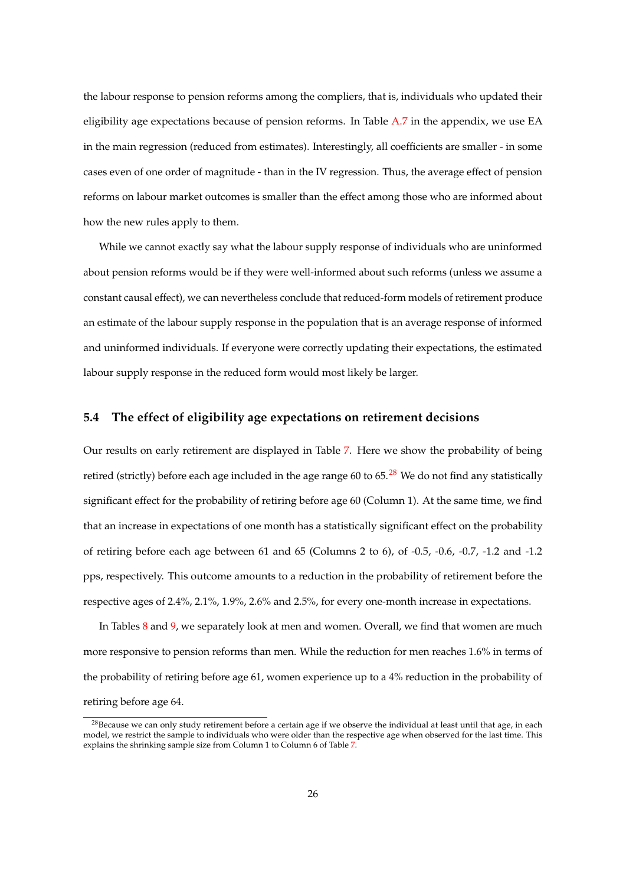the labour response to pension reforms among the compliers, that is, individuals who updated their eligibility age expectations because of pension reforms. In Table [A.7](#page-53-0) in the appendix, we use EA in the main regression (reduced from estimates). Interestingly, all coefficients are smaller - in some cases even of one order of magnitude - than in the IV regression. Thus, the average effect of pension reforms on labour market outcomes is smaller than the effect among those who are informed about how the new rules apply to them.

While we cannot exactly say what the labour supply response of individuals who are uninformed about pension reforms would be if they were well-informed about such reforms (unless we assume a constant causal effect), we can nevertheless conclude that reduced-form models of retirement produce an estimate of the labour supply response in the population that is an average response of informed and uninformed individuals. If everyone were correctly updating their expectations, the estimated labour supply response in the reduced form would most likely be larger.

### **5.4 The effect of eligibility age expectations on retirement decisions**

Our results on early retirement are displayed in Table [7.](#page-36-0) Here we show the probability of being retired (strictly) before each age included in the age range 60 to  $65<sup>28</sup>$  $65<sup>28</sup>$  $65<sup>28</sup>$  We do not find any statistically significant effect for the probability of retiring before age 60 (Column 1). At the same time, we find that an increase in expectations of one month has a statistically significant effect on the probability of retiring before each age between 61 and 65 (Columns 2 to 6), of -0.5, -0.6, -0.7, -1.2 and -1.2 pps, respectively. This outcome amounts to a reduction in the probability of retirement before the respective ages of 2.4%, 2.1%, 1.9%, 2.6% and 2.5%, for every one-month increase in expectations.

In Tables [8](#page-37-0) and [9,](#page-38-0) we separately look at men and women. Overall, we find that women are much more responsive to pension reforms than men. While the reduction for men reaches 1.6% in terms of the probability of retiring before age 61, women experience up to a 4% reduction in the probability of retiring before age 64.

<span id="page-27-0"></span> $^{28}$ Because we can only study retirement before a certain age if we observe the individual at least until that age, in each model, we restrict the sample to individuals who were older than the respective age when observed for the last time. This explains the shrinking sample size from Column 1 to Column 6 of Table [7.](#page-36-0)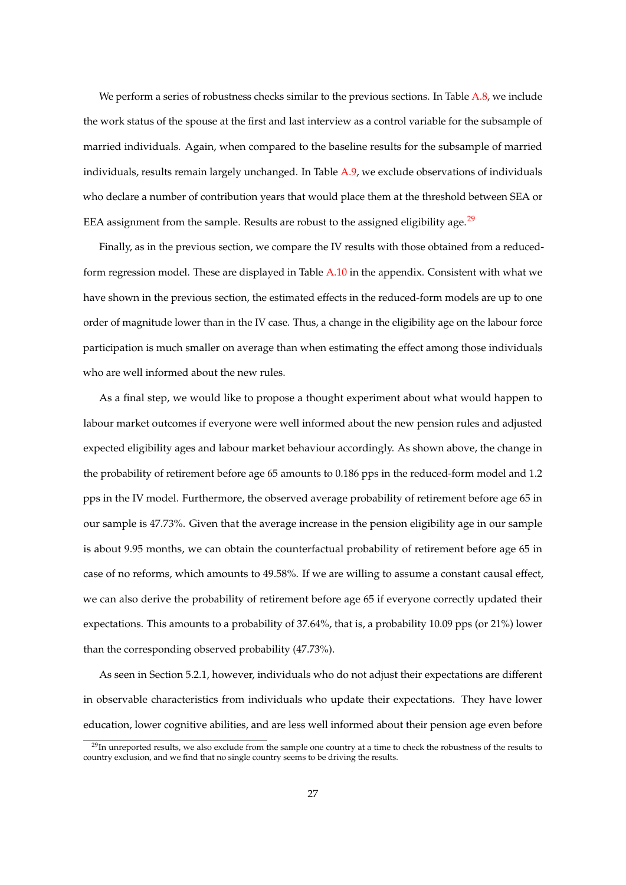We perform a series of robustness checks similar to the previous sections. In Table [A.8,](#page-54-0) we include the work status of the spouse at the first and last interview as a control variable for the subsample of married individuals. Again, when compared to the baseline results for the subsample of married individuals, results remain largely unchanged. In Table [A.9,](#page-55-0) we exclude observations of individuals who declare a number of contribution years that would place them at the threshold between SEA or EEA assignment from the sample. Results are robust to the assigned eligibility age. $^{29}$  $^{29}$  $^{29}$ 

Finally, as in the previous section, we compare the IV results with those obtained from a reducedform regression model. These are displayed in Table [A.10](#page-56-0) in the appendix. Consistent with what we have shown in the previous section, the estimated effects in the reduced-form models are up to one order of magnitude lower than in the IV case. Thus, a change in the eligibility age on the labour force participation is much smaller on average than when estimating the effect among those individuals who are well informed about the new rules.

As a final step, we would like to propose a thought experiment about what would happen to labour market outcomes if everyone were well informed about the new pension rules and adjusted expected eligibility ages and labour market behaviour accordingly. As shown above, the change in the probability of retirement before age 65 amounts to 0.186 pps in the reduced-form model and 1.2 pps in the IV model. Furthermore, the observed average probability of retirement before age 65 in our sample is 47.73%. Given that the average increase in the pension eligibility age in our sample is about 9.95 months, we can obtain the counterfactual probability of retirement before age 65 in case of no reforms, which amounts to 49.58%. If we are willing to assume a constant causal effect, we can also derive the probability of retirement before age 65 if everyone correctly updated their expectations. This amounts to a probability of 37.64%, that is, a probability 10.09 pps (or 21%) lower than the corresponding observed probability (47.73%).

As seen in Section 5.2.1, however, individuals who do not adjust their expectations are different in observable characteristics from individuals who update their expectations. They have lower education, lower cognitive abilities, and are less well informed about their pension age even before

<span id="page-28-0"></span> $29$ In unreported results, we also exclude from the sample one country at a time to check the robustness of the results to country exclusion, and we find that no single country seems to be driving the results.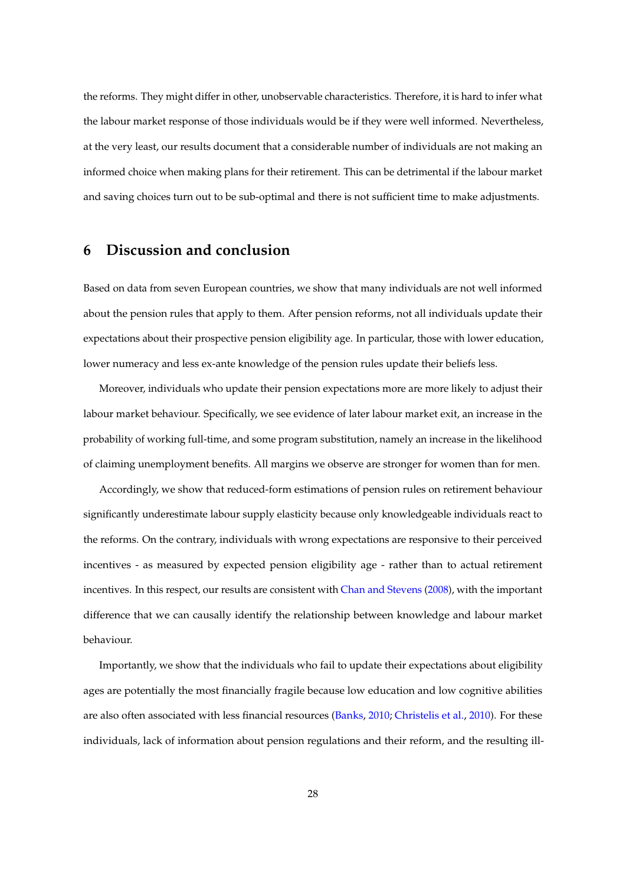the reforms. They might differ in other, unobservable characteristics. Therefore, it is hard to infer what the labour market response of those individuals would be if they were well informed. Nevertheless, at the very least, our results document that a considerable number of individuals are not making an informed choice when making plans for their retirement. This can be detrimental if the labour market and saving choices turn out to be sub-optimal and there is not sufficient time to make adjustments.

## **6 Discussion and conclusion**

Based on data from seven European countries, we show that many individuals are not well informed about the pension rules that apply to them. After pension reforms, not all individuals update their expectations about their prospective pension eligibility age. In particular, those with lower education, lower numeracy and less ex-ante knowledge of the pension rules update their beliefs less.

Moreover, individuals who update their pension expectations more are more likely to adjust their labour market behaviour. Specifically, we see evidence of later labour market exit, an increase in the probability of working full-time, and some program substitution, namely an increase in the likelihood of claiming unemployment benefits. All margins we observe are stronger for women than for men.

Accordingly, we show that reduced-form estimations of pension rules on retirement behaviour significantly underestimate labour supply elasticity because only knowledgeable individuals react to the reforms. On the contrary, individuals with wrong expectations are responsive to their perceived incentives - as measured by expected pension eligibility age - rather than to actual retirement incentives. In this respect, our results are consistent with [Chan and Stevens](#page-58-4) [\(2008\)](#page-58-4), with the important difference that we can causally identify the relationship between knowledge and labour market behaviour.

Importantly, we show that the individuals who fail to update their expectations about eligibility ages are potentially the most financially fragile because low education and low cognitive abilities are also often associated with less financial resources [\(Banks,](#page-57-10) [2010;](#page-57-10) [Christelis et al.,](#page-58-10) [2010\)](#page-58-10). For these individuals, lack of information about pension regulations and their reform, and the resulting ill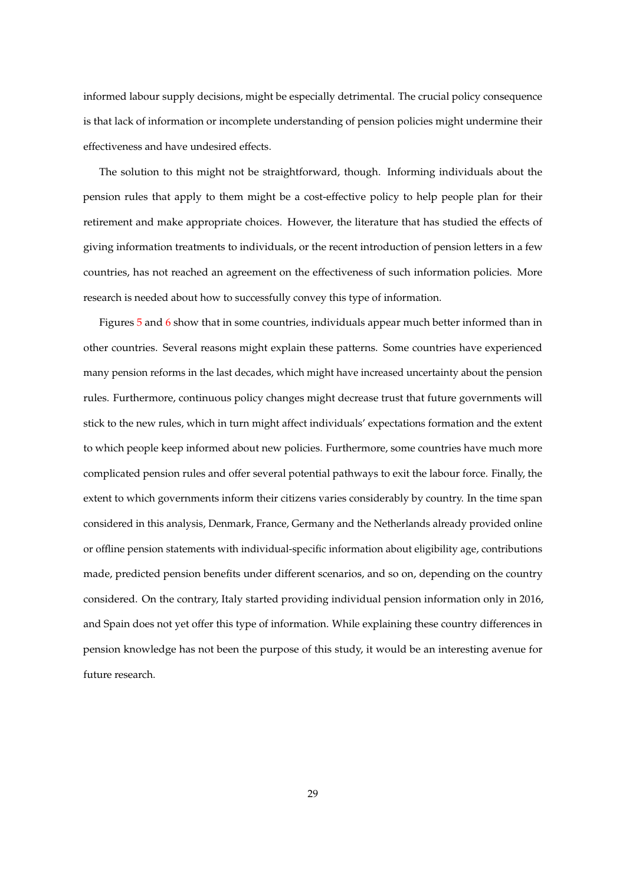informed labour supply decisions, might be especially detrimental. The crucial policy consequence is that lack of information or incomplete understanding of pension policies might undermine their effectiveness and have undesired effects.

The solution to this might not be straightforward, though. Informing individuals about the pension rules that apply to them might be a cost-effective policy to help people plan for their retirement and make appropriate choices. However, the literature that has studied the effects of giving information treatments to individuals, or the recent introduction of pension letters in a few countries, has not reached an agreement on the effectiveness of such information policies. More research is needed about how to successfully convey this type of information.

Figures [5](#page-43-0) and [6](#page-44-0) show that in some countries, individuals appear much better informed than in other countries. Several reasons might explain these patterns. Some countries have experienced many pension reforms in the last decades, which might have increased uncertainty about the pension rules. Furthermore, continuous policy changes might decrease trust that future governments will stick to the new rules, which in turn might affect individuals' expectations formation and the extent to which people keep informed about new policies. Furthermore, some countries have much more complicated pension rules and offer several potential pathways to exit the labour force. Finally, the extent to which governments inform their citizens varies considerably by country. In the time span considered in this analysis, Denmark, France, Germany and the Netherlands already provided online or offline pension statements with individual-specific information about eligibility age, contributions made, predicted pension benefits under different scenarios, and so on, depending on the country considered. On the contrary, Italy started providing individual pension information only in 2016, and Spain does not yet offer this type of information. While explaining these country differences in pension knowledge has not been the purpose of this study, it would be an interesting avenue for future research.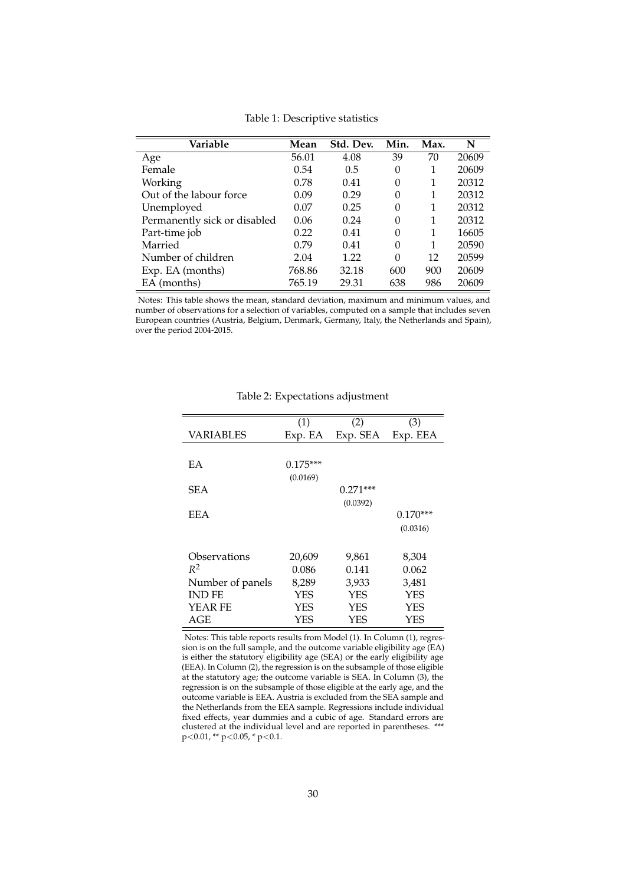<span id="page-31-0"></span>

| Variable                     | Mean   | Std. Dev. | Min.     | Max. | N     |
|------------------------------|--------|-----------|----------|------|-------|
| Age                          | 56.01  | 4.08      | 39       | 70   | 20609 |
| Female                       | 0.54   | 0.5       | 0        | 1    | 20609 |
| Working                      | 0.78   | 0.41      | $\Omega$ | 1    | 20312 |
| Out of the labour force      | 0.09   | 0.29      | 0        | 1    | 20312 |
| Unemployed                   | 0.07   | 0.25      | 0        | 1    | 20312 |
| Permanently sick or disabled | 0.06   | 0.24      | 0        | 1    | 20312 |
| Part-time job                | 0.22   | 0.41      | 0        | 1    | 16605 |
| Married                      | 0.79   | 0.41      | 0        | 1    | 20590 |
| Number of children           | 2.04   | 1.22      | $\Omega$ | 12   | 20599 |
| Exp. EA (months)             | 768.86 | 32.18     | 600      | 900  | 20609 |
| EA (months)                  | 765.19 | 29.31     | 638      | 986  | 20609 |

Table 1: Descriptive statistics

<span id="page-31-1"></span>Notes: This table shows the mean, standard deviation, maximum and minimum values, and number of observations for a selection of variables, computed on a sample that includes seven European countries (Austria, Belgium, Denmark, Germany, Italy, the Netherlands and Spain), over the period 2004-2015.

|                  | (1)        | (2)        | (3)        |
|------------------|------------|------------|------------|
| VARIABLES        | Exp. EA    | Exp. SEA   | Exp. EEA   |
|                  |            |            |            |
| EA               | $0.175***$ |            |            |
|                  | (0.0169)   |            |            |
| <b>SEA</b>       |            | $0.271***$ |            |
|                  |            | (0.0392)   |            |
| EEA              |            |            | $0.170***$ |
|                  |            |            | (0.0316)   |
|                  |            |            |            |
| Observations     | 20,609     | 9,861      | 8,304      |
| $R^2$            | 0.086      | 0.141      | 0.062      |
| Number of panels | 8,289      | 3,933      | 3,481      |
| <b>IND FE</b>    | <b>YES</b> | <b>YES</b> | <b>YES</b> |
| YEAR FE          | <b>YES</b> | <b>YES</b> | YES        |
| AGE              | YES        | YES        | YES        |

Table 2: Expectations adjustment

Notes: This table reports results from Model (1). In Column (1), regression is on the full sample, and the outcome variable eligibility age (EA) is either the statutory eligibility age (SEA) or the early eligibility age (EEA). In Column (2), the regression is on the subsample of those eligible at the statutory age; the outcome variable is SEA. In Column (3), the regression is on the subsample of those eligible at the early age, and the outcome variable is EEA. Austria is excluded from the SEA sample and the Netherlands from the EEA sample. Regressions include individual fixed effects, year dummies and a cubic of age. Standard errors are clustered at the individual level and are reported in parentheses. \*\*\* p<0.01, \*\* p<0.05, \* p<0.1.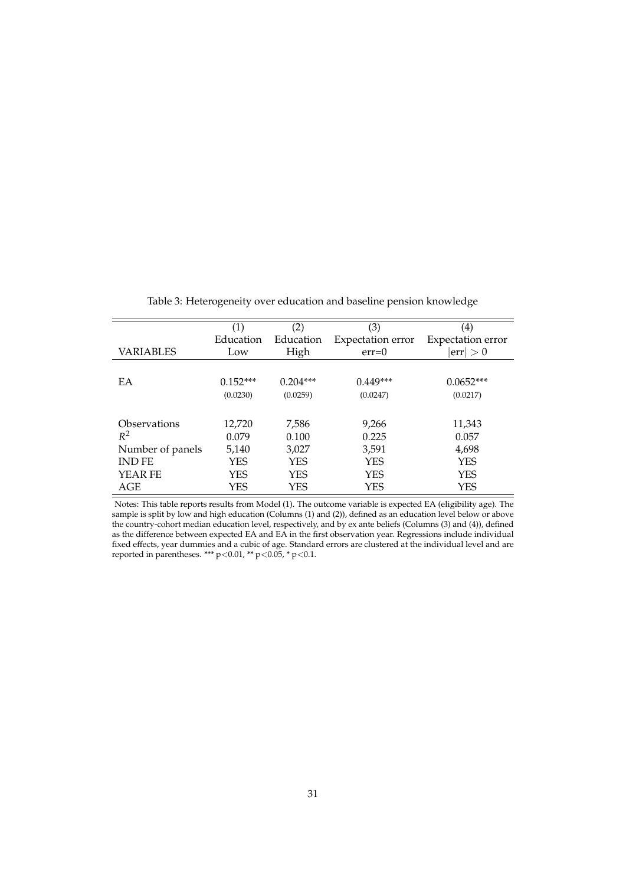<span id="page-32-0"></span>

|                  | $\left( 1\right)$ | (2)        | (3)                      | (4)                          |
|------------------|-------------------|------------|--------------------------|------------------------------|
|                  | Education         | Education  | <b>Expectation</b> error | <b>Expectation error</b>     |
| VARIABLES        | Low               | High       | $err=0$                  | $\vert \text{err} \vert > 0$ |
|                  |                   |            |                          |                              |
| EA               | $0.152***$        | $0.204***$ | $0.449***$               | $0.0652***$                  |
|                  | (0.0230)          | (0.0259)   | (0.0247)                 | (0.0217)                     |
|                  |                   |            |                          |                              |
| Observations     | 12,720            | 7,586      | 9,266                    | 11,343                       |
| $R^2$            | 0.079             | 0.100      | 0.225                    | 0.057                        |
| Number of panels | 5,140             | 3,027      | 3,591                    | 4,698                        |
| <b>IND FE</b>    | YES               | <b>YES</b> | <b>YES</b>               | YES                          |
| YEAR FE          | YES               | <b>YES</b> | <b>YES</b>               | YES                          |
| AGE              | YES               | <b>YES</b> | YES                      | YES                          |

Table 3: Heterogeneity over education and baseline pension knowledge

Notes: This table reports results from Model (1). The outcome variable is expected EA (eligibility age). The sample is split by low and high education (Columns (1) and (2)), defined as an education level below or above the country-cohort median education level, respectively, and by ex ante beliefs (Columns (3) and (4)), defined as the difference between expected EA and EA in the first observation year. Regressions include individual fixed effects, year dummies and a cubic of age. Standard errors are clustered at the individual level and are reported in parentheses. \*\*\*  $p<0.01$ , \*\*  $p<0.05$ , \*  $p<0.1$ .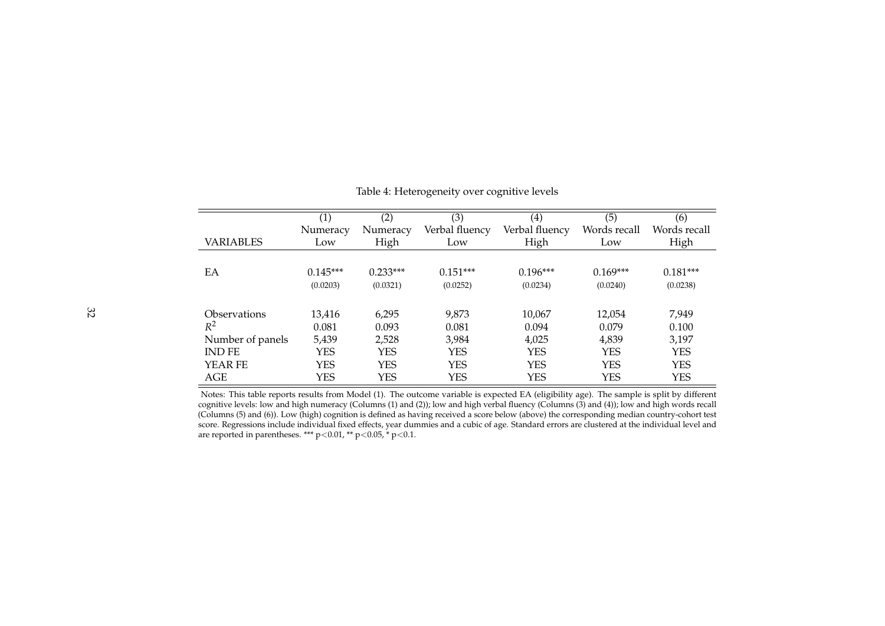|                     | (1)        | (2)        | (3)            | (4)            | $\overline{(5)}$ | (6)          |
|---------------------|------------|------------|----------------|----------------|------------------|--------------|
|                     | Numeracy   | Numeracy   | Verbal fluency | Verbal fluency | Words recall     | Words recall |
| VARIABLES           | Low        | High       | Low            | High           | Low              | High         |
|                     |            |            |                |                |                  |              |
| EA                  | $0.145***$ | $0.233***$ | $0.151***$     | $0.196***$     | $0.169***$       | $0.181***$   |
|                     | (0.0203)   | (0.0321)   | (0.0252)       | (0.0234)       | (0.0240)         | (0.0238)     |
|                     |            |            |                |                |                  |              |
| <b>Observations</b> | 13,416     | 6,295      | 9,873          | 10,067         | 12,054           | 7,949        |
| $R^2$               | 0.081      | 0.093      | 0.081          | 0.094          | 0.079            | 0.100        |
| Number of panels    | 5,439      | 2,528      | 3,984          | 4,025          | 4,839            | 3,197        |
| <b>IND FE</b>       | YES        | <b>YES</b> | <b>YES</b>     | <b>YES</b>     | <b>YES</b>       | <b>YES</b>   |
| <b>YEAR FE</b>      | YES        | <b>YES</b> | <b>YES</b>     | <b>YES</b>     | <b>YES</b>       | <b>YES</b>   |
| AGE                 | YES        | <b>YES</b> | <b>YES</b>     | <b>YES</b>     | <b>YES</b>       | <b>YES</b>   |

Table 4: Heterogeneity over cognitive levels

<span id="page-33-0"></span>Notes: This table reports results from Model (1). The outcome variable is expected EA (eligibility age). The sample is split by different cognitive levels: low and high numeracy (Columns (1) and (2)); low and high verbal fluency (Columns (3) and (4)); low and high words recall (Columns (5) and (6)). Low (high) cognition is defined as having received <sup>a</sup> score below (above) the corresponding median country-cohort test score. Regressions include individual fixed effects, year dummies and <sup>a</sup> cubic of age. Standard errors are clustered at the individual level andare reported in parentheses. \*\*\*  $p < 0.01$ , \*\*  $p < 0.05$ , \*  $p < 0.1$ .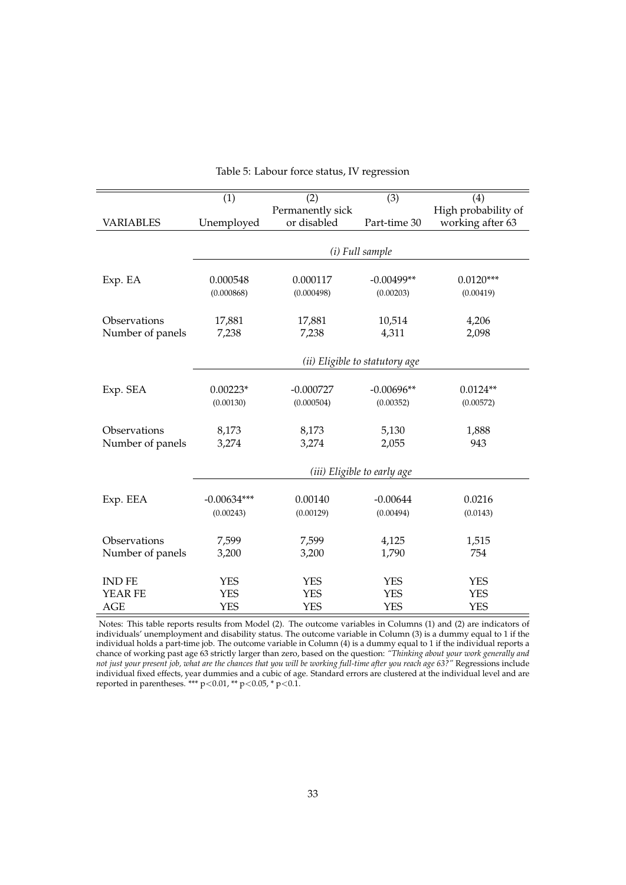<span id="page-34-0"></span>

|                  | $\overline{(1)}$ | (2)              | $\overline{(3)}$               | (4)                 |
|------------------|------------------|------------------|--------------------------------|---------------------|
|                  |                  | Permanently sick |                                | High probability of |
| <b>VARIABLES</b> | Unemployed       | or disabled      | Part-time 30                   | working after 63    |
|                  |                  |                  |                                |                     |
|                  |                  |                  | (i) Full sample                |                     |
|                  |                  |                  |                                |                     |
| Exp. EA          | 0.000548         | 0.000117         | $-0.00499**$                   | $0.0120***$         |
|                  | (0.000868)       | (0.000498)       | (0.00203)                      | (0.00419)           |
|                  |                  |                  |                                |                     |
| Observations     | 17,881           | 17,881           | 10,514                         | 4,206               |
| Number of panels | 7,238            | 7,238            | 4,311                          | 2,098               |
|                  |                  |                  |                                |                     |
|                  |                  |                  | (ii) Eligible to statutory age |                     |
|                  |                  |                  |                                |                     |
| Exp. SEA         | $0.00223*$       | $-0.000727$      | $-0.00696**$                   | $0.0124**$          |
|                  | (0.00130)        | (0.000504)       | (0.00352)                      | (0.00572)           |
|                  |                  |                  |                                |                     |
| Observations     | 8,173            | 8,173            | 5,130                          | 1,888               |
| Number of panels | 3,274            | 3,274            | 2,055                          | 943                 |
|                  |                  |                  |                                |                     |
|                  |                  |                  |                                |                     |
|                  |                  |                  | (iii) Eligible to early age    |                     |
| Exp. EEA         | $-0.00634***$    | 0.00140          | $-0.00644$                     | 0.0216              |
|                  | (0.00243)        | (0.00129)        | (0.00494)                      |                     |
|                  |                  |                  |                                | (0.0143)            |
| Observations     | 7,599            | 7,599            | 4,125                          | 1,515               |
| Number of panels | 3,200            | 3,200            | 1,790                          | 754                 |
|                  |                  |                  |                                |                     |
| <b>IND FE</b>    | <b>YES</b>       | <b>YES</b>       | <b>YES</b>                     | <b>YES</b>          |
| YEAR FE          | <b>YES</b>       | <b>YES</b>       | <b>YES</b>                     | <b>YES</b>          |
| <b>AGE</b>       | <b>YES</b>       | <b>YES</b>       | <b>YES</b>                     | <b>YES</b>          |
|                  |                  |                  |                                |                     |

|  |  |  |  | Table 5: Labour force status, IV regression |
|--|--|--|--|---------------------------------------------|
|--|--|--|--|---------------------------------------------|

Notes: This table reports results from Model (2). The outcome variables in Columns (1) and (2) are indicators of individuals' unemployment and disability status. The outcome variable in Column (3) is a dummy equal to 1 if the individual holds a part-time job. The outcome variable in Column (4) is a dummy equal to 1 if the individual reports a chance of working past age 63 strictly larger than zero, based on the question: *"Thinking about your work generally and not just your present job, what are the chances that you will be working full-time after you reach age 63?"* Regressions include individual fixed effects, year dummies and a cubic of age. Standard errors are clustered at the individual level and are reported in parentheses. \*\*\* p<0.01, \*\* p<0.05, \* p<0.1.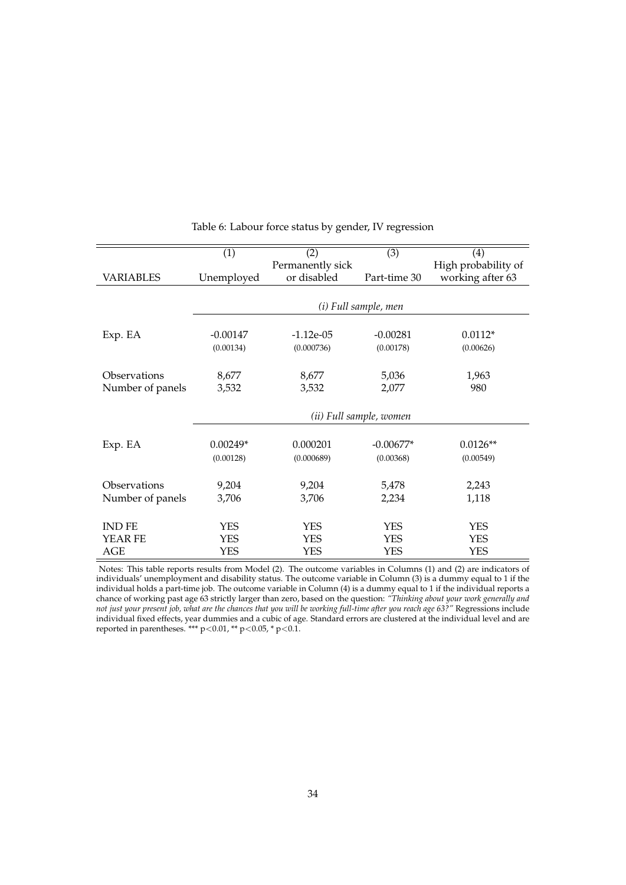<span id="page-35-0"></span>

|                  | (1)        | (2)              | (3)                     | $\left(4\right)$    |
|------------------|------------|------------------|-------------------------|---------------------|
|                  |            | Permanently sick |                         | High probability of |
| <b>VARIABLES</b> | Unemployed | or disabled      | Part-time 30            | working after 63    |
|                  |            |                  |                         |                     |
|                  |            |                  | (i) Full sample, men    |                     |
|                  |            |                  |                         |                     |
| Exp. EA          | $-0.00147$ | $-1.12e-05$      | $-0.00281$              | $0.0112*$           |
|                  | (0.00134)  | (0.000736)       | (0.00178)               | (0.00626)           |
| Observations     | 8,677      | 8,677            | 5,036                   | 1,963               |
| Number of panels | 3,532      | 3,532            | 2,077                   | 980                 |
|                  |            |                  |                         |                     |
|                  |            |                  | (ii) Full sample, women |                     |
| Exp. EA          | $0.00249*$ | 0.000201         | $-0.00677*$             | $0.0126**$          |
|                  | (0.00128)  | (0.000689)       | (0.00368)               | (0.00549)           |
|                  |            |                  |                         |                     |
| Observations     | 9,204      | 9,204            | 5,478                   | 2,243               |
| Number of panels | 3,706      | 3,706            | 2,234                   | 1,118               |
| <b>IND FE</b>    | <b>YES</b> | <b>YES</b>       | <b>YES</b>              | <b>YES</b>          |
| YEAR FE          | YES        | <b>YES</b>       | <b>YES</b>              | <b>YES</b>          |
| AGE              | <b>YES</b> | <b>YES</b>       | <b>YES</b>              | <b>YES</b>          |
|                  |            |                  |                         |                     |

Table 6: Labour force status by gender, IV regression

Notes: This table reports results from Model (2). The outcome variables in Columns (1) and (2) are indicators of individuals' unemployment and disability status. The outcome variable in Column (3) is a dummy equal to 1 if the individual holds a part-time job. The outcome variable in Column (4) is a dummy equal to 1 if the individual reports a chance of working past age 63 strictly larger than zero, based on the question: *"Thinking about your work generally and not just your present job, what are the chances that you will be working full-time after you reach age 63?"* Regressions include individual fixed effects, year dummies and a cubic of age. Standard errors are clustered at the individual level and are reported in parentheses. \*\*\* p<0.01, \*\* p<0.05, \* p<0.1.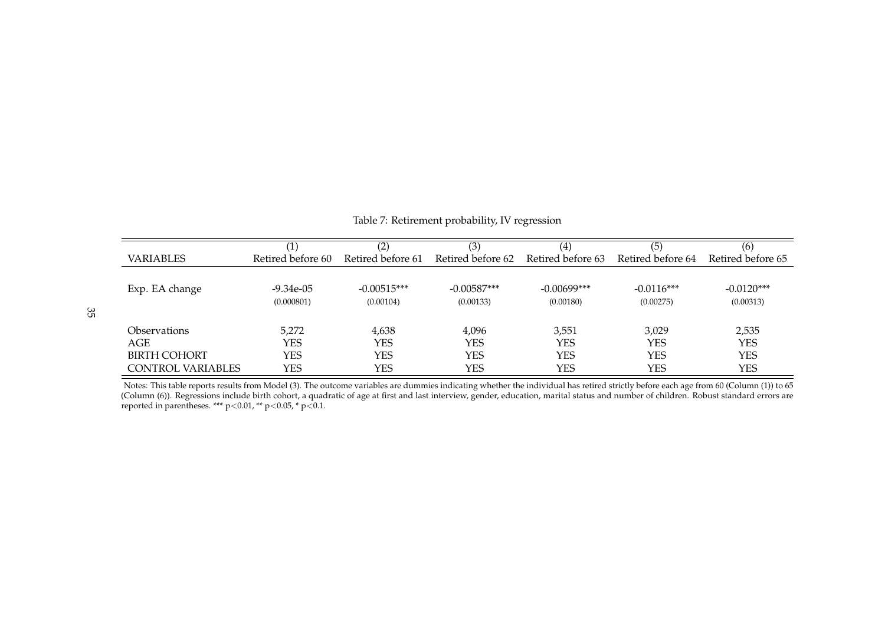|                     | (1)               | (2)               | (3)               | $\left( 4\right)$ | (5)               | (6)               |
|---------------------|-------------------|-------------------|-------------------|-------------------|-------------------|-------------------|
| <b>VARIABLES</b>    | Retired before 60 | Retired before 61 | Retired before 62 | Retired before 63 | Retired before 64 | Retired before 65 |
|                     |                   |                   |                   |                   |                   |                   |
| Exp. EA change      | $-9.34e-05$       | $-0.00515***$     | $-0.00587***$     | $-0.00699***$     | $-0.0116***$      | $-0.0120***$      |
|                     | (0.000801)        | (0.00104)         | (0.00133)         | (0.00180)         | (0.00275)         | (0.00313)         |
|                     |                   |                   |                   |                   |                   |                   |
| <b>Observations</b> | 5.272             | 4,638             | 4,096             | 3,551             | 3,029             | 2,535             |
| AGE                 | YES               | YES               | YES               | <b>YES</b>        | YES               | <b>YES</b>        |
| <b>BIRTH COHORT</b> | YES               | YES               | YES               | <b>YES</b>        | <b>YES</b>        | <b>YES</b>        |
| CONTROL VARIABLES   | YES               | YES               | YES               | <b>YES</b>        | YES               | <b>YES</b>        |

<span id="page-36-0"></span>Notes: This table reports results from Model (3). The outcome variables are dummies indicating whether the individual has retired strictly before each age from 60 (Column (1)) to 65 (Column (6)). Regressions include birth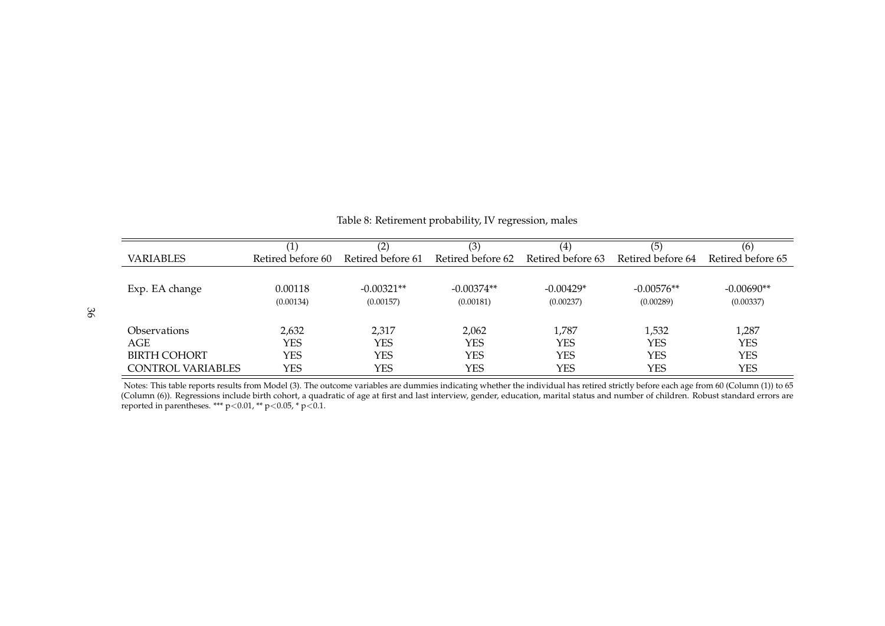|                     |                   | (2)               | (3)               | $\left( 4\right)$ | (5)               | (6)               |
|---------------------|-------------------|-------------------|-------------------|-------------------|-------------------|-------------------|
| <b>VARIABLES</b>    | Retired before 60 | Retired before 61 | Retired before 62 | Retired before 63 | Retired before 64 | Retired before 65 |
|                     |                   |                   |                   |                   |                   |                   |
| Exp. EA change      | 0.00118           | $-0.00321**$      | $-0.00374**$      | $-0.00429*$       | $-0.00576**$      | $-0.00690**$      |
|                     | (0.00134)         | (0.00157)         | (0.00181)         | (0.00237)         | (0.00289)         | (0.00337)         |
|                     |                   |                   |                   |                   |                   |                   |
| Observations        | 2,632             | 2.317             | 2,062             | 1,787             | 1,532             | 1,287             |
| AGE                 | YES               | YES               | YES               | YES               | <b>YES</b>        | <b>YES</b>        |
| <b>BIRTH COHORT</b> | YES               | <b>YES</b>        | <b>YES</b>        | YES               | <b>YES</b>        | <b>YES</b>        |
| CONTROL VARIABLES   | YES               | YES               | YES               | YES               | <b>YES</b>        | <b>YES</b>        |

| Table 8: Retirement probability, IV regression, males |  |  |
|-------------------------------------------------------|--|--|
|                                                       |  |  |

<span id="page-37-0"></span>Notes: This table reports results from Model (3). The outcome variables are dummies indicating whether the individual has retired strictly before each age from 60 (Column (1)) to 65 (Column (6)). Regressions include birth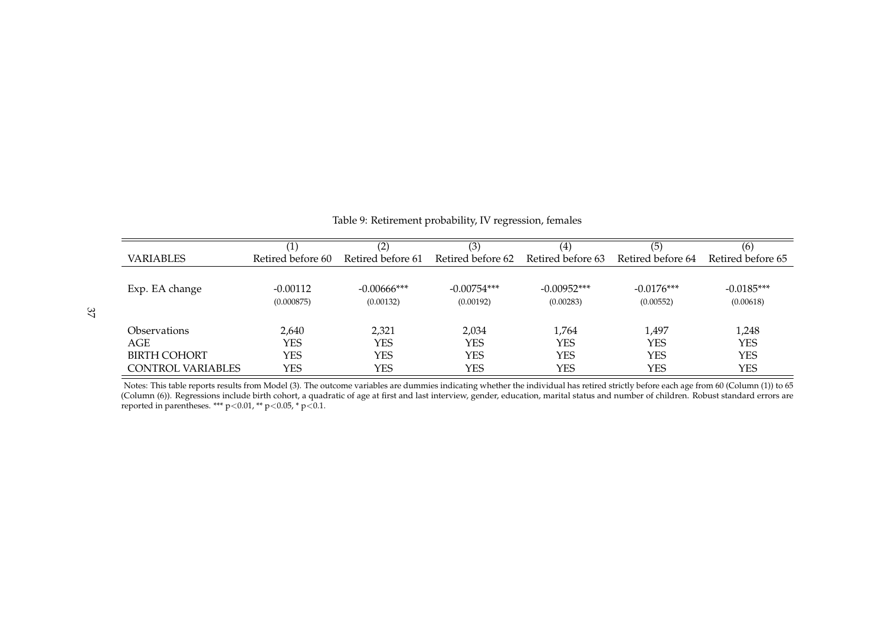|                     | (1)               | (2)               | (3)               | $\left( 4\right)$ | (5)               | (6)               |
|---------------------|-------------------|-------------------|-------------------|-------------------|-------------------|-------------------|
| <b>VARIABLES</b>    | Retired before 60 | Retired before 61 | Retired before 62 | Retired before 63 | Retired before 64 | Retired before 65 |
|                     |                   |                   |                   |                   |                   |                   |
| Exp. EA change      | $-0.00112$        | $-0.00666$ ***    | $-0.00754***$     | $-0.00952***$     | $-0.0176***$      | $-0.0185***$      |
|                     | (0.000875)        | (0.00132)         | (0.00192)         | (0.00283)         | (0.00552)         | (0.00618)         |
|                     |                   |                   |                   |                   |                   |                   |
| <b>Observations</b> | 2,640             | 2,321             | 2,034             | 1,764             | 1,497             | 1,248             |
| AGE                 | YES               | YES               | YES               | <b>YES</b>        | YES               | <b>YES</b>        |
| <b>BIRTH COHORT</b> | YES               | YES               | YES               | <b>YES</b>        | <b>YES</b>        | <b>YES</b>        |
| CONTROL VARIABLES   | YES               | YES               | YES               | <b>YES</b>        | YES               | <b>YES</b>        |

| Table 9: Retirement probability, IV regression, females |  |  |
|---------------------------------------------------------|--|--|
|                                                         |  |  |

<span id="page-38-0"></span>Notes: This table reports results from Model (3). The outcome variables are dummies indicating whether the individual has retired strictly before each age from 60 (Column (1)) to 65 (Column (6)). Regressions include birth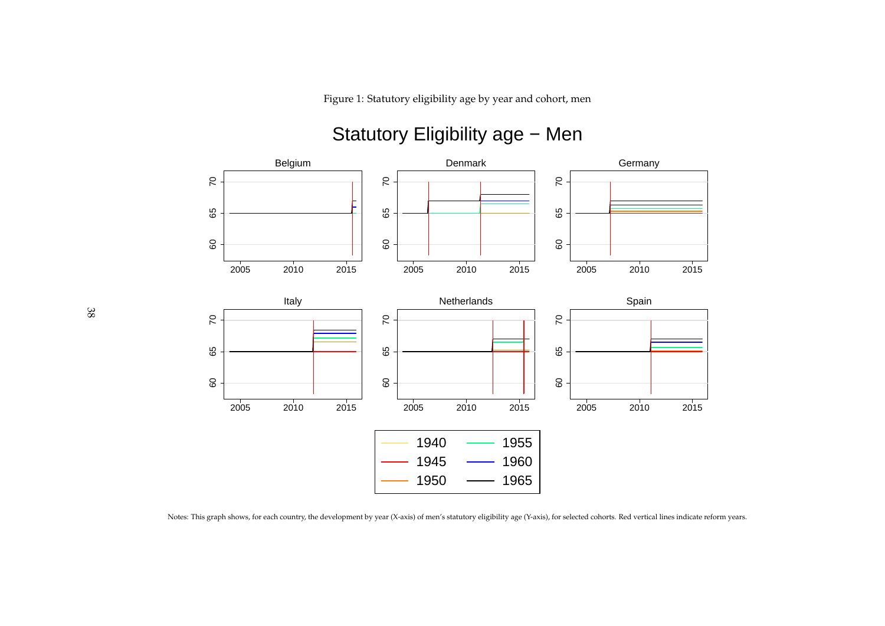Figure 1: Statutory eligibility age by year and cohort, men

#### BelgiumDenmarkGermany $\overline{C}$  $\mathcal{S}$  $\mathcal{S}$ 60 65 70 60 65 70 60 65 70 65 65 65  $60\,$ 60  $\mbox{6}$  <sup>2010</sup> <sup>2015</sup> <sup>2010</sup> <sup>2015</sup> 2005 <sup>2010</sup> <sup>2015</sup> 20052005ItalyNetherlandsSpain $\overline{C}$  $\overline{2}$  $\overline{C}$ 60 65 70 60 65 70 60 65 70 65 89 65 8 60 60 <sup>2010</sup> <sup>2015</sup> <sup>2010</sup> <sup>2015</sup> 2005 <sup>2010</sup> <sup>2015</sup> 2005200519401955 1945 1960 19501965

## Statutory Eligibility age - Men

<span id="page-39-0"></span>Notes: This graph shows, for each country, the development by year (X-axis) of men's statutory eligibility age (Y-axis), for selected cohorts. Red vertical lines indicate reform years.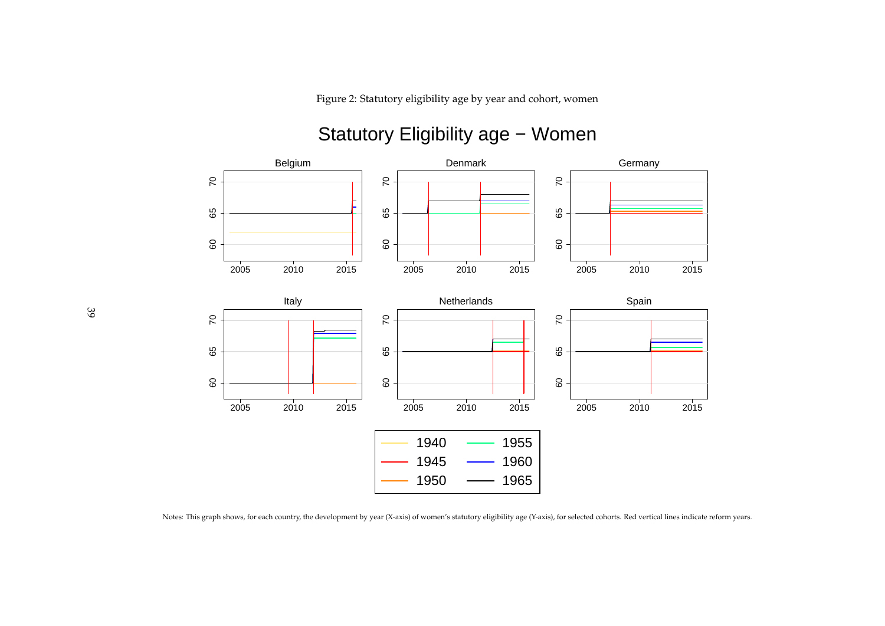Figure 2: Statutory eligibility age by year and cohort, women

#### BelgiumDenmarkGermany $\overline{C}$  $\mathcal{S}$  $\mathcal{S}$ 60 65 70 60 65 70 60 65 70 65 65 65  $\mathsf{G} \mathsf{O}$ 60  $\mbox{6}$  <sup>2010</sup> <sup>2015</sup> <sup>2010</sup> <sup>2015</sup> 2005 <sup>2010</sup> <sup>2015</sup> 20052005ItalyNetherlandsSpain $\overline{C}$  $\overline{2}$  $\overline{C}$ 60 65 70 60 65 70 60 65 70 65 65 65 8 60 8 <sup>2010</sup> <sup>2015</sup> <sup>2010</sup> <sup>2015</sup> 2005 <sup>2010</sup> <sup>2015</sup> 2005200519401955 1945 196019501965

## Statutory Eligibility age - Women

<span id="page-40-0"></span>Notes: This graph shows, for each country, the development by year (X-axis) of women's statutory eligibility age (Y-axis), for selected cohorts. Red vertical lines indicate reform years.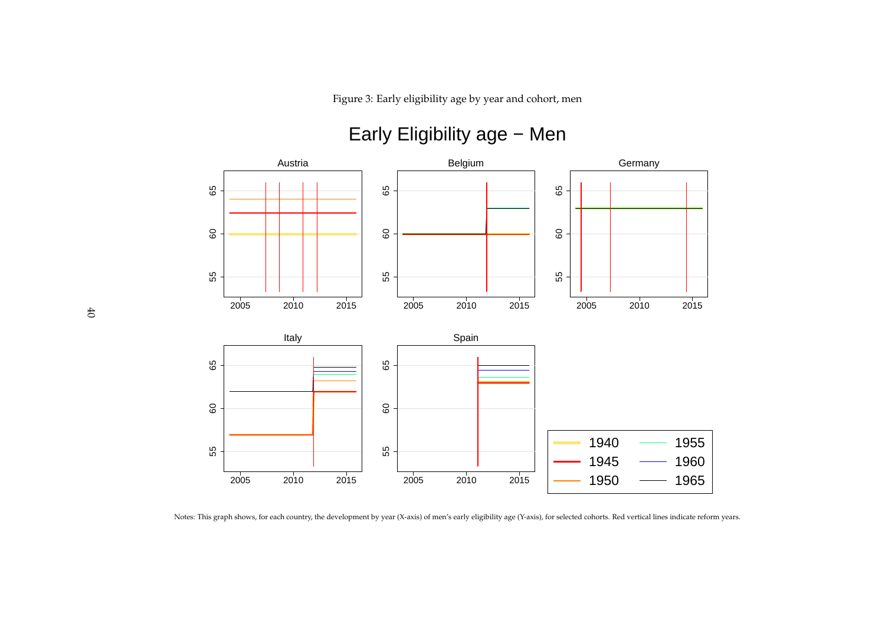Figure 3: Early eligibility age by year and cohort, men



## Early Eligibility age − Men

<span id="page-41-0"></span>Notes: This graph shows, for each country, the development by year (X-axis) of men's early eligibility age (Y-axis), for selected cohorts. Red vertical lines indicate reform years.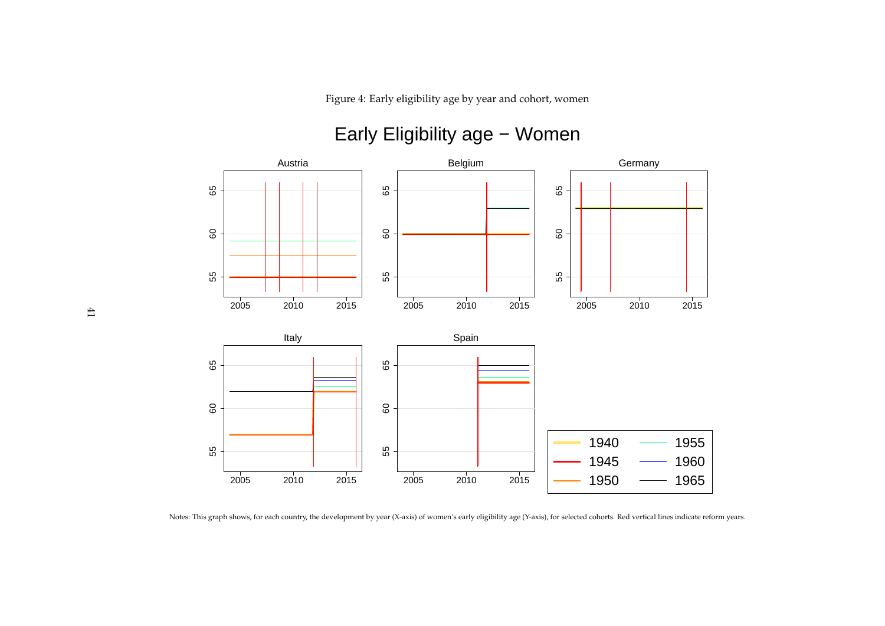Figure 4: Early eligibility age by year and cohort, women



## Early Eligibility age − Women

<span id="page-42-0"></span>Notes: This graph shows, for each country, the development by year (X-axis) of women's early eligibility age (Y-axis), for selected cohorts. Red vertical lines indicate reform years.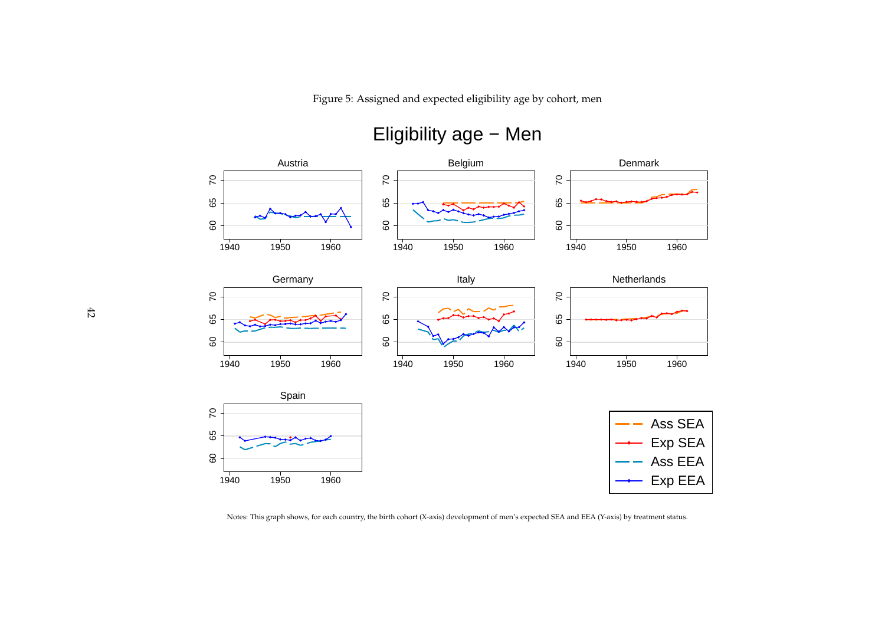Figure 5: Assigned and expected eligibility age by cohort, men



## Eligibility age − Men

<span id="page-43-0"></span>Notes: This graph shows, for each country, the birth cohort (X-axis) development of men's expected SEA and EEA (Y-axis) by treatment status.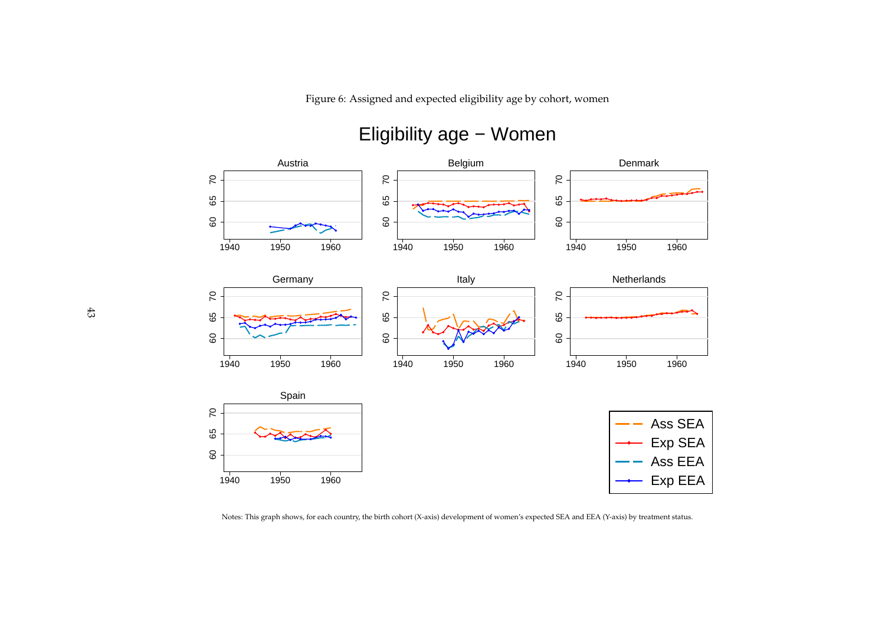Figure 6: Assigned and expected eligibility age by cohort, women



## Eligibility age − Women

<span id="page-44-0"></span>Notes: This graph shows, for each country, the birth cohort (X-axis) development of women's expected SEA and EEA (Y-axis) by treatment status.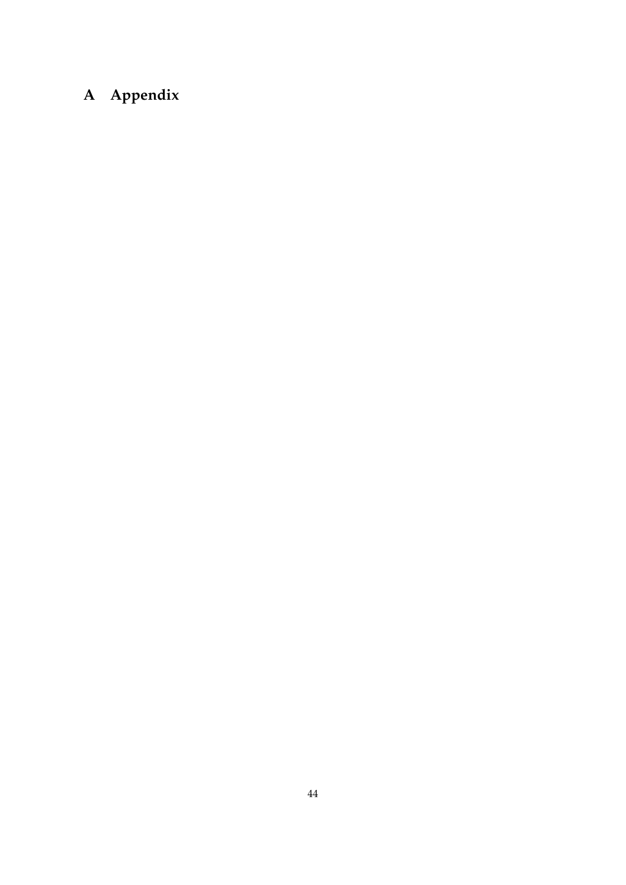## **A Appendix**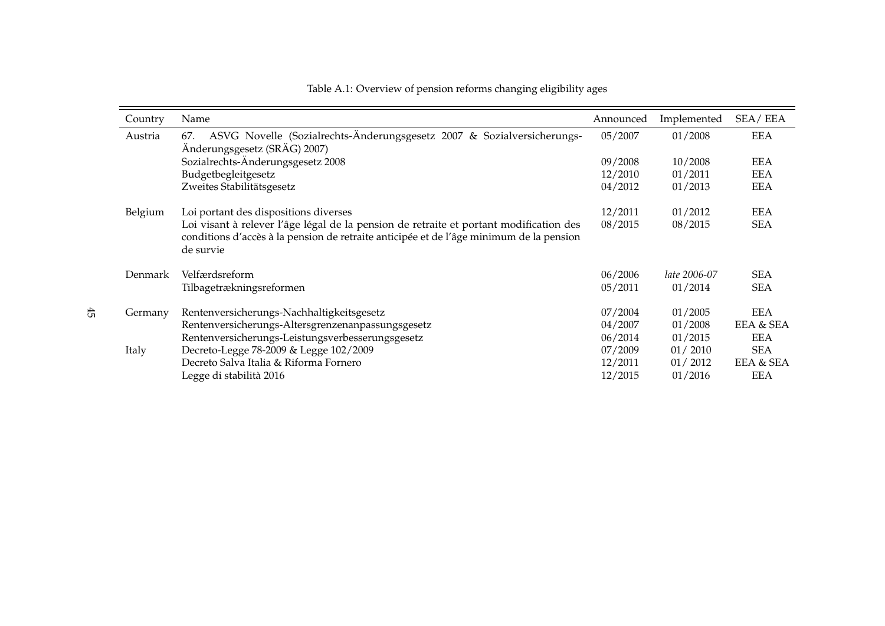| Country | Name                                                                                                                                                                                           | Announced | Implemented  | SEA/EEA    |
|---------|------------------------------------------------------------------------------------------------------------------------------------------------------------------------------------------------|-----------|--------------|------------|
| Austria | ASVG Novelle (Sozialrechts-Änderungsgesetz 2007 & Sozialversicherungs-<br>67.<br>Änderungsgesetz (SRÄG) 2007)                                                                                  | 05/2007   | 01/2008      | <b>EEA</b> |
|         | Sozialrechts-Änderungsgesetz 2008                                                                                                                                                              | 09/2008   | 10/2008      | <b>EEA</b> |
|         | Budgetbegleitgesetz                                                                                                                                                                            | 12/2010   | 01/2011      | <b>EEA</b> |
|         | Zweites Stabilitätsgesetz                                                                                                                                                                      | 04/2012   | 01/2013      | EEA        |
| Belgium | Loi portant des dispositions diverses                                                                                                                                                          | 12/2011   | 01/2012      | EEA        |
|         | Loi visant à relever l'âge légal de la pension de retraite et portant modification des<br>conditions d'accès à la pension de retraite anticipée et de l'âge minimum de la pension<br>de survie | 08/2015   | 08/2015      | <b>SEA</b> |
| Denmark | Velfærdsreform                                                                                                                                                                                 | 06/2006   | late 2006-07 | <b>SEA</b> |
|         | Tilbagetrækningsreformen                                                                                                                                                                       | 05/2011   | 01/2014      | <b>SEA</b> |
| Germany | Rentenversicherungs-Nachhaltigkeitsgesetz                                                                                                                                                      | 07/2004   | 01/2005      | <b>EEA</b> |
|         | Rentenversicherungs-Altersgrenzenanpassungsgesetz                                                                                                                                              | 04/2007   | 01/2008      | EEA & SEA  |
|         | Rentenversicherungs-Leistungsverbesserungsgesetz                                                                                                                                               | 06/2014   | 01/2015      | EEA        |
| Italy   | Decreto-Legge 78-2009 & Legge 102/2009                                                                                                                                                         | 07/2009   | 01/2010      | <b>SEA</b> |
|         | Decreto Salva Italia & Riforma Fornero                                                                                                                                                         | 12/2011   | 01/2012      | EEA & SEA  |
|         | Legge di stabilità 2016                                                                                                                                                                        | 12/2015   | 01/2016      | <b>EEA</b> |

<span id="page-46-0"></span>45

Table A.1: Overview of pension reforms changing eligibility ages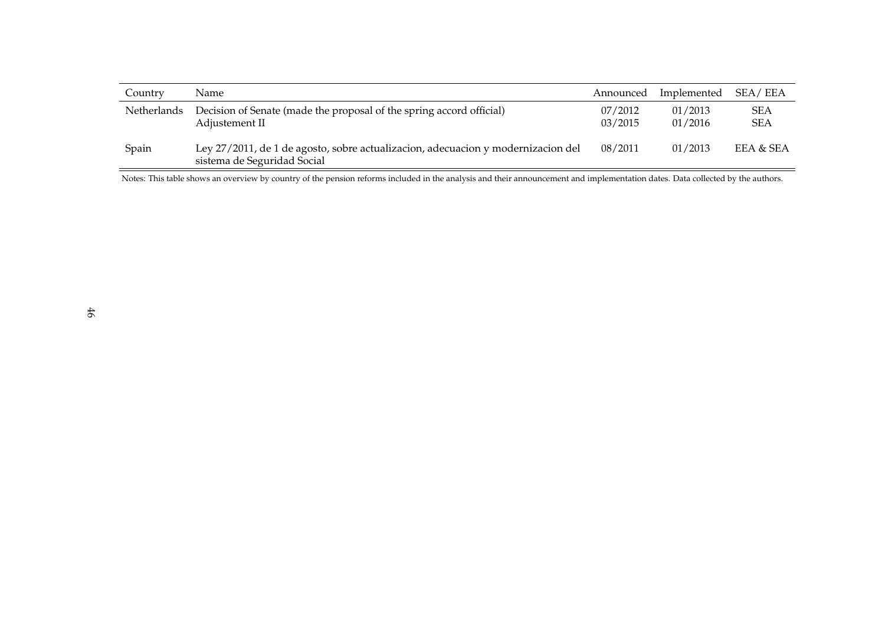| Country     | Name                                                                                                            | Announced          | Implemented        | SEA/EEA                  |
|-------------|-----------------------------------------------------------------------------------------------------------------|--------------------|--------------------|--------------------------|
| Netherlands | Decision of Senate (made the proposal of the spring accord official)<br>Adjustement II                          | 07/2012<br>03/2015 | 01/2013<br>01/2016 | <b>SEA</b><br><b>SEA</b> |
| Spain       | Ley 27/2011, de 1 de agosto, sobre actualizacion, adecuacion y modernizacion del<br>sistema de Seguridad Social | 08/2011            | 01/2013            | EEA & SEA                |

Notes: This table shows an overview by country of the pension reforms included in the analysis and their announcement and implementation dates. Data collected by the authors.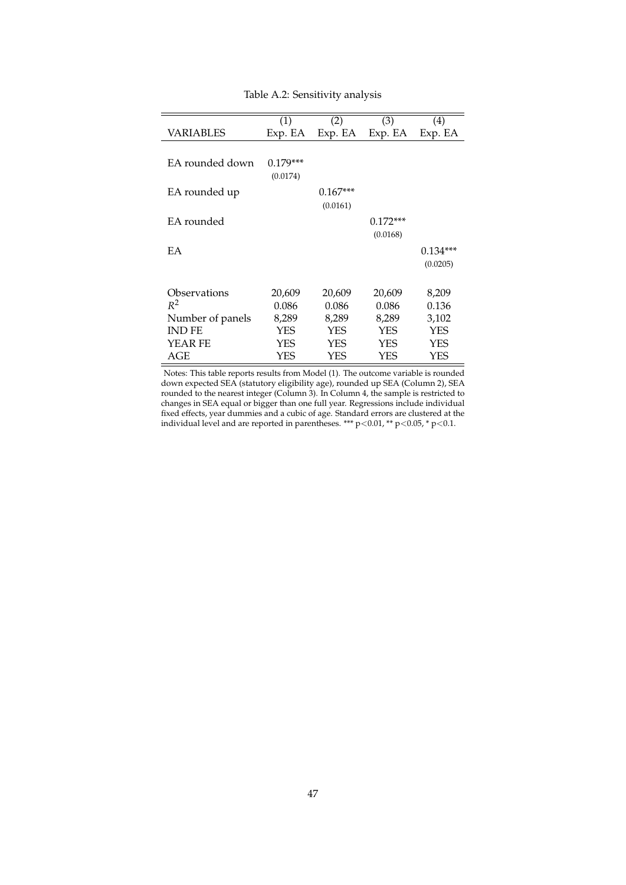<span id="page-48-0"></span>

|                  | (1)        | (2)        | (3)        | (4)        |
|------------------|------------|------------|------------|------------|
| VARIABLES        | Exp. EA    | Exp. EA    | Exp. EA    | Exp. EA    |
|                  |            |            |            |            |
| EA rounded down  | $0.179***$ |            |            |            |
|                  | (0.0174)   |            |            |            |
| EA rounded up    |            | $0.167***$ |            |            |
|                  |            | (0.0161)   |            |            |
| EA rounded       |            |            | $0.172***$ |            |
|                  |            |            | (0.0168)   |            |
| EA               |            |            |            | $0.134***$ |
|                  |            |            |            | (0.0205)   |
|                  |            |            |            |            |
| Observations     | 20,609     | 20,609     | 20,609     | 8,209      |
| $R^2$            | 0.086      | 0.086      | 0.086      | 0.136      |
| Number of panels | 8,289      | 8,289      | 8,289      | 3,102      |
| IND FE           | YES        | <b>YES</b> | YES        | YES        |
| YEAR FE          | YES        | <b>YES</b> | YES        | YES        |
| AGE              | YES        | YES        | YES        | YES        |

Table A.2: Sensitivity analysis

Notes: This table reports results from Model (1). The outcome variable is rounded down expected SEA (statutory eligibility age), rounded up SEA (Column 2), SEA rounded to the nearest integer (Column 3). In Column 4, the sample is restricted to changes in SEA equal or bigger than one full year. Regressions include individual fixed effects, year dummies and a cubic of age. Standard errors are clustered at the individual level and are reported in parentheses. \*\*\* p<0.01, \*\* p<0.05, \* p<0.1.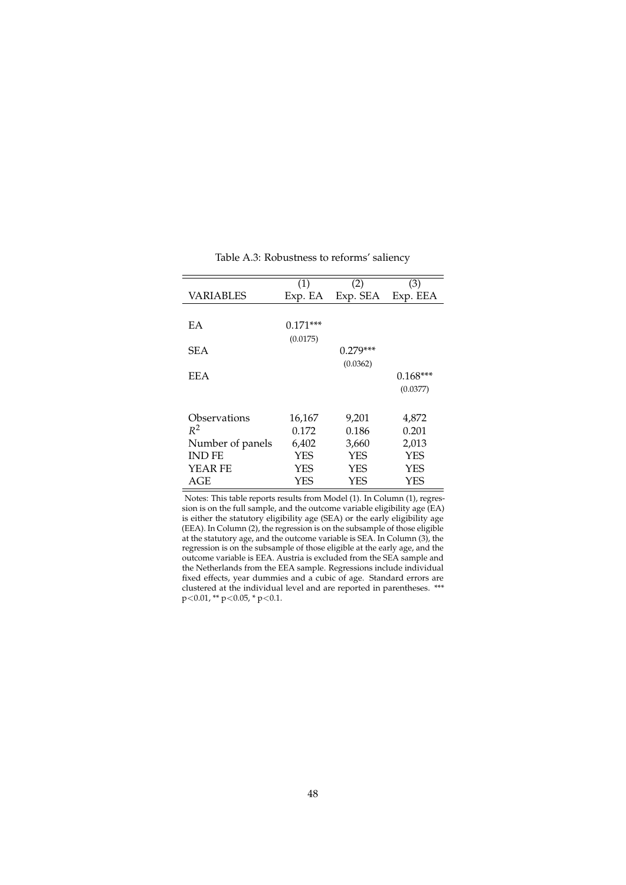<span id="page-49-0"></span>

|                  | (1)        | (2)        | (3)        |
|------------------|------------|------------|------------|
| VARIABLES        | Exp. EA    | Exp. SEA   | Exp. EEA   |
|                  |            |            |            |
| EA               | $0.171***$ |            |            |
|                  | (0.0175)   |            |            |
| <b>SEA</b>       |            | $0.279***$ |            |
|                  |            | (0.0362)   |            |
| <b>EEA</b>       |            |            | $0.168***$ |
|                  |            |            | (0.0377)   |
|                  |            |            |            |
| Observations     | 16,167     | 9,201      | 4,872      |
| $R^2$            | 0.172      | 0.186      | 0.201      |
| Number of panels | 6,402      | 3,660      | 2,013      |
| <b>IND FE</b>    | YES        | <b>YES</b> | <b>YES</b> |
| <b>YEAR FE</b>   | YES        | <b>YES</b> | YES        |
| AGE              | YES        | YES        | YES        |

Table A.3: Robustness to reforms' saliency

Notes: This table reports results from Model (1). In Column (1), regression is on the full sample, and the outcome variable eligibility age (EA) is either the statutory eligibility age (SEA) or the early eligibility age (EEA). In Column (2), the regression is on the subsample of those eligible at the statutory age, and the outcome variable is SEA. In Column (3), the regression is on the subsample of those eligible at the early age, and the outcome variable is EEA. Austria is excluded from the SEA sample and the Netherlands from the EEA sample. Regressions include individual fixed effects, year dummies and a cubic of age. Standard errors are clustered at the individual level and are reported in parentheses. \*\*\* p<0.01, \*\* p<0.05, \* p<0.1.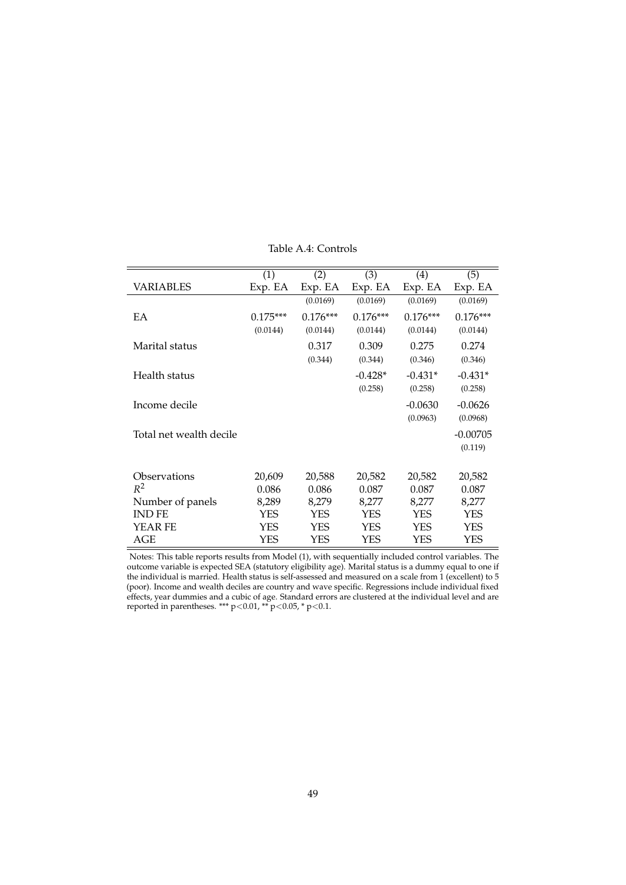<span id="page-50-0"></span>

|                         | (1)        | (2)        | (3)        | (4)        | (5)        |
|-------------------------|------------|------------|------------|------------|------------|
| VARIABLES               | Exp. EA    | Exp. EA    | Exp. EA    | Exp. EA    | Exp. EA    |
|                         |            | (0.0169)   | (0.0169)   | (0.0169)   | (0.0169)   |
| EA                      | $0.175***$ | $0.176***$ | $0.176***$ | $0.176***$ | $0.176***$ |
|                         | (0.0144)   | (0.0144)   | (0.0144)   | (0.0144)   | (0.0144)   |
| Marital status          |            | 0.317      | 0.309      | 0.275      | 0.274      |
|                         |            | (0.344)    | (0.344)    | (0.346)    | (0.346)    |
| Health status           |            |            | $-0.428*$  | $-0.431*$  | $-0.431*$  |
|                         |            |            | (0.258)    | (0.258)    | (0.258)    |
| Income decile           |            |            |            | $-0.0630$  | $-0.0626$  |
|                         |            |            |            | (0.0963)   | (0.0968)   |
| Total net wealth decile |            |            |            |            | $-0.00705$ |
|                         |            |            |            |            | (0.119)    |
|                         |            |            |            |            |            |
| Observations            | 20,609     | 20,588     | 20,582     | 20,582     | 20,582     |
| $R^2$                   | 0.086      | 0.086      | 0.087      | 0.087      | 0.087      |
| Number of panels        | 8,289      | 8,279      | 8,277      | 8,277      | 8,277      |
| <b>IND FE</b>           | YES        | YES        | YES        | <b>YES</b> | YES        |
| YEAR FE                 | <b>YES</b> | YES        | YES        | YES        | YES        |
| AGE                     | YES        | YES        | YES        | YES        | YES        |

Table A.4: Controls

Notes: This table reports results from Model (1), with sequentially included control variables. The outcome variable is expected SEA (statutory eligibility age). Marital status is a dummy equal to one if the individual is married. Health status is self-assessed and measured on a scale from 1 (excellent) to 5 (poor). Income and wealth deciles are country and wave specific. Regressions include individual fixed effects, year dummies and a cubic of age. Standard errors are clustered at the individual level and are reported in parentheses. \*\*\*  $p<0.01$ , \*\*  $p<0.05$ , \*  $p<0.1$ .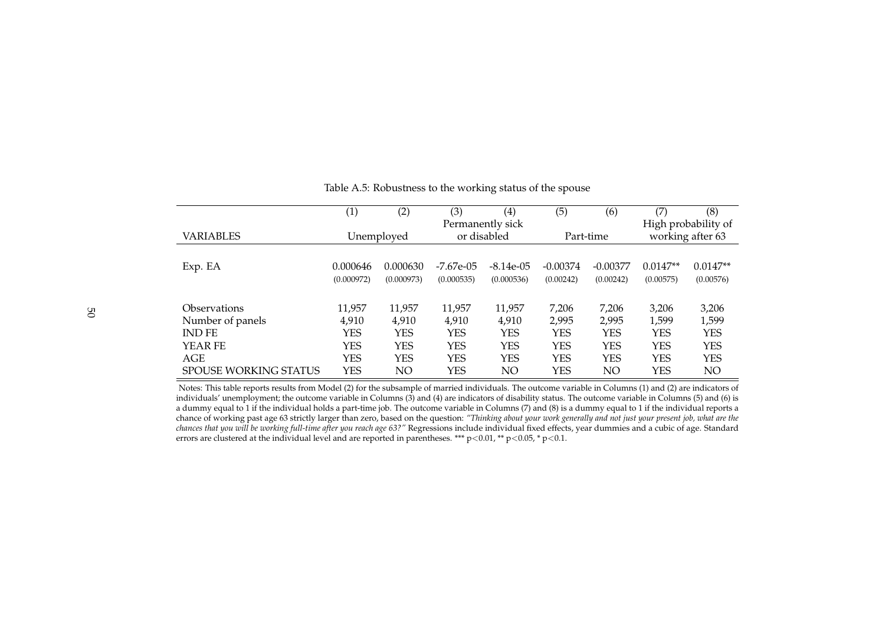|                              | (1)        | (2)        | (3)        | (4)              | (5)        | (6)        | (7)        | (8)                 |
|------------------------------|------------|------------|------------|------------------|------------|------------|------------|---------------------|
|                              |            |            |            | Permanently sick |            |            |            | High probability of |
| <b>VARIABLES</b>             |            | Unemployed |            | or disabled      |            | Part-time  |            | working after 63    |
|                              |            |            |            |                  |            |            |            |                     |
| Exp. EA                      | 0.000646   | 0.000630   | -7.67e-05  | $-8.14e-05$      | $-0.00374$ | $-0.00377$ | $0.0147**$ | $0.0147**$          |
|                              | (0.000972) | (0.000973) | (0.000535) | (0.000536)       | (0.00242)  | (0.00242)  | (0.00575)  | (0.00576)           |
|                              |            |            |            |                  |            |            |            |                     |
| Observations                 | 11,957     | 11,957     | 11,957     | 11,957           | 7,206      | 7,206      | 3,206      | 3,206               |
| Number of panels             | 4,910      | 4,910      | 4,910      | 4,910            | 2.995      | 2.995      | 1,599      | 1,599               |
| <b>IND FE</b>                | <b>YES</b> | <b>YES</b> | YES        | <b>YES</b>       | <b>YES</b> | <b>YES</b> | <b>YES</b> | <b>YES</b>          |
| YEAR FE                      | <b>YES</b> | <b>YES</b> | YES        | <b>YES</b>       | <b>YES</b> | <b>YES</b> | <b>YES</b> | <b>YES</b>          |
| <b>AGE</b>                   | <b>YES</b> | <b>YES</b> | <b>YES</b> | <b>YES</b>       | <b>YES</b> | <b>YES</b> | <b>YES</b> | <b>YES</b>          |
| <b>SPOUSE WORKING STATUS</b> | YES        | NΟ         | YES        | NΟ               | <b>YES</b> | NΟ         | YES        | NO                  |

### Table A.5: Robustness to the working status of the spouse

<span id="page-51-0"></span> Notes: This table reports results from Model (2) for the subsample of married individuals. The outcome variable in Columns (1) and (2) are indicators of individuals' unemployment; the outcome variable in Columns (3) and (4) are indicators of disability status. The outcome variable in Columns (5) and (6) is <sup>a</sup> dummy equal to <sup>1</sup> if the individual holds <sup>a</sup> part-time job. The outcome variable in Columns (7) and (8) is <sup>a</sup> dummy equal to <sup>1</sup> if the individual reports <sup>a</sup>chance of working past age 63 strictly larger than zero, based on the question: "Thinking about your work generally and not just your present job, what are the *chances that you will be working full-time after you reach age 63?"* Regressions include individual fixed effects, year dummies and a cubic of age. Standard errors are clustered at the individual level and are reported in parentheses. \*\*\* p<0.01, \*\* p<0.05, \* p<0.1.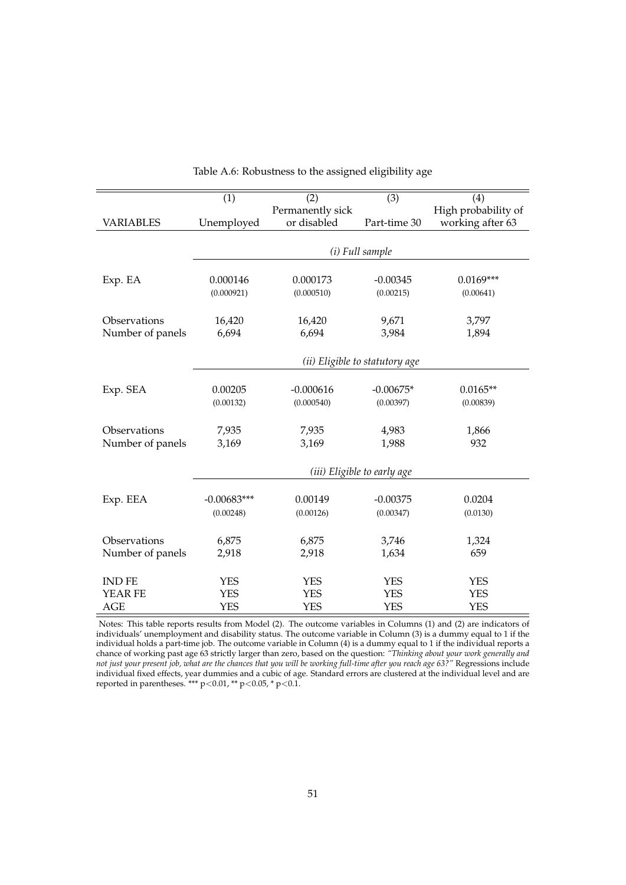<span id="page-52-0"></span>

| $\overline{(1)}$ | (2)                                                                                               | $\overline{(3)}$                                                                                                            | (4)                                                                                                                                                                                         |
|------------------|---------------------------------------------------------------------------------------------------|-----------------------------------------------------------------------------------------------------------------------------|---------------------------------------------------------------------------------------------------------------------------------------------------------------------------------------------|
|                  |                                                                                                   |                                                                                                                             | High probability of                                                                                                                                                                         |
|                  |                                                                                                   |                                                                                                                             | working after 63                                                                                                                                                                            |
|                  |                                                                                                   |                                                                                                                             |                                                                                                                                                                                             |
|                  |                                                                                                   |                                                                                                                             |                                                                                                                                                                                             |
|                  |                                                                                                   |                                                                                                                             |                                                                                                                                                                                             |
|                  |                                                                                                   |                                                                                                                             | $0.0169***$                                                                                                                                                                                 |
|                  |                                                                                                   |                                                                                                                             | (0.00641)                                                                                                                                                                                   |
|                  |                                                                                                   |                                                                                                                             |                                                                                                                                                                                             |
|                  |                                                                                                   |                                                                                                                             | 3,797                                                                                                                                                                                       |
| 6,694            | 6,694                                                                                             | 3,984                                                                                                                       | 1,894                                                                                                                                                                                       |
|                  |                                                                                                   |                                                                                                                             |                                                                                                                                                                                             |
|                  |                                                                                                   |                                                                                                                             |                                                                                                                                                                                             |
|                  |                                                                                                   |                                                                                                                             |                                                                                                                                                                                             |
|                  |                                                                                                   |                                                                                                                             | $0.0165**$                                                                                                                                                                                  |
|                  |                                                                                                   |                                                                                                                             | (0.00839)                                                                                                                                                                                   |
|                  |                                                                                                   |                                                                                                                             | 1,866                                                                                                                                                                                       |
|                  |                                                                                                   |                                                                                                                             | 932                                                                                                                                                                                         |
|                  |                                                                                                   |                                                                                                                             |                                                                                                                                                                                             |
|                  |                                                                                                   |                                                                                                                             |                                                                                                                                                                                             |
|                  |                                                                                                   |                                                                                                                             |                                                                                                                                                                                             |
| $-0.00683***$    | 0.00149                                                                                           | $-0.00375$                                                                                                                  | 0.0204                                                                                                                                                                                      |
| (0.00248)        | (0.00126)                                                                                         | (0.00347)                                                                                                                   | (0.0130)                                                                                                                                                                                    |
|                  |                                                                                                   |                                                                                                                             |                                                                                                                                                                                             |
|                  |                                                                                                   |                                                                                                                             | 1,324                                                                                                                                                                                       |
| 2,918            | 2,918                                                                                             | 1,634                                                                                                                       | 659                                                                                                                                                                                         |
|                  |                                                                                                   |                                                                                                                             |                                                                                                                                                                                             |
| <b>YES</b>       | <b>YES</b>                                                                                        | <b>YES</b>                                                                                                                  | <b>YES</b>                                                                                                                                                                                  |
| <b>YES</b>       | <b>YES</b>                                                                                        | <b>YES</b>                                                                                                                  | <b>YES</b>                                                                                                                                                                                  |
| <b>YES</b>       | <b>YES</b>                                                                                        | <b>YES</b>                                                                                                                  | <b>YES</b>                                                                                                                                                                                  |
|                  | Unemployed<br>0.000146<br>(0.000921)<br>16,420<br>0.00205<br>(0.00132)<br>7,935<br>3,169<br>6,875 | Permanently sick<br>or disabled<br>0.000173<br>(0.000510)<br>16,420<br>$-0.000616$<br>(0.000540)<br>7,935<br>3,169<br>6,875 | Part-time 30<br>(i) Full sample<br>$-0.00345$<br>(0.00215)<br>9,671<br>(ii) Eligible to statutory age<br>$-0.00675*$<br>(0.00397)<br>4,983<br>1,988<br>(iii) Eligible to early age<br>3,746 |

Table A.6: Robustness to the assigned eligibility age

Notes: This table reports results from Model (2). The outcome variables in Columns (1) and (2) are indicators of individuals' unemployment and disability status. The outcome variable in Column (3) is a dummy equal to 1 if the individual holds a part-time job. The outcome variable in Column (4) is a dummy equal to 1 if the individual reports a chance of working past age 63 strictly larger than zero, based on the question: *"Thinking about your work generally and not just your present job, what are the chances that you will be working full-time after you reach age 63?"* Regressions include individual fixed effects, year dummies and a cubic of age. Standard errors are clustered at the individual level and are reported in parentheses. \*\*\* p<0.01, \*\* p<0.05, \* p<0.1.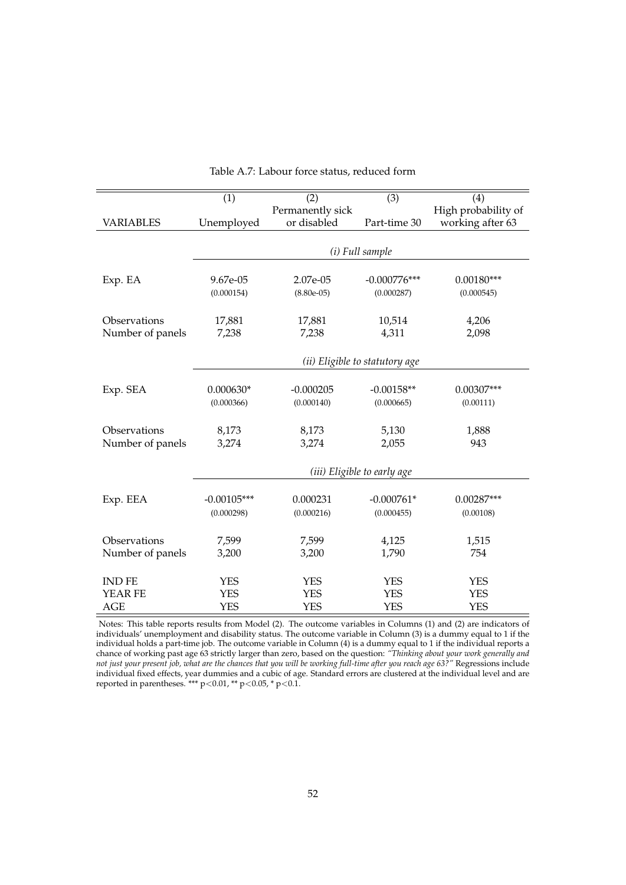<span id="page-53-0"></span>

| High probability of<br>Permanently sick<br>or disabled<br>working after 63<br>VARIABLES<br>Unemployed<br>Part-time 30<br>(i) Full sample<br>2.07e-05<br>$-0.000776***$<br>$0.00180***$<br>Exp. EA<br>9.67e-05<br>(0.000154)<br>$(8.80e-05)$<br>(0.000287)<br>(0.000545)<br>Observations<br>4,206<br>17,881<br>17,881<br>10,514<br>Number of panels<br>4,311<br>7,238<br>7,238<br>2,098<br>(ii) Eligible to statutory age<br>$-0.000205$<br>Exp. SEA<br>$0.000630*$<br>$-0.00158**$<br>$0.00307***$<br>(0.000366)<br>(0.000140)<br>(0.000665)<br>(0.00111)<br>Observations<br>8,173<br>8,173<br>5,130<br>1,888<br>3,274<br>3,274<br>Number of panels<br>2,055<br>943<br>(iii) Eligible to early age<br>Exp. EEA<br>0.000231<br>$-0.000761*$<br>$0.00287***$<br>$-0.00105***$ | (1)        | (2)        | $\overline{(3)}$ | (4)       |
|-----------------------------------------------------------------------------------------------------------------------------------------------------------------------------------------------------------------------------------------------------------------------------------------------------------------------------------------------------------------------------------------------------------------------------------------------------------------------------------------------------------------------------------------------------------------------------------------------------------------------------------------------------------------------------------------------------------------------------------------------------------------------------|------------|------------|------------------|-----------|
|                                                                                                                                                                                                                                                                                                                                                                                                                                                                                                                                                                                                                                                                                                                                                                             |            |            |                  |           |
|                                                                                                                                                                                                                                                                                                                                                                                                                                                                                                                                                                                                                                                                                                                                                                             |            |            |                  |           |
|                                                                                                                                                                                                                                                                                                                                                                                                                                                                                                                                                                                                                                                                                                                                                                             |            |            |                  |           |
|                                                                                                                                                                                                                                                                                                                                                                                                                                                                                                                                                                                                                                                                                                                                                                             |            |            |                  |           |
|                                                                                                                                                                                                                                                                                                                                                                                                                                                                                                                                                                                                                                                                                                                                                                             |            |            |                  |           |
|                                                                                                                                                                                                                                                                                                                                                                                                                                                                                                                                                                                                                                                                                                                                                                             |            |            |                  |           |
|                                                                                                                                                                                                                                                                                                                                                                                                                                                                                                                                                                                                                                                                                                                                                                             |            |            |                  |           |
|                                                                                                                                                                                                                                                                                                                                                                                                                                                                                                                                                                                                                                                                                                                                                                             |            |            |                  |           |
|                                                                                                                                                                                                                                                                                                                                                                                                                                                                                                                                                                                                                                                                                                                                                                             |            |            |                  |           |
|                                                                                                                                                                                                                                                                                                                                                                                                                                                                                                                                                                                                                                                                                                                                                                             |            |            |                  |           |
|                                                                                                                                                                                                                                                                                                                                                                                                                                                                                                                                                                                                                                                                                                                                                                             |            |            |                  |           |
|                                                                                                                                                                                                                                                                                                                                                                                                                                                                                                                                                                                                                                                                                                                                                                             |            |            |                  |           |
|                                                                                                                                                                                                                                                                                                                                                                                                                                                                                                                                                                                                                                                                                                                                                                             |            |            |                  |           |
|                                                                                                                                                                                                                                                                                                                                                                                                                                                                                                                                                                                                                                                                                                                                                                             |            |            |                  |           |
|                                                                                                                                                                                                                                                                                                                                                                                                                                                                                                                                                                                                                                                                                                                                                                             |            |            |                  |           |
|                                                                                                                                                                                                                                                                                                                                                                                                                                                                                                                                                                                                                                                                                                                                                                             |            |            |                  |           |
|                                                                                                                                                                                                                                                                                                                                                                                                                                                                                                                                                                                                                                                                                                                                                                             |            |            |                  |           |
|                                                                                                                                                                                                                                                                                                                                                                                                                                                                                                                                                                                                                                                                                                                                                                             |            |            |                  |           |
|                                                                                                                                                                                                                                                                                                                                                                                                                                                                                                                                                                                                                                                                                                                                                                             |            |            |                  |           |
|                                                                                                                                                                                                                                                                                                                                                                                                                                                                                                                                                                                                                                                                                                                                                                             |            |            |                  |           |
|                                                                                                                                                                                                                                                                                                                                                                                                                                                                                                                                                                                                                                                                                                                                                                             |            |            |                  |           |
|                                                                                                                                                                                                                                                                                                                                                                                                                                                                                                                                                                                                                                                                                                                                                                             |            |            |                  |           |
|                                                                                                                                                                                                                                                                                                                                                                                                                                                                                                                                                                                                                                                                                                                                                                             | (0.000298) | (0.000216) | (0.000455)       | (0.00108) |
|                                                                                                                                                                                                                                                                                                                                                                                                                                                                                                                                                                                                                                                                                                                                                                             |            |            |                  |           |
| Observations<br>7,599<br>7,599<br>4,125<br>1,515                                                                                                                                                                                                                                                                                                                                                                                                                                                                                                                                                                                                                                                                                                                            |            |            |                  |           |
| Number of panels<br>3,200<br>3,200<br>1,790<br>754                                                                                                                                                                                                                                                                                                                                                                                                                                                                                                                                                                                                                                                                                                                          |            |            |                  |           |
|                                                                                                                                                                                                                                                                                                                                                                                                                                                                                                                                                                                                                                                                                                                                                                             |            |            |                  |           |
| <b>INDFE</b><br><b>YES</b><br><b>YES</b><br><b>YES</b><br><b>YES</b><br><b>YES</b><br><b>YES</b><br>YEAR FE<br><b>YES</b><br><b>YES</b>                                                                                                                                                                                                                                                                                                                                                                                                                                                                                                                                                                                                                                     |            |            |                  |           |
| <b>YES</b><br><b>YES</b><br><b>YES</b><br><b>YES</b><br><b>AGE</b>                                                                                                                                                                                                                                                                                                                                                                                                                                                                                                                                                                                                                                                                                                          |            |            |                  |           |

Table A.7: Labour force status, reduced form

Notes: This table reports results from Model (2). The outcome variables in Columns (1) and (2) are indicators of individuals' unemployment and disability status. The outcome variable in Column (3) is a dummy equal to 1 if the individual holds a part-time job. The outcome variable in Column (4) is a dummy equal to 1 if the individual reports a chance of working past age 63 strictly larger than zero, based on the question: *"Thinking about your work generally and not just your present job, what are the chances that you will be working full-time after you reach age 63?"* Regressions include individual fixed effects, year dummies and a cubic of age. Standard errors are clustered at the individual level and are reported in parentheses. \*\*\* p<0.01, \*\* p<0.05, \* p<0.1.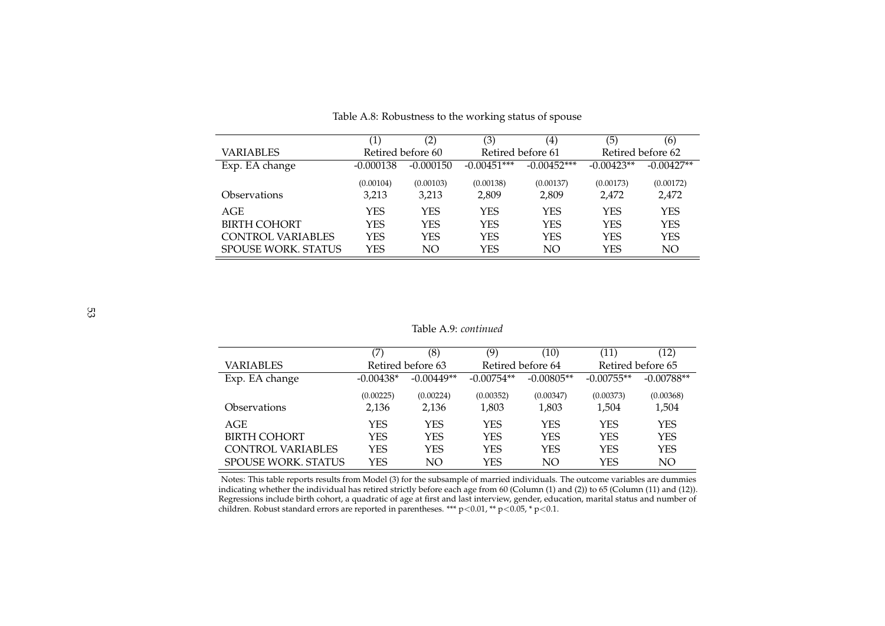|                            | $\left(1\right)$ | (2)               | (3)           | $\left( 4\right)$ | (5)          | (6)               |
|----------------------------|------------------|-------------------|---------------|-------------------|--------------|-------------------|
| VARIABLES                  |                  | Retired before 60 |               | Retired before 61 |              | Retired before 62 |
| Exp. EA change             | $-0.000138$      | $-0.000150$       | $-0.00451***$ | $-0.00452***$     | $-0.00423**$ | $-0.00427**$      |
|                            | (0.00104)        | (0.00103)         | (0.00138)     | (0.00137)         | (0.00173)    | (0.00172)         |
| <b>Observations</b>        | 3,213            | 3,213             | 2,809         | 2,809             | 2,472        | 2,472             |
| AGE                        | YES              | YES               | YES           | YES               | YES          | <b>YES</b>        |
| <b>BIRTH COHORT</b>        | YES              | YES               | <b>YES</b>    | <b>YES</b>        | <b>YES</b>   | <b>YES</b>        |
| CONTROL VARIABLES          | YES              | YES               | <b>YES</b>    | <b>YES</b>        | <b>YES</b>   | <b>YES</b>        |
| <b>SPOUSE WORK, STATUS</b> | YES              | NΟ                | YES           | NΟ                | YES          | NO                |

Table A.8: Robustness to the working status of spouse

#### Table A.9: *continued*

|                            |             | (8)               | (9)          | (10)              | (11)              | (12)         |
|----------------------------|-------------|-------------------|--------------|-------------------|-------------------|--------------|
| VARIABLES                  |             | Retired before 63 |              | Retired before 64 | Retired before 65 |              |
| Exp. EA change             | $-0.00438*$ | $-0.00449**$      | $-0.00754**$ | $-0.00805**$      | $-0.00755**$      | $-0.00788**$ |
|                            | (0.00225)   | (0.00224)         | (0.00352)    | (0.00347)         | (0.00373)         | (0.00368)    |
| <b>Observations</b>        | 2,136       | 2,136             | 1,803        | 1,803             | 1,504             | 1,504        |
| AGE                        | YES         | YES               | YES          | <b>YES</b>        | <b>YES</b>        | YES          |
| <b>BIRTH COHORT</b>        | YES         | YES               | <b>YES</b>   | <b>YES</b>        | <b>YES</b>        | <b>YES</b>   |
| <b>CONTROL VARIABLES</b>   | YES         | YES               | YES          | YES               | <b>YES</b>        | <b>YES</b>   |
| <b>SPOUSE WORK, STATUS</b> | YES         | NO.               | YES          | NO                | YES               | NO.          |

<span id="page-54-0"></span> Notes: This table reports results from Model (3) for the subsample of married individuals. The outcome variables are dummies indicating whether the individual has retired strictly before each age from 60 (Column (1) and (2)) to 65 (Column (11) and (12)). Regressions include birth cohort, <sup>a</sup> quadratic of age at first and last interview, gender, education, marital status and number ofchildren. Robust standard errors are reported in parentheses. \*\*\*  $p<0.01$ , \*\*  $p<0.05$ , \*  $p<0.1$ .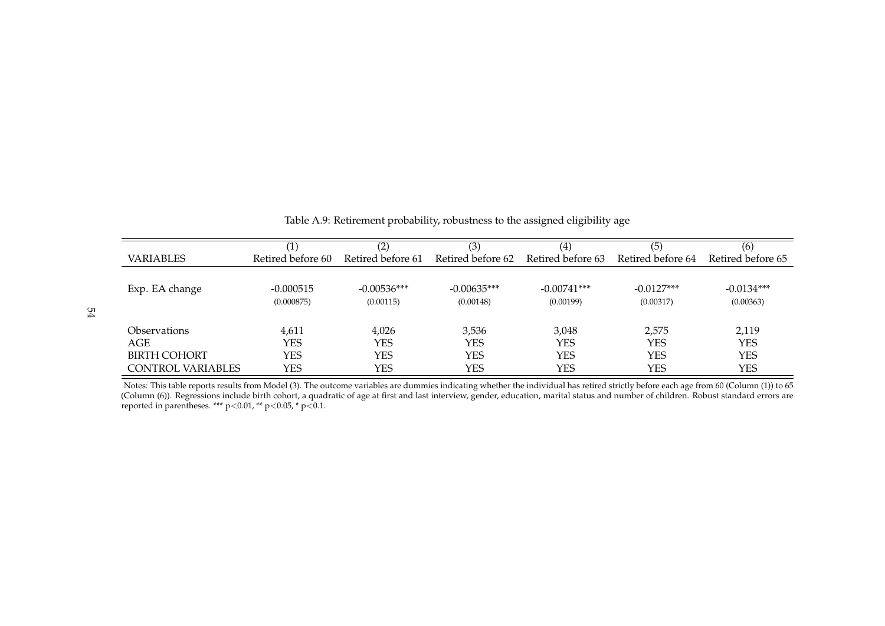|                            | (1)               | (2)               | (3)               | (4)               | (5)               | (6)               |
|----------------------------|-------------------|-------------------|-------------------|-------------------|-------------------|-------------------|
| <b>VARIABLES</b>           | Retired before 60 | Retired before 61 | Retired before 62 | Retired before 63 | Retired before 64 | Retired before 65 |
|                            |                   |                   |                   |                   |                   |                   |
| Exp. EA change             | $-0.000515$       | $-0.00536***$     | $-0.00635***$     | $-0.00741***$     | $-0.0127***$      | $-0.0134***$      |
|                            | (0.000875)        | (0.00115)         | (0.00148)         | (0.00199)         | (0.00317)         | (0.00363)         |
|                            |                   |                   |                   |                   |                   |                   |
| <i><b>Observations</b></i> | 4,611             | 4,026             | 3,536             | 3,048             | 2,575             | 2,119             |
| AGE                        | YES               | YES               | YES               | <b>YES</b>        | YES               | <b>YES</b>        |
| <b>BIRTH COHORT</b>        | YES               | YES               | YES               | <b>YES</b>        | YES               | YES               |
| CONTROL VARIABLES          | YES               | YES               | YES               | <b>YES</b>        | YES               | YES               |

Table A.9: Retirement probability, robustness to the assigned eligibility age

<span id="page-55-0"></span>Notes: This table reports results from Model (3). The outcome variables are dummies indicating whether the individual has retired strictly before each age from 60 (Column (1)) to 65<br>(Column (6)). Regressions include birth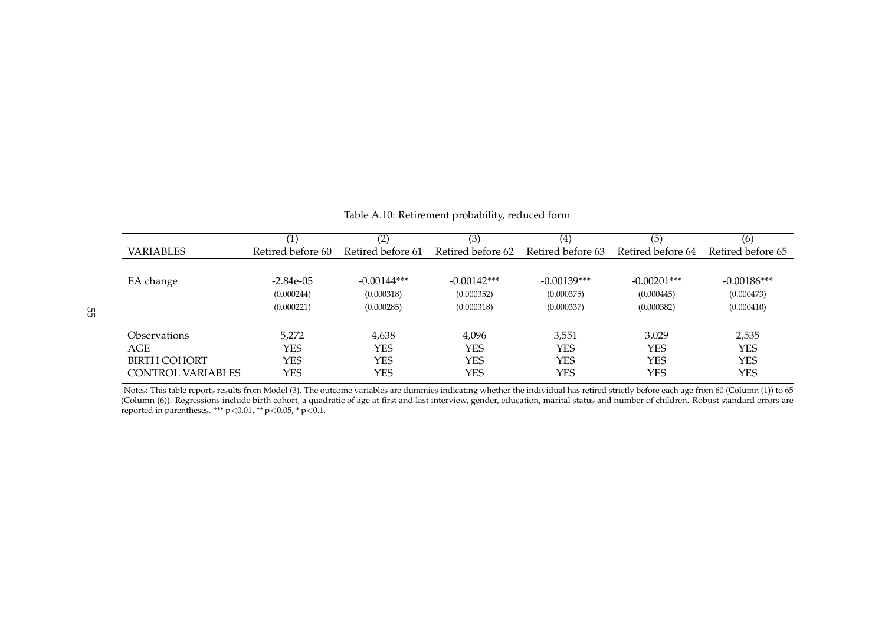|                          | $\left(1\right)$  | (2)               | (3)               | (4)               | (5)               | (6)               |
|--------------------------|-------------------|-------------------|-------------------|-------------------|-------------------|-------------------|
| <b>VARIABLES</b>         | Retired before 60 | Retired before 61 | Retired before 62 | Retired before 63 | Retired before 64 | Retired before 65 |
|                          |                   |                   |                   |                   |                   |                   |
| EA change                | $-2.84e-0.5$      | $-0.00144***$     | $-0.00142***$     | $-0.00139***$     | $-0.00201***$     | $-0.00186***$     |
|                          | (0.000244)        | (0.000318)        | (0.000352)        | (0.000375)        | (0.000445)        | (0.000473)        |
|                          | (0.000221)        | (0.000285)        | (0.000318)        | (0.000337)        | (0.000382)        | (0.000410)        |
| Observations             | 5.272             | 4,638             | 4,096             | 3,551             | 3,029             | 2,535             |
| AGE                      | YES               | YES               | <b>YES</b>        | YES               | <b>YES</b>        | <b>YES</b>        |
| <b>BIRTH COHORT</b>      | YES               | YES               | <b>YES</b>        | <b>YES</b>        | <b>YES</b>        | YES               |
| <b>CONTROL VARIABLES</b> | YES               | YES               | <b>YES</b>        | <b>YES</b>        | <b>YES</b>        | YES               |

Table A.10: Retirement probability, reduced form

<span id="page-56-0"></span>Notes: This table reports results from Model (3). The outcome variables are dummies indicating whether the individual has retired strictly before each age from 60 (Column (1)) to 65(Column (6)). Regressions include birth cohort, a quadratic of age at first and last interview, gender, education, marital status and number of children. Robust standard errors are reported in parentheses. \*\*\*  $p$  < 0.01, \*\*  $p$  < 0.05, \*  $p$  < 0.1.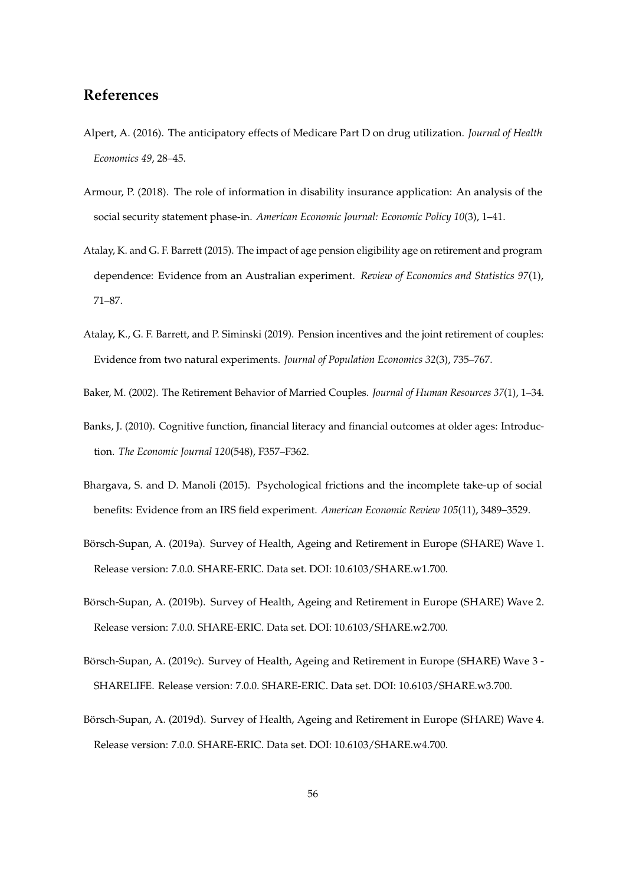## **References**

- <span id="page-57-7"></span>Alpert, A. (2016). The anticipatory effects of Medicare Part D on drug utilization. *Journal of Health Economics 49*, 28–45.
- <span id="page-57-1"></span>Armour, P. (2018). The role of information in disability insurance application: An analysis of the social security statement phase-in. *American Economic Journal: Economic Policy 10*(3), 1–41.
- <span id="page-57-2"></span>Atalay, K. and G. F. Barrett (2015). The impact of age pension eligibility age on retirement and program dependence: Evidence from an Australian experiment. *Review of Economics and Statistics 97*(1), 71–87.
- <span id="page-57-9"></span>Atalay, K., G. F. Barrett, and P. Siminski (2019). Pension incentives and the joint retirement of couples: Evidence from two natural experiments. *Journal of Population Economics 32*(3), 735–767.
- <span id="page-57-10"></span><span id="page-57-8"></span>Baker, M. (2002). The Retirement Behavior of Married Couples. *Journal of Human Resources 37*(1), 1–34.
- Banks, J. (2010). Cognitive function, financial literacy and financial outcomes at older ages: Introduction. *The Economic Journal 120*(548), F357–F362.
- <span id="page-57-0"></span>Bhargava, S. and D. Manoli (2015). Psychological frictions and the incomplete take-up of social benefits: Evidence from an IRS field experiment. *American Economic Review 105*(11), 3489–3529.
- <span id="page-57-3"></span>Börsch-Supan, A. (2019a). Survey of Health, Ageing and Retirement in Europe (SHARE) Wave 1. Release version: 7.0.0. SHARE-ERIC. Data set. DOI: 10.6103/SHARE.w1.700.
- <span id="page-57-4"></span>Börsch-Supan, A. (2019b). Survey of Health, Ageing and Retirement in Europe (SHARE) Wave 2. Release version: 7.0.0. SHARE-ERIC. Data set. DOI: 10.6103/SHARE.w2.700.
- <span id="page-57-5"></span>Börsch-Supan, A. (2019c). Survey of Health, Ageing and Retirement in Europe (SHARE) Wave 3 -SHARELIFE. Release version: 7.0.0. SHARE-ERIC. Data set. DOI: 10.6103/SHARE.w3.700.
- <span id="page-57-6"></span>Börsch-Supan, A. (2019d). Survey of Health, Ageing and Retirement in Europe (SHARE) Wave 4. Release version: 7.0.0. SHARE-ERIC. Data set. DOI: 10.6103/SHARE.w4.700.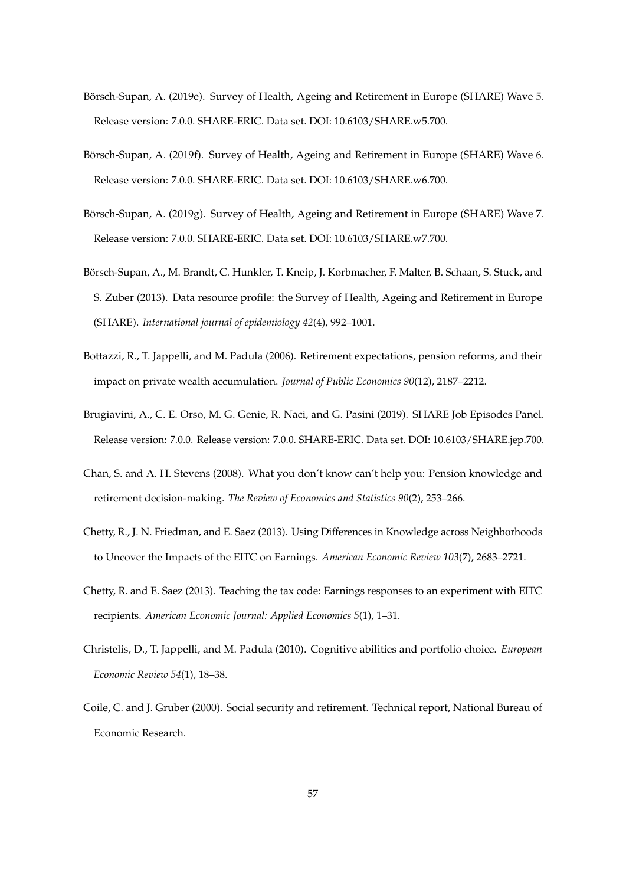- <span id="page-58-6"></span>Börsch-Supan, A. (2019e). Survey of Health, Ageing and Retirement in Europe (SHARE) Wave 5. Release version: 7.0.0. SHARE-ERIC. Data set. DOI: 10.6103/SHARE.w5.700.
- <span id="page-58-7"></span>Börsch-Supan, A. (2019f). Survey of Health, Ageing and Retirement in Europe (SHARE) Wave 6. Release version: 7.0.0. SHARE-ERIC. Data set. DOI: 10.6103/SHARE.w6.700.
- <span id="page-58-8"></span>Börsch-Supan, A. (2019g). Survey of Health, Ageing and Retirement in Europe (SHARE) Wave 7. Release version: 7.0.0. SHARE-ERIC. Data set. DOI: 10.6103/SHARE.w7.700.
- <span id="page-58-9"></span>Börsch-Supan, A., M. Brandt, C. Hunkler, T. Kneip, J. Korbmacher, F. Malter, B. Schaan, S. Stuck, and S. Zuber (2013). Data resource profile: the Survey of Health, Ageing and Retirement in Europe (SHARE). *International journal of epidemiology 42*(4), 992–1001.
- <span id="page-58-3"></span>Bottazzi, R., T. Jappelli, and M. Padula (2006). Retirement expectations, pension reforms, and their impact on private wealth accumulation. *Journal of Public Economics 90*(12), 2187–2212.
- <span id="page-58-5"></span>Brugiavini, A., C. E. Orso, M. G. Genie, R. Naci, and G. Pasini (2019). SHARE Job Episodes Panel. Release version: 7.0.0. Release version: 7.0.0. SHARE-ERIC. Data set. DOI: 10.6103/SHARE.jep.700.
- <span id="page-58-4"></span>Chan, S. and A. H. Stevens (2008). What you don't know can't help you: Pension knowledge and retirement decision-making. *The Review of Economics and Statistics 90*(2), 253–266.
- <span id="page-58-2"></span>Chetty, R., J. N. Friedman, and E. Saez (2013). Using Differences in Knowledge across Neighborhoods to Uncover the Impacts of the EITC on Earnings. *American Economic Review 103*(7), 2683–2721.
- <span id="page-58-1"></span>Chetty, R. and E. Saez (2013). Teaching the tax code: Earnings responses to an experiment with EITC recipients. *American Economic Journal: Applied Economics 5*(1), 1–31.
- <span id="page-58-10"></span>Christelis, D., T. Jappelli, and M. Padula (2010). Cognitive abilities and portfolio choice. *European Economic Review 54*(1), 18–38.
- <span id="page-58-0"></span>Coile, C. and J. Gruber (2000). Social security and retirement. Technical report, National Bureau of Economic Research.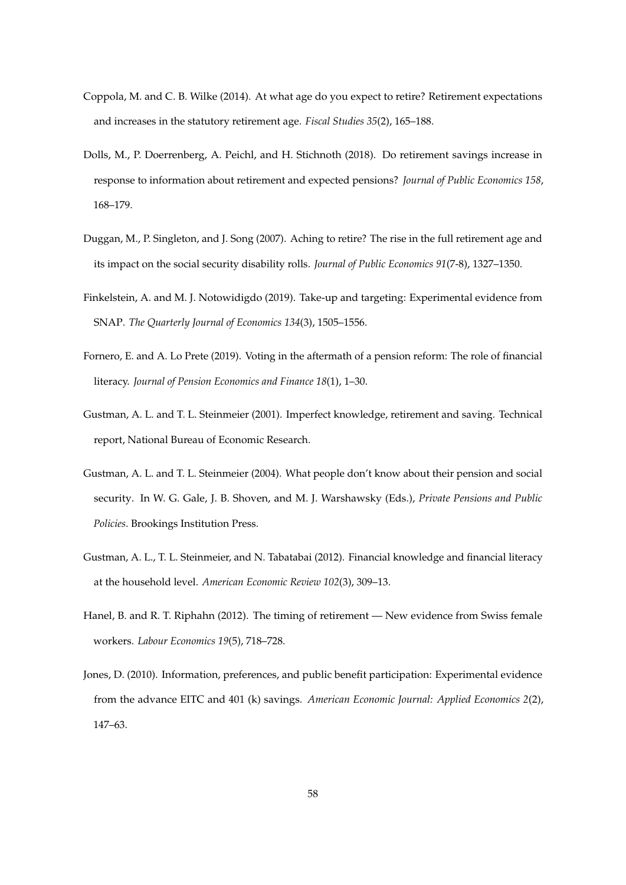- <span id="page-59-7"></span>Coppola, M. and C. B. Wilke (2014). At what age do you expect to retire? Retirement expectations and increases in the statutory retirement age. *Fiscal Studies 35*(2), 165–188.
- <span id="page-59-3"></span>Dolls, M., P. Doerrenberg, A. Peichl, and H. Stichnoth (2018). Do retirement savings increase in response to information about retirement and expected pensions? *Journal of Public Economics 158*, 168–179.
- <span id="page-59-8"></span>Duggan, M., P. Singleton, and J. Song (2007). Aching to retire? The rise in the full retirement age and its impact on the social security disability rolls. *Journal of Public Economics 91*(7-8), 1327–1350.
- <span id="page-59-1"></span>Finkelstein, A. and M. J. Notowidigdo (2019). Take-up and targeting: Experimental evidence from SNAP. *The Quarterly Journal of Economics 134*(3), 1505–1556.
- <span id="page-59-0"></span>Fornero, E. and A. Lo Prete (2019). Voting in the aftermath of a pension reform: The role of financial literacy. *Journal of Pension Economics and Finance 18*(1), 1–30.
- <span id="page-59-5"></span>Gustman, A. L. and T. L. Steinmeier (2001). Imperfect knowledge, retirement and saving. Technical report, National Bureau of Economic Research.
- <span id="page-59-6"></span>Gustman, A. L. and T. L. Steinmeier (2004). What people don't know about their pension and social security. In W. G. Gale, J. B. Shoven, and M. J. Warshawsky (Eds.), *Private Pensions and Public Policies*. Brookings Institution Press.
- <span id="page-59-9"></span>Gustman, A. L., T. L. Steinmeier, and N. Tabatabai (2012). Financial knowledge and financial literacy at the household level. *American Economic Review 102*(3), 309–13.
- <span id="page-59-4"></span>Hanel, B. and R. T. Riphahn (2012). The timing of retirement — New evidence from Swiss female workers. *Labour Economics 19*(5), 718–728.
- <span id="page-59-2"></span>Jones, D. (2010). Information, preferences, and public benefit participation: Experimental evidence from the advance EITC and 401 (k) savings. *American Economic Journal: Applied Economics 2*(2), 147–63.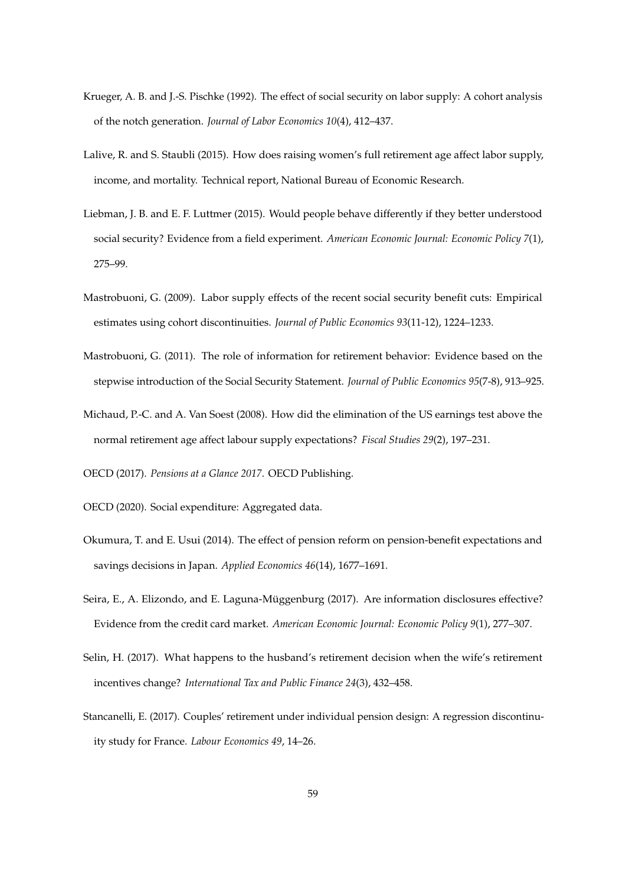- <span id="page-60-4"></span>Krueger, A. B. and J.-S. Pischke (1992). The effect of social security on labor supply: A cohort analysis of the notch generation. *Journal of Labor Economics 10*(4), 412–437.
- <span id="page-60-5"></span>Lalive, R. and S. Staubli (2015). How does raising women's full retirement age affect labor supply, income, and mortality. Technical report, National Bureau of Economic Research.
- <span id="page-60-2"></span>Liebman, J. B. and E. F. Luttmer (2015). Would people behave differently if they better understood social security? Evidence from a field experiment. *American Economic Journal: Economic Policy 7*(1), 275–99.
- <span id="page-60-6"></span>Mastrobuoni, G. (2009). Labor supply effects of the recent social security benefit cuts: Empirical estimates using cohort discontinuities. *Journal of Public Economics 93*(11-12), 1224–1233.
- <span id="page-60-3"></span>Mastrobuoni, G. (2011). The role of information for retirement behavior: Evidence based on the stepwise introduction of the Social Security Statement. *Journal of Public Economics 95*(7-8), 913–925.
- <span id="page-60-7"></span>Michaud, P.-C. and A. Van Soest (2008). How did the elimination of the US earnings test above the normal retirement age affect labour supply expectations? *Fiscal Studies 29*(2), 197–231.

<span id="page-60-9"></span><span id="page-60-0"></span>OECD (2017). *Pensions at a Glance 2017*. OECD Publishing.

OECD (2020). Social expenditure: Aggregated data.

- <span id="page-60-8"></span>Okumura, T. and E. Usui (2014). The effect of pension reform on pension-benefit expectations and savings decisions in Japan. *Applied Economics 46*(14), 1677–1691.
- <span id="page-60-1"></span>Seira, E., A. Elizondo, and E. Laguna-Müggenburg (2017). Are information disclosures effective? Evidence from the credit card market. *American Economic Journal: Economic Policy 9*(1), 277–307.
- <span id="page-60-11"></span>Selin, H. (2017). What happens to the husband's retirement decision when the wife's retirement incentives change? *International Tax and Public Finance 24*(3), 432–458.
- <span id="page-60-10"></span>Stancanelli, E. (2017). Couples' retirement under individual pension design: A regression discontinuity study for France. *Labour Economics 49*, 14–26.